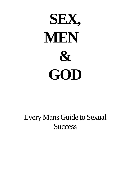

# Every Mans Guide to Sexual **Success**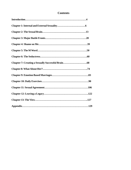### **Contents**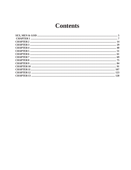## **Contents**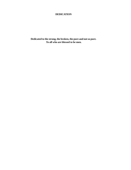#### **DEDICATION**

**Dedicated to the strong, the broken, the pure and not so pure. To all who are blessed to be men.**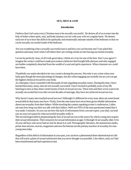#### **SEX, MEN & GOD**

#### **Introduction**

<span id="page-4-0"></span>I believe that God wants every Christian man to be sexually successful. He desires all of us to enter into the holy of holies where spirit, soul, and body intimacy occurs with your wife on a regular basis. He desires each one of us to have the skills to be spiritually and emotionally intimate outside of the bedroom so that we can be sexually successful inside of the bedroom.

Are you wondering what a sexually successful man is and how you can become one? I am asked this question and many more when I tell others that I am writing a book on men having successful sexuality.

Let me be perfectly clear, of all Gods great ideas, I think sex is by far one of the best. Don't you agree? I imagine the creator could have made procreation a behavior that brought little pleasure and only engaged our bodies completely detached from the wealth of a soul and spirit experience. What a bummer sex could have been.

Thankfully our maker decided to be very creative during this process. Not only is sex a time when your body goes though the most physiological changes, but also when engaging successfully inn sex you can get the highest chemical reward for your body.

As a therapist, I have counseled with thousands of men regarding sexuality issues. During this time, I have learned that many, many, men are not sexually successful. I have clocked in probably years of my life listening to men as they share varied stories of lack of sexual success. These men and their wives want to be sexually successful but even after several decades of marriage, they have not achieved sexual success.

Why haven't many men reached sexual success? Although it's different for every man, there are some broad sexual deficits that many men have. Firstly, from the start many have never been given reliable information about true sexuality from their fathers. While traveling the country speaking at men's conferences, I often ask men how long was their sex talk with their fathers. Well over 95% of the men questioned stated that it was under 3 minutes. So you can see how this lack of information from a sexual expert, your dad, can lead you on your own quest for what successful sexuality really is.

The second largest deficit perpetuating the lack of sexual success is the source by which young men acquire their sexual information. Their resources for sexual information at ages 14 through 16 are usually other 14 to 16 year old boys who never had sex but lie about it as well. Pornographic literature, the mainstream media, prime-time sitcoms, movies, magazines and now the Internet are the primary teachers of sexuality for man young men today.

Regardless of this deficit of information in your past, you can have a phenomenal three-dimensional sex life that will reach a plane of sexual satisfaction that you never thought was possible. Like others, early on I had been misinformed and had experiences that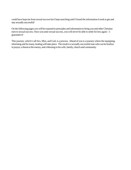could have kept me from sexual success but I kept searching until I found the information it took to get and stay sexually successful!

On the following pages you will be exposed to principles and information to bring you and other Christian men to sexual success. Once you taste sexual success, you will never be able to settle for less again—I guarantee it!

This journey, which I call Sex, Men, and God, is a process. Ahead of you is a journey where the equipping, informing and for many, healing will take place. The result is a sexually successful man who can be fearless in prayer, a threat to the enemy, and a blessing to his wife, family, church and community.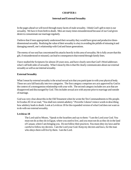#### **CHAPTER 1**

#### **Internal and External Sexuality**

<span id="page-6-0"></span>In the pages ahead we will travel through many facets of male sexuality. I think God's gift to men is our sexuality. We have it from birth to death. Men are many times misunderstood because of our God given desire to consummate our marriage regularly.

I believe that if men appropriately understood their sexuality they would have great and productive threedimensional sexuality. Realizing the value of their sexuality is a key in avoiding the pitfalls of misusing it and damaging oneself, one's relationship with God and future generations.

The enemy of our soul has concentrated his attacks heavily in this area of sexuality. He is fully aware that this gift, if misunderstood or misused, can lead to consequences that extend through family lines.

I have studied the Scriptures for almost 20 years now, and have clearly seen that God's Word addresses what I call both sides of sexuality. What I mean by this is that He clearly communicates about our external sexuality as well as our internal sexuality.

#### **External Sexuality**

What I mean by external sexuality is the actual sexual acts that you participate in with your physical body. These sex acts fall basically into two categories. The first category comprises sex acts approved by God in the context of a monogamous relationship with your wife. The second category includes sex acts that are disapproved and discouraged by God. This includes sexual acts with anyone prior to marriage and outside of marriage.

God was very clear about this in the Old Testament when he wrote the Ten Commandments to His people. In Exodus 20:14 we read, "You shall not commit adultery." Proverbs 5 doesn't mince words in describing how adultery leads to death. Look at Leviticus 18 for the expanded version of what God does not want us to do with our external sexuality.

#### **Leviticus 18**

The Lord said to Moses, "Speak to the Israelites and say to them: "I am the Lord your God. You must not do as they do in Egypt, where you used to live, and you must not do as they do in the land of Canaan, where I am bringing you. Do not follow their practices. You must obey my laws and be careful to follow my decrees. I am the Lord your God. Keep my decrees and laws, for the man who obeys them will live by them. I am the Lord.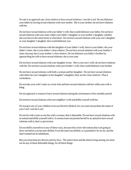No one is to approach any close relative to have sexual relations. I am the Lord. Do not dishonor your father by having sexual relations with your mother. She is your mother; do not have relations with her.

Do not have sexual relations with your father's wife; that would dishonor your father. Do not have sexual relations with your sister, either your father's daughter or your mother's daughter, whether she was born in the same home or elsewhere. Do not have sexual relations with your son's daughter or your daughter's daughter; that would dishonor you.

Do not have sexual relations with the daughter of your father's wife, born to your father; she your father's sister; she is your father's close relative. Do not have sexual relations with your mother's sister, because she is your mother's close relative. Do not dishonor you father's brother by approaching his wife to have sexual relations; she is your aunt.

Do not have sexual relations with your daughter in law. She is your son's wife; do not have relations with her. Do not have sexual relations with your brother's wife; that would dishonor your brother.

Do not have sexual relations with both a woman and her daughter. Do not have sexual relations with either her son's daughter or her daughter's daughter; they are her close relatives. That is wickedness.

Do not take your wife's sister as a rival wife and have sexual relations with her while your wife is living.

Do not approach a woman to have sexual relations during the uncleanness of her monthly period.

Do not have sexual relations with your neighbor's wife and defile yourself with her.

Do not give any of your children to be sacrificed to Molech, for you must not profane the name of your God. I am the Lord.

Do not lie with a man as one lies with a woman; that is detestable. Do not have sexual relations with an animal and defile yourself with it. A woman must not present herself to an animal to have sexual relations with it; that is a perversion.

Do not defile yourselves in any of these ways, because this is how the nations that I am going to drive out before you became defiled. Even the land was defiled; so I punished it for its sin, and the land vomited out its inhabitants.

But you must keep my decrees and my laws. The native-born and the aliens living among you must not do any of these detestable things, for all these things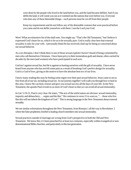were done by the people who lived in the land before you, and the land became defiled. And if you defile the land, it will vomit you out as it vomited out the nations that were before you. Everyone who does any of these detestable things—such persons must be cut off from their people.

Keep my requirements and do not follow any of the detestable customs that were practiced before you came and do not defile yourselves with them. I am the Lord your God.

Wow! What an exhaustive list of the shall-nots. You might say, "That's the Old Testament," but I believe it expressed God's heart for us, which is for us to be sexually pure. God is really clear here that external sexuality is only for your wife. I personally think He has received a bad rap for being so concerned about our sexual behavior.

As a sex therapist, I don't think there is one of those sexual exploits I haven't heard of being committed by men who call themselves Christians. I have been privy to their tremendous guilt and shame, often carried for decades by the men (and women) who have participated in such acts.

God isn't against sexual fun, but He is against us hurting ourselves with the gift of sexuality. I have never heard from anyone who has not felt some pain as a result of breaking God's perfect design for sexuality. God is a God of love, giving us the motive to have the absolute best sex of our lives.

I know many reading this may be feeling some regret over their past sexual behavior. Jesus came to set us free from all of our sin, including sexual sin. In our journey together I will walk you through how to heal in this area. I know He can heal, restore and give you sexual success all the days of your life. In the New Testament, the apostle Paul reveals to us more of God's heart so that we can avoid all sexual immorality.

In Gal. 5:19-21, Paul is very clear. He states, "The acts of the sinful nature are obvious: sexual immorality, impurity and debauchery; …orgies and the like." He continues in verse 21 to warn us, "… those who live like this will not inherit the kingdom of God." This is strong language in the New Testament about external sexuality.

We see similar exhortations throughout the New Testament, from Romans 1 all the way to Revelation 2 where the false prophetess Jezebel is leading church members into sexual immorality.

Sexual practices outside of marriage are wrong from God's prospective in both the Old and New Testament. We know this; it's been preached for at least two centuries, especially within evangelical or nondenominational Bible churches, and particularly in this last generation.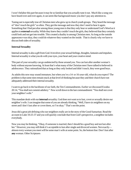I won't belabor this part because it may be so familiar that you actually tune it out. Much like a song you have heard over and over again, it can seem like background music you don't pay any attention to.

Tuning out is especially true of Christian men who grew up in church youth groups. They heard the message of "don't touch the girls" so often. They got the message and now they don't need to hear it again. Something that I find peculiar among these young men is that they only hear or understand God's Word as it applies to **external** sexuality. While they knew they couldn't touch the girls, they believed that they certainly could look and not get into trouble. This created a duality in among Christian men. As long as the outside appearance was okay, they could do whatever they wanted on the inside. That is clearly why we have to discuss both sides of sexuality.

#### **Internal Sexuality**

Internal sexuality is also a gift from God. It involves your sexual feelings, thoughts, fantasies and impulses. Internal sexuality is what you do with your eyes, your heart and your creative mind.

This part of your sexuality can go undetected by those around you. You can lust after another woman's body without anyone knowing. At least that's what many of the Christian men I have talked to believed in adolescence. They rationalized that as long as they only looked and didn't touch, they were good boys.

As adults this now may sound immature, but when you're a 14- or 16-year-old, what do you expect? The problem is that some men remain stuck at that level of thinking because they and their church have not adequately addressed their internal sexuality.

I want to go back to the backbone of our faith, the Ten Commandments. Earlier we discussed Exodus 20:14, "You shall not commit adultery." Now scroll down to the last commandment: "You shall not covet your neighbor's wife."

This mandate deals with our **internal** sexuality. God does not want us to lust, covet or sexually desire our neighbor's wife. I can imagine that some of you are already thinking, "Well, I have six neighbors on my street and I don't lust after or covet them, so I'm okay." That's not the point.

Jesus did a great job defining who our neighbors really are in the story of the Good Samaritan. Read the account in Luke 10:25-37 and you will quickly conclude that from God's perspective, a neighbor includes everybody.

Now you may be thinking, "Okay, if someone is married, then I should be a good boy and not lust after her." However, you may still think it's acceptable to lust after single and divorced women. Not exactly almost every woman you meet will be some man's wife at some point. So, the bottom line: Don't lust after **any** woman. Other Scriptures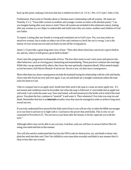back up this point, making it obvious that lust is indeed sin (See Col. 3:5-6, 1 Pet. 4:3-5 and 1 John 2:16).

Furthermore, Paul wrote to Timothy about a Christian man's relationship with all women. He states in1 Timothy 5:1-2, "Treat older women as mothers and younger women as sisters with absolute purity." Can you imagine lusting after your mom or sister? Since all women are included in this relational context, lusting after any woman as a sex object is undesirable and sinful since they are sisters, mothers and children of God our Father.

To repeat: Lusting after any female is wrong and constitutes sin in God's eyes. Yes, you may notice an attractive woman, but to make an object out of her and continue to check her out is wrong. Lust is the enemy of your sexual success and can lead you into all the wrong places.

James 1:15 provides a great long-term view of lust: "Then after desire (lust) has conceived, it gives birth to sin; and sin, when it is full-grown, gives birth to death."

I have seen this progression in thousands of lives. The lust often starts in one's teen years and spawns into other behaviors, such as viewing porn, fantasizing and masturbating. These practices continue into marriage. While they can go unnoticed by others, they leave the man spiritually impotent (dead). What started simply as lust becomes a full-blown lifestyle of secret sin. Secret or not, sin does have consequences.

More often than not, those consequences include the husband losing his relationship with his wife and family. I have seen this lived out over and over again. Lust, sin and death are a straight continuum unless the man turns his heart to God.

I like to compare lust to an apple seed. Inside that little seed is the map to create an entire apple tree. It's not instant and conditions must be favorable, but when the map is followed, it's inevitable that an apple tree will result. Lust works the same way. Your soul (mind, will and emotions) is the fertile soil in which this seed grows. You plant the lust, continue to "nourish" it and water it. Then whammo! Over time you reap sin and death. Remember that lust is an **internal** sexuality issue that must be managed in order to achieve long-term sexual success.

If you truly understand how powerful this little seed of lust is you will see why so often the Bible encourages us to run from it and not try to fight with it. God knows the power that seed holds. This is why we are cautioned in Proverbs 6:25, "Do not lust in your heart after her beauty or let her captivate you with her eyes."

Although others may not be able to see you lust, God does, and you will have to answer before Him for using your mind and time in this manner.

You will also need to understand that lust has the DNA code for destruction, sin, and death to those who plant her seed into their soul. Don't be childish in your masculine sexuality and think in any manner that it's okay to lust after any woman.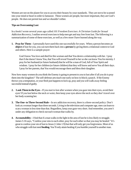Women are not on the planet for you to access their beauty by your standards. They are not to be scanned into your mind or heart in order to fantasize. These women are people, but more important, they are God's people. He does not permit lust and we shouldn't either.

#### **Tips on Overcoming Lust**

In a book I wrote several years ago called *101 Freedom Exercises*: *A Christian Guide for Sexual Addiction Recovery*, I outline several exercises to help men get and stay free from lust. The following is a summarization of some of these exercises, as well as a few more I have learned along the way.

**1. Pray for Them** – I personally have used this one successfully for years. When a person becomes an **object** of lust for you, you can turn them back into a **person** by giving them a relational context to God and others. Here is a sample prayer:

God I know You love and died for this woman and that You desire a relationship with her. I pray that if she doesn't know You, that You will reveal Yourself to her so she can know You for eternity. I pray for her husband (or future husband) that he will be a man of God, full of Your Spirit and wisdom. I pray for her children (or future children) that they will know and serve You all their days. I pray for her parents, that You would encourage them and bless their daughter.

Now how many women do you think the Enemy is going to present to you to lust after if all you do is pray them into the kingdom? The self-defense arts teach one early on how to block a punch. If the Enemy throws you a temptation, or your flesh just happens to kick up, pray and you will walk away feeling successful instead of guilty.

- **2. Look Them in the Eyes** If you start to lust after women when you gaze into their eyes, avoid their eyes! If you lust below the neck or waist, then keep your eyes above the neck so they don't travel over her body scanning her.
- **3. The One- to Three-Second Rule** In sex addiction recovery, there is a three-second policy: Don't look at a woman longer than three seconds. Living in the television and computer age, men can learn to scan a woman in less time than that. Regardless, keep your gaze very short. And remember, you aren't under any obligation to check out each woman that walks by.
- **4. Accountability** I find that if a man walks in the light in the area of lust he is less likely to struggle. James 5:16 says, "Confess your sins to each other, pray for each other so that you may be healed." It's great to confess your sin of lust to Jesus (1 John 1:9) but that will only get you forgiveness. Most of us who struggle with lust need **healing**. You'll only attain healing if you humble yourself to another man.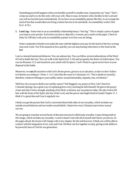Something powerful happens when you humble yourself to another man. I purposely say "man." Don't wimp out and try to do this only with your wife. Man to man, be honest with a brother in the Lord and you will see lust decrease tremendously. If you have an accountability partner like this, it can scourge the seed of lust that would otherwise bring a future harvest of sin and death. Accountability works! (See Eccl. 4:10.)

**1. Lust Log –** Some men in an accountability relationship keep a "lust log." This is simply a piece of paper you keep in your pocket. Each time you lust or objectify a woman, put a mark on the paper. Check in daily for 100 days with your accountability partner as to how you are doing.

Some competitive friends even make the man with the highest score pay for the lunch of the low scoring man each week. You'll be amazed at how quickly you can stop lusting when there is free food on the line!

Lust is a learned intentional behavior. You can unlearn lust. You can follow several admonitions of the Word of God to battle this lust. You can walk in the Spirit (Gal: 5:16) and not gratify the desire of sinful nature. You can use Romans 12:2 and transform your mind with Scripture. God's Word is a great tool to have at your disposal in this battle.

Moreover, we **can** fill ourselves with God's divine power, given to us in salvation, so that we don't follow evil desires according to 1 Peter 1: 3-4. I also like the verse in Colossians 3:5: "Put to death (or mortify) therefore, whatever belongs to your earthly nature: sexual immortality, impurity, lust, evil desires."

Well how do you put to death your earthly nature? Ted Haggard, my pastor at New Life Church in Colorado Springs, has a great way of explaining how every morning he kills himself. He gets in the prayer closet and asks God to strangle anything of his flesh, to destroy any sin patterns today. He asks God to fill him with the fruits of the Spirit, the fear of the Lord, and the power and might listed in Isaiah Chapter 11. I think it's a great idea and I use it regularly too.

I think you get the picture that God is concerned about both sides of our sexuality, which includes our outside sexual behavior and our inside sexual beliefs. I desire for every Christian man to have sexual success.

We are going to examine several facets of this precious jewel called male sexuality. I enjoy being made in His image, which includes my sexuality. I want to honor God with all of myself and I know you do too. In the pages ahead, the terrain will change with every chapter. By the end however, I think you will be able to connect with the integration of sex, men and God. All three can live together in unity, giving us the ability to be powerful men of God for our generation.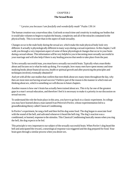#### CHAPTER 2

#### **The Sexual Brain**

#### <span id="page-13-0"></span>*" I praise you because I am fearfully and wonderfully made*" Psalm 139:14

The human creation was a marvelous idea. God took so much time and creativity in making our bodies that it would take volumes to begin to explain the beauty, complexity and all of the miracles contained in the physical body. This is no truer than in the aspect of male sexuality.

Changes occur in the male body during the sexual act, which make the male physical body look very different. It actually is physiologically different in many ways during a sexual experience. In this chapter, I will walk you through a very important aspect of some of these physiological changes that occur in your brain during a sexual release. This information will be very helpful to you in becoming more sexually successful in your marriage and will also help if there is any healing process that needs to take place from the past.

To be a sexually successful man, you must have a sexually successful brain. Typically what a man thinks about and focuses on is what he ends up doing. For example, how many men have spent money and time studying books about financial success, health or spiritual growth and after practicing the principles and techniques involved, eventually obtained it?

And yet with all the case studies that confirm that men think about sex many times throughout the day, why then are most men not having sexual success? I believe part of the reason is the manner in which men are thinking about sex, which is something we will discuss in future chapters.

Another reason is how one's brain has actually been trained about sex. This is by far one of the greatest gaps in a man's sexual education, and therefore I feel it is necessary to make it a priority in our discussion on sexual success.

To understand the role the brain plays in this area, you have to go back to a classic experiment. In college you may have learned about a man named Ivan Petrovich Pavlov, whose experimentation led to a groundbreaking theory called Classical Conditioning.

In Pavlov's experiment, he rang a bell and then fed his dog some food. The dog began to associate food with the sound of the bell, and salivated whenever it heard the bell ring. The dog's reaction was a conditioned, or learned, response to the stimulus. This Classical Conditioning basically means when you ring the bell, the dog expects to be fed.

This principle is very important to our subject of the sexually successful brain. When Pavlov's dog heard the bell and anticipated the reward, a neurological response was triggered and the dog prepared for food. Your brain goes through a similar process when you desire sex.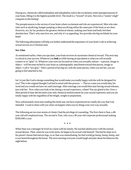During sex, chemicals called endorphins and enkephalins rush to the excitement center (preopticneuron) of your brain, filling it to the highest possible level. The result is a "reward" of sorts. Not even a "runner's high" compares to this feeling!

The preopticneuron is the section of your brain where excitement and risk are experienced. Men who take risks such as skydiving, bungee jumping or deep sea diving utilize the same part of the brain as sex does. However, sex, by far, produces the greatest chemical release, making your brain and body feel their absolute best. That's why men love sex, and why it's so appealing. Sex provides the big enchilada for your brain!

The following information will help you further understand the importance of your brain's role in achieving sexual success as a Christian man.

#### **Sex Glue**

As mentioned earlier, when you ejaculate, your brain receives its maximum chemical reward. This next step is critical to your success: Whatever you **look** at while having an ejaculation is what you will sexually connect to or "glue" to. Whatever your eyes are focused on when you sexually release—a person, image or object—will become etched in your brain as a photographic attachment toward that person, image or object. I call it "sex glue." After a period of having sex with the same person, when you see her, you are going to feel attached to her.

Isn't it just like God to design something that would make you totally happy with the wife he designed for you? This is the original thought God had in mind with this process — That as a man you would obey his word and you would not have sex until marriage. After marriage you would then start having sexual releases, just with her. Now when you look at her during a sexual experience, wham! You are glued to her. Over a short period of time she becomes your only chemical reinforcement for your sexual experience and you are totally happy with her regardless of her height, weight or proportions.

Now unfortunately most men reading this book may not have experienced sex totally the way that God intended. I want to share with you what can happen when you try things your own way sexually.

The following are two true stories of clients I had the privilege of counseling. The first client is Stan, a 48 year-old self-employed man. The second is Tom, who was a 38-year-old corporate professional making \$300,000 a year.

**\* \* \***

When Stan was a teenager he lived on a farm with his family. He reached adolescence with the normal sexual desires. Then, when he was in his teens, he began to be sexual with himself. The bed he slept on in his parent's house had uneven legs, so as Stan was masturbating, his bed would go bump, bump, bump, and it was heard throughout the house. The next morning everyone would laugh and joke about his behavior the night before.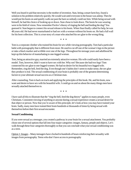Well you heard it said that necessity is the mother of invention. Stan, being a smart farm boy, found a solution to his problem relatively quickly. He would wait until everyone in the house was asleep. Then he would put his boots on and quietly walk out past the barn so nobody could see him. While being sexual with himself, he had the choice of looking up or down. Stan chose to look down. The boots he was wearing were in his field of vision. Now remember Pavlov's theory of ringing the bell and feeding the dog? You guessed it: Stan began to connect his sexual release to his boots. When Stan finally called for help, he was 48 years old. He had never masturbated or had sex with a woman without his boots on. He had a full wall for his boot collection. This is a true story of a man who attached his sex glue to the wrong thing.

**\* \* \***

Tom is a corporate climber who trained his brain for sex while viewing pornography. Tom had a particular habit with pornography that is different from most. He used to cut off one of the woman's legs in the picture or take a black marker and scribble over one of the legs. Throughout his teenage years and adulthood he kept up this behavior of masturbating to one-legged woman.

Tom, being an attractive guy, married an extremely attractive woman. His wife could easily have been a model. Tom, however, didn't want to have sex with her. Why not? Because she had two legs! Tom connected his sex glue to one-legged women. He had no desire for his beautiful two-legged wife. Remember, ring the bell, feed the dog. Even though one's habits don't seem to make sense, the sex glue they produce is real. The sexual conditioning of your brain is probably one of the greatest determining factors to your ultimate sexual success as a Christian man.

After counseling, Tom is back on track and applying the principles of this book. He, and his brain, now want and desire to have sex with his beautiful wife. I could go on and on about the many things men have sexually attached themselves to.

**\* \* \***

I have said all this to illustrate that the "ring the bell, feed the dog theory" applies to many people, even Christians. Consistent viewing of anything or anyone during a sexual experience creates a sexual desire for that object or person. Now that you're aware of this principle, let's look at how you may have trained your brain. Sadly, many men have trained their brain hundreds or thousands of times by being sexual with themselves before their first sexual encounter.

#### **Sexual Conditioning**

If you were sexual as a teenager, you created a pathway in your brain for a sexual attachment. You probably chose one of several options that fall into four major categories: images, fantasy, people and objects. Let's walk through these four categories thoroughly so that you can conclude what your sexual conditioning was as a teen.

Option 1: Images – Many teenagers have clocked in hundreds of hours reinforcing their sexuality with images from pornography. Teens who don't have access to pornography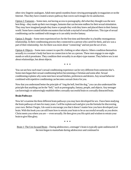often view lingerie catalogues. Adult men spend countless hours viewing pornography in magazines or on the Internet. Thus they have created a neuro-pathway that craves such images for its satisfaction.

Option 2: Fantasies – Some men, not having access to pornography, did what they thought was the next best thing—they made up their own images, fantasies that can become endless for their sexual stimulation. They may have imagined people they knew or people they wish they knew and placed them in their fantasy world. Some have created infinite encounters that include a myriad of sexual behaviors. This type of sexual conditioning can be combined with images or it can solely involve fantasy.

Option 3: People – Some men experienced sex for the first time and thereafter in a healthy monogamous relationship. In their conditioning process they connected to a person who cared for them, and sex was a part of their relationship. Sex for them was more about "connecting" and not just the act of sex.

Option 4: Objects – Some men connect to specific clothing or other objects. Others condition themselves sexually to a woman's body but have no connection to her as a person. These men engage in one-nightstands or solicit prostitutes. They condition their sexuality in an object-type manner. They believe sex is not about relationships, but about objects.

**\* \* \***

You can see how each man's sexual conditioning experience can be very different from someone else's. Some men began their sexual conditioning before becomming a Christian and some after. Sexual conditioning explains why some men have sexual fetishes, preferences and desires. Any sexual behavior combined with repetitive conditioning can become a sexual choice for you.

Now that you understand better the principle of "ring the bell, feed the dog," you can also understand the principle that anything can be the "bell," such as pornography, fantasy, people, and objects. Any teenager can knowingly or unknowingly establish either a sexually successful brain or a sexually distracted brain.

#### **Brain Pathways**

Now let's examine the three different brain pathways you may have developed for sex. I have been studying the brain pathways of men for many years. I will be explain each and give you the formula for discovering your own. Before I begin, I do want to encourage you that it doesn't matter how you have developed your brain. With this book you can still learn how to retrain your brain to be as successful sexually as you desire. Christ meets you where you are — even sexually. He then gives you His spirit and wisdom to retrain your brain to give Him glory.

**\* \* \***

Brain 1: The Uni-focused Brain – During adolescence, a teenager's brain is typically quite undistracted. If the teen began to masturbate during adolescence and continued in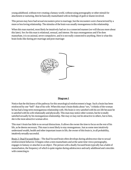young adulthood, without ever creating a fantasy world, without using pornography or other stimuli for attachment or nurturing, then he basically masturbated with no feelings of guilt or shame involved.

This person may have had sexual encounters prior to marriage, but the encounters were characterized by a more or less loving relationship. The stimulus of the brain was usually monogamous in this relationship.

When this man married, most likely he intuitively had sex in a connected manner (we will discuss more about this later). Sex for this man is relational, sensual, and intense. He stays monogamous and if he does masturbate, it is occasional, never compulsive, and it is not really connected to anything. Here is what this brain looks like during pre-marriage and post-marriage:



#### **Diagram 1**

Notice that the thickness of the pathway for this neurological reinforcement is huge. Such a brain has been reinforced by one "bell": that of his wife. When this man's brain thinks about "sex," it thinks of the woman he has had a long-term monogamous relationship with. His brain is very satisfied with his sex life because he is satisfied with his wife relationally and physically. This man may notice other women, but he is totally satisfied sexually by his monogamous relationship. She may or may not be attractive to others, but to him, she is the most attractive woman alive.

This man's brain has little to no sexual distractions. It allows the owner the time to focus on the rest of his life, as he deems necessary. This man is most likely to stay monogamous. Just as some men intuitively understand wealth, health and other important issues in life, the owner of this brain is, in all probability, intuitively sexually successful.

Brain 2: Dual Focused Brain – The dual focused brain often develops during adolescence due to sexual reinforcement behavior. It begins when a teen masturbates and at the same time views pornography, engages in fantasy or attaches to an object. The person with a dually focused brain typically has a habit of masturbation, the frequency of which is quite regular during adolescence and early adulthood and coincides with connecting to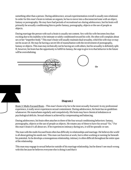something other than a person. During adolescence, sexual experimentation overall is usually non-relational. In order for this man's brain to initiate an orgasm, he has to move into a disconnected state with an object, fantasy or pornography. He may have had periods of recreational sex during adolescence, but his brain will primarily be sexually conditioning him to prefer fantasy, pornography, objects or the use of people as objects.

During marriage the person with such a brain is usually not content. Sex with his wife becomes less than exciting due to his inability to be intimate or solely conditioned toward his wife. He often will complain about sex or her "imperfect body." This man's brain will usually maintain dual sexuality, which his wife may or may not be aware of. He may be having a secret life of masturbation with the involvement of pornography, fantasy or objects. This man may technically not be having sex with others, but his sexuality is definitely split. If, however, his brain has the opportunity to fulfill its fantasy, the urge to give in to that behavior in the future will be overwhelming.



#### **Diagram 2**

Brain 3: Multi-Focused Brain – This man's brain is by far is the most sexually fractured. In my professional experience, it really never experiences sexual contentment. During adolescence, his brain has no guidelines whatsoever. He masturbates regularly and compulsively. His brain may have chemical imbalances or psychological deficits. Sexual release is achieved by compensating and balancing.

During adolescence, his brain often attaches to three of the four sexual conditioning behaviors: fantasy, pornography, objects or the use of people as objects. He rotates any of these to have his sexual "fix." For this man's brain it's all about sex. If he experiences intimacy during sex, it will be sporadic or rare.

The man with the multi-focused brain often has difficulty in relationships and marriage. He believes the world is all about getting his needs met. This man can function at work, but is often working or earning far beneath his potential. As he develops a monogamous relationship, intimacy is often difficult throughout the entire span of the relationship.

This man may engage in sexual behavior outside of his marriage relationship, but he doesn't see much wrong with this because he believes everyone else is doing it and that it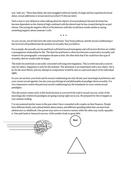was "only sex." More than likely, this man struggled within his family of origin and has experienced sexual abuse, sexual addictions or sexual anorexia (which I'll discuss later).

Such a man is very defensive when talking about his objects of sexual pleasure because his brain has become dependent on the chemical high combined with the altered state he has created during his sexual release. Discussing the negative effects of his behavior with him would have results similar to saying something negative about someone's wife.

**\* \* \***

As you can see, not all men have the same sexual brain. Your brain pathway and the sexual conditioning it has received will predetermine the position of sexuality that you believe.

For example, the sexually uni-focused brain will bend toward monogamy and will receive the best sex within a monogamous relationship for life. The dual-focused brain is often torn between conservative sexuality and whatever his pornographic consumption dictates to him. He often feels that if he could have this type of sexuality, then he would really be happy.

The multi-focused brain is not really concerned with long-term happiness. This is irrelevant and a concern only for others. Happiness is only for the moment. The adventure is an experiment with a new object. He is by far the most liberal, and any attempt at compromise would be seen as a personal attack of his individual rights.

So you can see how your brain and its sexual conditioning not only dictate your neurological preference and your current sexual appetite, but also your psychological and philosophical paradigm about sexuality. It is very important to realize that previous sexual conditioning lays the foundation for your current sexual paradigms.

This discussion comes early in this book because as you travel the road to sexual success, some of the neurologically reinforced paradigms are going to jump right out at you. Be prepared for this to happen as you continue reading.

I've encountered similar issues in the past when I have counseled with couples on their finances. People have different family and cultural beliefs about money, and different spending habits that can stem from adolescence or adulthood. One person may strive to conserve money while the other may easily squander it. One path leads to financial success, while another leads to great debt.



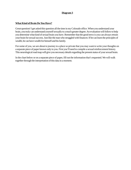#### **Diagram 3**

#### **What Kind of Brain Do You Have?**

Great question! I get asked this question all the time in my Colorado office. When you understand your brain, you truly can understand yourself sexually to a much greater degree. An evaluation will follow to help you determine what kind of sexual brain you have. Remember that the good news is you can always retrain your brain for sexual success. Just like the man who struggled with finances: If he can learn the principles of wealth, he can have wealth for himself and his family.

For some of you, we are about to journey to a place so private that you may want to write your thoughts on a separate piece of paper known only to you. First you'll need to compile a sexual reinforcement history. This neurological road map will give you necessary details regarding the present status of your sexual brain.

In the chart below or on a separate piece of paper, fill out the information that's requested. We will walk together through the interpretation of this data in a moment.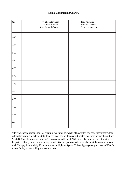#### **Sexual Conditioning Chart A**

| Age     | <b>Total Masturbation</b><br>Per week or month<br>(i.e., 2x/wk, 1x/mo.) | <b>Total Relational</b><br>Sexual encounter<br>Per week or month |
|---------|-------------------------------------------------------------------------|------------------------------------------------------------------|
| $10-15$ |                                                                         |                                                                  |
| $15-20$ |                                                                         |                                                                  |
| $21-25$ |                                                                         |                                                                  |
| $26-30$ |                                                                         |                                                                  |
| $31-35$ |                                                                         |                                                                  |
| $36-40$ |                                                                         |                                                                  |
| $41-45$ |                                                                         |                                                                  |
| 46-50   |                                                                         |                                                                  |
| $51-55$ |                                                                         |                                                                  |
| 56-60   |                                                                         |                                                                  |
| $61-65$ |                                                                         |                                                                  |
| $66+$   |                                                                         |                                                                  |

After you choose a frequency (for example two times per week) of how often you have masturbated, then follow this formula to get your total for a five year period. If you masturbated two times per week, multiply 2 x 260 (52 weeks x 5 years) which gives you a grand total of 2,600 times that you have masturbated for the period of five years. If you are using months, (i.e., 2x per month) then use the monthly formula for your total. Multiply 2 x month by 12 months, then multiply by 5 years. This will give you a grand total of 120. Be honest. Only you are looking at these numbers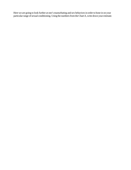Here we are going to look further at one's masturbating and sex behaviors in order to hone in on your particular range of sexual conditioning. Using the numbers from the Chart A, write down your estimate.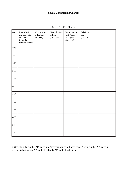#### **Sexual Conditioning Chart B**

| $\ldots$ . There is $\ldots$ |                                                                                |                                              |                                                 |                                                             |                                           |  |  |
|------------------------------|--------------------------------------------------------------------------------|----------------------------------------------|-------------------------------------------------|-------------------------------------------------------------|-------------------------------------------|--|--|
| Age                          | Masturbation<br>per week total<br>or month<br>$(i.e., 2-3x)$<br>week 1x month) | Masturbation<br>to Fantasy<br>$(i.e., 50\%)$ | Masturbation<br>to $\mbox{Porn}$<br>(i.e., 35%) | Masturbation<br>with People<br>as Objects<br>$(i.e., 10\%)$ | Relational<br><b>Sex</b><br>$(i.e., 5\%)$ |  |  |
| $10-15$                      |                                                                                |                                              |                                                 |                                                             |                                           |  |  |
| $15-20$                      |                                                                                |                                              |                                                 |                                                             |                                           |  |  |
| $21-25$                      |                                                                                |                                              |                                                 |                                                             |                                           |  |  |
| 26-30                        |                                                                                |                                              |                                                 |                                                             |                                           |  |  |
| $31-35$                      |                                                                                |                                              |                                                 |                                                             |                                           |  |  |
| 36-40                        |                                                                                |                                              |                                                 |                                                             |                                           |  |  |
| $41-45$                      |                                                                                |                                              |                                                 |                                                             |                                           |  |  |
| 46-50                        |                                                                                |                                              |                                                 |                                                             |                                           |  |  |
| $51-55$                      |                                                                                |                                              |                                                 |                                                             |                                           |  |  |
| 56-60                        |                                                                                |                                              |                                                 |                                                             |                                           |  |  |
| $61-65$                      |                                                                                |                                              |                                                 |                                                             |                                           |  |  |
| $66 +$                       |                                                                                |                                              |                                                 |                                                             |                                           |  |  |

Sexual Conditions History

In Chart B, put a number "1" by your highest sexually conditioned zone. Place a number "2" by your second highest zone, a "3" by the third and a "4" by the fourth, if any.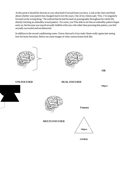At this point it should be obvious to you what kind of sexual brain you have. Look at the chart and think about whether your pattern has changed much over the years. One of my clients said, "Doc, I'm singularly focused on the wrong thing." He realized that he had focused on pornography throughout his whole life, thereby forming an unhealthy sexual pattern. For some, you'll be able to see that an unhealthy pattern began early on, but because you stayed sexually faithful with your wife rather than pursuing that pattern, you feel sexually successful and not distracted.

In addition to the sexual conditioning zones, I know that each of my male clients really appreciate seeing how his brain functions. Below are some images of what various brains look like.

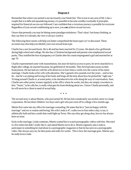#### **Diagram 4**

Remember that where you started is not necessarily your finish line. This is true in any area of life. Like a couple that is in debt and squandering money, it is possible to become wealthy eventually if principles required for financial success are followed. I am confident that a victorious journey is possible for everyone. Regardless of your sexual conditioning up to now, you **can** achieve sexual success.

I know that presently you may be hitting some paradigm turbulence. That's okay! Just keep climbing; as they say here in Colorado, the view is always worth it.

The following three stories will help you better comprehend the brain types we've discussed. These accounts may also help you identify your own sexual brain type.

Charlie has a uni-focused brain. He is 46 and has been married for 23 years. He dated a few girlfriends during high school and college. He also has a Christian background and parents who emphasized sexual purity. They instilled the fear of pregnancy in Charlie after his cousin impregnated a girl and married her at age 19.

Charlie experimented some with masturbation, but since he had no access to porn, he never attached to it. Right after college, he married Suzanne, his girlfriend of 18 months. They first had intercourse on their honeymoon. He has had sex with his wife about two to four times a week over the course of his entire marriage. Charlie looks at his wife with adoration. She's gained a few pounds over the years—and so has he—but he's accepting and loving of her body and brags all the time about how he picked the "right one." To hang around Charlie is, at some point, to be introduced to his wife along the way of conversation. Sure, Charlie sees other pretty women regularly at the office where he works, but they are simply coworkers to him. "Suzie," as he calls her, is really what gets his brain thinking about sex. I know Charlie personally, and he will never be a client in need of sexual help.

**\* \* \***

The second story is about Martin, who just turned 50. He has led a moderately successful career in a large corporation. He has three children: two boys and a girl who just went off to college a few months ago.

Martin first came into my office for marriage counseling. He states that he is "just not happy with his marriage" and sex is routine and boring. His wife Linda is 47, walks two to four miles a day, is tan, is athletically built and has a smile that could light up Texas. She says they get along okay, but sex has always been an issue.

Early in the marriage, Linda continues, Martin wanted her to watch pornographic videos with him. She tried it a few times but didn't really like it, and asked Martin not to do it. Martin regularly asks Linda to participate in something he read about in a pornographic magazine or that he has seen on a pornographic video. She always says no; he then pouts and sulks for weeks. This is how the marriage goes. Martin says he really loves Linda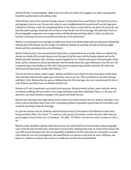and the life they've built together. Both want to live the rest of their lives happily ever after, enjoying their beautiful vacation home overlooking a lake.

When Martin came in for a private therapy session, I asked about his sexual history. He had had access to pornography since he was 14 years old, when he and a neighborhood kid would steal from the huge porn collection of the boy's dad. He masturbated three to five times a week until he was about 30 years old, and kept this pattern going a minimum of two times a week for the rest of his marriage. His particular choice in the pornographic magazines was young women with blonde hair and large chests. Linda is an attractive brunette with pretty brown eyes and did not meet any of his preferences.

Martin's sexual past prior to marriage revealed some short-term relationships and one long-term relationship with the girl of his dreams, but she couldn't be faithful to Martin for anything. He had several one-night stands and three prostitutes that were all blondes.

Martin realized early in our session that he had acutely created dual-brain sexuality. When we added it up, almost two-thirds of his sexual releases over the span of his life were with the fantasy blonde and not his athletically built, brunette wife, who has a normal appetite for sex. Martin used many of the principles in this book, and he continues to call me periodically when he thinks about the major difference in his life now. He is experiencing a very healthy sex life with Linda and not experiencing a duality anymore. He calls more often from the lake house, usually after fishing. **\* \* \***

Now let me tell you about a third couple. Roberto and Mary were clients of mine from quite awhile back. They had been married only eight years when they came to see me. This was Roberto's second marriage and Mary's first. Roberto has two grown children from his first marriage who were raised mostly by his exwife. Roberto and Mary have no children of their own.

Roberto is 47 and a moderately successful local musician. He plays mostly at bars, some churches and an occasional wedding. He has written a few songs and hopes to get them published. Mary is a 36-year-old attractive, successful business manager with a good and steady income.

Roberto has had many one-night stands and two short-term affairs just for the sex. Roberto and Mary were close to divorcing before they came in for counseling. Roberto repeatedly reported that he loved Mary and would do anything to keep the marriage.

In a private session with me, Roberto said he had had at least 25 encounters with different women since being married to Mary. He stated, "I've had sex with anyone, fat women, women 20 years older than me, and younger women of any race or handicap." He adds, "If I think I can have sex with a woman at a bar, I do."

Roberto easily identified with the multi-focused man. He said he had lots of involvement with pornography early in his life and currently had a room full of it at his home. Starting from early on, he has been sexual with over 300 women during his life. He was repeatedly unfaithful to his first wife and can't remember a woman with whom he was ever monogamous. He stated that he was always on the hunt for more, different, and better sex. Roberto watched a show about sex addiction on television and identified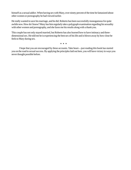himself as a sexual addict. When having sex with Mary, over ninety percent of the time he fantasized about other women or pornography he had viewed earlier.

He really wanted to save his marriage, and he did. Roberto has been successfully monogamous for quite awhile now. How do I know? Mary has him regularly take a polygraph examination regarding his sexuality with other women and pornography, and she faxes me his results along with a thank you.

This couple has not only stayed married, but Roberto has also learned how to have intimacy and threedimensional sex. He told me he is experiencing the best sex of his life and is blown away by how close he feels to Mary during sex.

**\* \* \***

I hope that you are encouraged by these accounts. Take heart—just reading this book has started you on the road to sexual success. By applying the principles laid out here, you will have victory in ways you never thought possible before.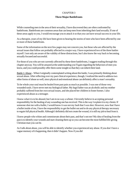#### CHAPTER 3

#### **Three Major Battlefronts**

<span id="page-28-0"></span>While counseling men in the area of their sexuality, I have discovered they are often confronted by battlefronts. Battlefronts are common areas that can keep men from inheriting their land sexually. If one of these areas apply to you, I would encourage you to attack it so that you can have sexual success in your life.

As a therapist, years of my life have been given to hearing the stories of men who have been affected by one or more of these battlefronts.

Some of the information on the next few pages may not concern you, but those who are affected by the sexual issues that follow are probably affected in a major way. I have experienced two of the three battles myself. I not only am aware of the validity of these distractions, but I also know the way back to becoming sexually focused and successful.

For those of you who are not currently affected by these three battlefronts, I suggest reading through this chapter anyway. You will be amazed at the understanding you'll gain regarding the behaviors of men you know, and you could possibly offer them some insight so that they can inherit their land.

Battle 1: Abuse – When I originally contemplated writing about this battle, I was primarily thinking about sexual abuse. After reflecting over my past clinical experience, though, I realized the need to address two other forms of abuse as well, since physical and emotional abuse can definitely affect a man's sexuality.

To be whole your soul must be healed from past pain as much as possible. I was one of those very wounded souls. I have never met my biological father. My legal father was an alcoholic and my mother probably suffered from her own sexual issues, and she placed her children in foster homes. I also experienced abuse as a teenager.

I know what it is to be abused, but I am in no way a whiner. I fervently believe in accepting personal responsibility for the healing of any wounding one has received. This is the way I explain it to my clients: If someone shot me with a bullet, I would know it was not my fault that I was shot. However, now that I have a bullet inside of me, I have the responsibility to get the bullet out and to do any physical therapy necessary to regain full physical health. Although I definitely did not create the wound, it is still my job to heal from it.

I know people who whine and commiserate about their past, and that's not me! My idea of healing from the past is to identify your wounds and start cleaning them up so you can become the most fulfilled life-giving Christian man you can be.

As I talk about abuse, you will be able to identify whether you experienced any abuse. If you don't have a vague memory of it happening, then it didn't happen. Now if you did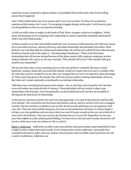experience sexual, emotional or physical abuse, you probably followed the male code of never telling anyone that it happened.

I don't think I talked about any of my trauma until I was in my twenties. For those of you that have experienced this trauma, don't worry. I'm not going to suggest therapy at this point. I will, however, give you the guidelines so that you can experience healing.

A child can suffer abuse or neglect at the hands of Dad, Mom, strangers, relatives or neighbors. Verbal abuse and shaming can be an ongoing event comprising of a parent or guardian repeatedly attacking the child's soul with verbal assaults.

As these assaults occur, they insert bullets inside this soul. As means of self-protection, the child may choose not to trust others anymore, and may pull away and isolate emotionally and spiritually from others. Most likely he won't develop skills for interpersonal relationships. He will become walled off from others because he believes that the truth of the matter is, "All relationships behold pain." Think of all of his future relationships that will become strained because of this abuse: parent-child, employer-employee, teacherstudent, husband-wife, and so on. He may conclude, "Why should I fall in love? Why should I fully give myself to any relationship?"

The second choice that victims sometimes pick is to become perfectly wonderful. Become so smart, handsome, strong or financially successful that nobody would ever suspect that your soul is wounded. After all, when they see how wonderful you are, they can't imagine that you were ever injured or taken advantage of. These types look great on the outside; they often have picture-perfect-looking relationships. However, they often can't connect spiritually or emotionally in an intimate relationship.

With these men, everything looks great on the outside—the car, the house and a beautiful wife. But their wives tell another story about the lack of intimacy. These individuals will stay mostly in object-type relationships with all people. Such men generally can talk football and work, but they are incapable of delving into the deep issues of relationships.

As this person continues to protect his soul from anticipated pain, over time he becomes less and less able to be intimate. The wounds become the beams that hold his wall up, and less and less of his soul is engaged sexually. The less soul that is available in your sex life, the less sexual satisfaction you can experience with your wife. The more soul available during sex, the more sexual satisfaction will result. In a future chapter I will give you clear guidelines and exercises to heal your soul of its past wounds so that you can include all of your soul in the bedroom. Then you can have the absolute best sex of your life! Regardless of your past, your future **can** be sexually satisfying and fulfilling. For those of you who have past wounds, the process will involve a little more work, but a better sex life is worth it!

Battle 2: Addictions – Addictions can affect many men and they often pose another major battlefield for men to fight in order to inherit their land sexually. Even Christian men can have addictions. I personally have counseled with pastors, elders, deacons, Sunday school teachers and even Bible school professors all with a variety of addictions. Addictions can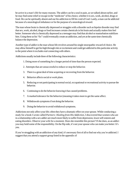be active in a man's life for many reasons. The addict can be a soul in pain, as we talked about earlier, and he may find some relief or escape in the "medicine" of his choice, whether it is sex, work, alcohol, drugs or food. He can be spiritually absent and use his addiction to fill his void of God. Lastly, a man can be addicted because of a neurological imbalance or for the purpose of a neurological reward.

The man whose brain is chemically depressed or struggles with a disorder such as bipolar disorder may find that sex, work, alcohol, drugs or food increases certain chemicals in his brain and actually makes him feel better. Someone who is chemically depressed as a teenager may find that alcohol or masturbation stabilizes him. Using these as his "fix" could eventually create an addiction, and yet at the same time chemically balance the depression.

Another type of addict is the man whose life revolves around his single neuropathic reward of choice. He may allow himself to get his high through risk or excitement and could get addicted to this particular activity to the point where it excludes real connecting with others.

Addictions usually include three of the following characteristics:

- 1. Doing more of something for a longer period of time than the person expected.
- 2. Attempts that are unsuccessful to reduce or stop the behavior.
- 3. There is a great deal of time acquiring or recovering from the behavior.
- 4. Behavior affects social or work plans.
- 5. Reducing or not participating in normal social, occupational or recreational activity to pursue the behavior.
- 6. Continuing to do the behavior knowing it has caused problems.
- 7. A marked tolerance for the behavior (meaning it takes more to get the same affect.
- 8. Withdrawals symptoms if not doing the behavior.
- 9. Doing the behavior to avoid withdrawal symptoms.

Addictions not only affect your life; often they have a dramatic effect on your spouse. While conducting a study for a book I wrote called *Partners: Healing from His Addiction,* I discovered that women who are in a relationship with a sex addict are much more likely to suffer from depression, lower self-esteem and eating disorders. Observe your wife for a moment. Does she resemble this picture? If she does, as an addict you may hold some of the responsibility. On the flip side, it's not your spouse who can make you better: It's you.

If you're struggling with an addiction of any kind, it's necessary first of all to find out why you're addicted. I suggest that you attend a support group listed in the appendix of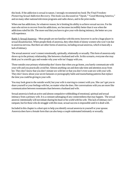this book. If the addiction is sexual in nature, I strongly recommend my book *The Final Freedom: Pioneering Sexual Addiction Recovery.* This book was discussed on "Oprah," "Good Morning America," and on many other national television programs and radio shows, and in the print media.

When one has addictions, for whatever reason, he is limiting his ability to achieve sexual success. For the man who strives to recover from his addictions, sex becomes incredibly better than it was when the addictions ruled his life. The more soul that you have to give your wife during intimacy, the better sex you will experience.

Battle 3: Sexual Anorexia – Most people are not familiar with this term; however it can be a huge player in sexual dissatisfaction. When people think of anorexia, they often think of skinny women who won't eat due to anorexia nervosa. But there are other forms of anorexia, including sexual anorexia, which is basically a lack of intimacy.

The sexual anorexic won't connect emotionally, spiritually, relationally or sexually. This form of anorexia only shows up in the primary relationship, like between a husband and wife. In this scenario, everyone else may think you're a terrific guy and wonder why your wife isn't happy with you.

Those outside your primary relationship don't know that when you go home, you barely communicate with your wife and you practically avoid her. Almost anything can and does take time and attention away from her. They don't know that you don't initiate sex with her or that you don't even want sex with your wife. They don't know about your secret fantasies or pornography habit and masturbating patterns that replace the time you could be giving to your wife.

You may look great to the outside world, but your wife is starving to connect with you. She can't get you to share yourself or your feelings with her, no matter what she does. Her conversations with you are more like communication between roommates than between a husband and wife.

Sexual anorexia is both an active and almost compulsive withholding of emotional, spiritual and sexual intimacy from a primary wife. It is a constant sabotaging of any connectedness that may happen. The sexual anorexic intentionally will not initiate sharing his heart or his world with his wife. This lack of intimacy isn't rampant, but for those who do struggle with this issue, sexual success is impossible until it is dealt with.

Included in this chapter is a short quiz to help you identify sexual anorexia in yourself or your spouse. Anorexia does have a female form that can also keep a couple stalemated intimately or sexually.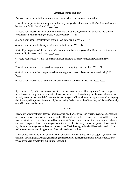#### **Sexual Anorexia Self-Test**

Answer yes or no to the following questions relating to the course of your relationship.

1. Would your spouse feel you keep yourself so busy that you have little time for him/her (not family time, but just time for him/her alone)? Y\_\_\_ N\_\_\_

2. Would your spouse feel that if problems arise in the relationship, you are more likely to focus on the problem itself before owning your side of the problem? Y\_\_\_ N\_\_\_

3. Would your spouse feel that you withhold love from her (not sex)?  $Y_N = N$ 

4. Would your spouse feel that you withhold praise from her?  $Y_N$  N

5. Would your spouse feel that you withhold sex from him/her or that you withhold yourself spiritually and emotionally during sex with her?  $Y_N$  N

6. Would your spouse feel that you are unwilling or unable to discuss your feelings with him/her? Y\_\_\_  $N_{\perp}$ 

7. Would your spouse feel that you have ungrounded or ongoing criticism of her? Y\_\_\_ N\_\_\_

8. Would your spouse feel that you use silence or anger as a means of control in the relationship? Y\_\_\_  $N_{\_\_\_\_\}$ 

9. Would your spouse feel that you control or shame her around financial issues? Y\_\_\_ N\_\_\_

If you answered "yes" to five or more questions, sexual anorexia is most likely present. There is hope sexual anorexia can go into full remission. I have had numerous clients throughout the years who were so sexually anorexic that they didn't have sex for over ten years. Often within six to eight weeks of developing their intimacy skills, these clients not only began having the best sex of their lives, they and their wife actually started liking each other again.

**\* \* \***

Regardless of your battlefield (sexual trauma, sexual addition or sexual anorexia) you can become sexually successful. I have counseled men from all walks of life with each of these issues—some with all three—and have seen their sex lives make an incredible turn-about. What follows is an outline of a very practical nontouchy-feely approach to overcoming each one these battlefronts. In my counseling practice I have assisted my clients in winning these battles thousands of times. The following outline I will be sharing works if you pick up your sword and charge toward the work needing to be done.

Those of you reading up to this point may not have any of these battles to work through. If you don't, be thankful! You might just want to glance though this section for general information, though, because these issues are so very prevalent in our culture today, and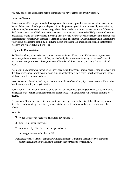you may be able to pass on some help to someone I will never get the opportunity to meet.

#### **Resolving Trauma**

Sexual trauma affects approximately fifteen percent of the male population in America. Most occurs at the hands of older men, older boys or male peers. A smaller percentage of victims are sexually traumatized by older women, baby-sitters or relatives. Regardless of the gender of your perpetrator or the age difference, the following exercise will help tremendously in overcoming sexual trauma and will help give you closure to past painful events. In case you need more help than afforded by these two exercises, seek the assistance of a professional counselor who specializes in sexual trauma. The process I will outline is found in the scripture where Jesus cleanses the temple by identifying the sin, expressing His anger, and once again the temple is cleansed and restored (Luke 19:45-48).

#### **1. Symbolic Confrontation**

Realize that when you experienced trauma, you were affected. Even if you didn't want to be, you were. Moreover, when someone is sexual, they are absolutely the most vulnerable they can be. So if a sexual perpetrator used you as a sex object, you were affected in all three parts of your being (spirit, soul and body).

Not all, but many traditional therapists are ineffective in handling sexual trauma because they try to deal with this three-dimensional problem using a one-dimensional method. The process I am about to outline engages all three parts of your woundedness.

Note: As a word of caution, before you start the symbolic confrontations, if you have heart trouble or other health issues, consult your physician first.

Sexual trauma is not the only trauma a Christian man can experience growing up. There can be emotional, physical or even spiritual trauma experienced. The exercise I will outline here will work for all forms of trauma.

Prepare Your Offenders List – Take a separate piece of paper and make a list of the offender(s) in your life. List the offenses they committed, your age at the time of the offense and a brief description of the offense.

#### Example:

- $\Box$  When I was seven years old, a neighbor boy had me...
- $\Box$  Dad left me when I was nine.
- □ A female baby-sitter forced me, at age twelve, to...
- $\Box$  A stranger in an adult bookstore did...
- Rank these offenses in order of intensity, with the number "1" marking the highest level of trauma experienced. Next, you will need to confront each perpetrator symbolically,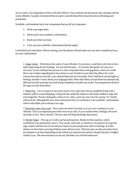one at a time. (An explanation of how to do this follows.) Just confront one person per day, starting with the worse offender. I usually recommend that you give yourself about three days between confronting each perpetrator.

Symbolic confrontations have four components that are all very important:

- 1. Write your anger letter.
- 2. Warm up for your symbolic confrontation.
- 3. Read your letter out loud.
- 4. Carry out your symbolic confrontation (hit the target).

I will detail each step below. Before starting, turn the phones off and make sure you have complete privacy for your confrontation.

1. Anger Letter – Write down the name of your offender, if you know it, and then write him or her a letter expressing all your feelings. Do not mail the letter—it is strictly therapeutic for your own recovery. If you could put this person in a chair, strap them down and gag them, what you would like to say to them regarding they have done to you? Include in your letter the affects his or her actions have had on your life, your relationships and your sexuality. Don't hold back any thoughts or feelings, and don't worry about your language either. More than likely, sexual abuse has dramatically affected your life and kept you from being completely sexually successful. Your perpetrators deserve the rage you feel about them.

2. Warm Up – Get a racquet or bat (most stores carry sport bats that are padded) along with a mattress, pillow or punching bag. Using your bat, strike the mattress with small, medium, large and extra large hits. Practice doing this a time or two. Also, warm up your voice by saying "no" louder with each hit. Although this may seem awkward at first, it is essential to your symbolic confrontation, which will enable you to release your rage.

3. Read the Letter Out Loud – Now read your letter out loud, as if you were reading it to your offender. This is an important part of the exercise as well. As you read the letter, feelings will swell up inside of you. That is normal. The next step will help discharge that trauma.

4. Hit the Target – Now go at it with your bat and mattress. Really let that mattress, which symbolizes your perpetrator, have it. You can hit, yell, kick, or whatever you need to do to get the rage, shame and hate out of you and put it back on your perpetrator where it belongs. It's their shame you have been carrying all these years and not yours. This last step can take anywhere from ten minutes to an hour depending on the ordeal you experienced and how deeply the pain is lodged inside of you. The more emotion you let out, the better you will feel afterward.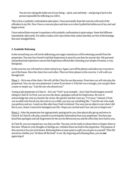You are now taking the bullet out of your being—spirit, soul and body—and giving it back to the person responsible for inflicting you with it.

This is how a symbolic confrontation takes place. I have personally done this exercise with each of the offenders in my life. Now I have a concrete place and time as to when I pulled the bullets out of my soul and began to heal.

I have noticed that everyone's experience with symbolic confrontation is quite unique. Some feel different immediately afterwards. For others it takes a few days before they realize that they are free of the bondage that once strangled them.

#### **2. Symbolic Releasing**

In this second step you will not be addressing your anger; instead you will be releasing yourself from the perpetrator. You may have heard it said that forgiveness is more for you than for anyone else. My personal and professional experience concurs that forgiveness offered after cleansing your temple of trauma, is very therapeutic.

In this exercise you will need two chairs and privacy. Again, turn off the phones and make sure everyone is out of the house. Have the chairs face each other. There are three phases to this exercise. I will walk you through each.

Phase 1 – Sit in one of the chairs. We will call this Chair for our discussion. From here you will role-play the perpetrator. You can use your perpetrator's name if you know it. If he/she was a stranger, you can give them a name or simply say, "I am the one who abused you."

Acting as the perpetrator in Chair A—let's use "Fred" as an example—face Chair B and imagine yourself sitting in Chair B. As Fred, you can own the abuse, apologize and ask for forgiveness. Be sure to acknowledge the costs to yourself, the victim. Be specific and don't just say, "I'm sorry." Instead, if Fred was an adult who forced you into oral sex as a child, you may say something like, "I am the one who made you perform oral sex. I used you like other boys I had victimized. You were just an object to me when I did this to you. I know I must have damaged your life. I hope you can heal and I now ask you to forgive me."

Phase 2 - After the perpetrator has appropriately apologized to you, then physically get up and move to Chair B. In Chair B, role-play yourself as receiving this information from your perpetrator. You have just heard him apologize and ask forgiveness for the acts he did toward you and the effect they have had on you.

In Chair B, you can respond any way that you like. You may not be ready to release them or forgive them at this time. Whatever your thoughts or feelings are, verbalize them out loud to the perpetrator. The purpose of this exercise is for you to be honest. Releasing them at some point is a gift you can give to yourself. Their life moved on whether you "let them off the hook" or not. By forgiving and releasing them, you are **not** approving of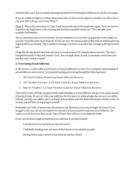what they did to you. You are simply releasing that behavior from having an influence in your life any longer.

If you are unable to forgive or release them at this time, try this exercise again in a month or so. However, if you were able to let go, move onto Phase 3.

Phase 3 – Physically move back to Chair A and resume the role of the perpetrator again. Now you need to respond to the forgiveness or the releasing that has been extended toward you. This concludes your symbolic confrontation.

This is a powerful exercise for most men. As you complete it you can fully say good-bye to this chapter of your life. From this point on the majority of men can view the trauma as part of their history without allowing ongoing affects to continue. This is similar to bearing a scar from an accident but no longer suffering from the pain.

I hope that all who need to heal from the issue of sexual trauma will complete these exercises. They have changed thousands of men and women's lives. You can apply them, as well, to traumatic events from your past that aren't sexual in nature.

### **3. Overcoming Sexual Addiction**

In this section, I want to offer you the basics of sexual addiction recovery. For a complete understanding of sexual addiction and recovery, I recommend reading and working through the following books:

- 1. *The Final Freedom: Pioneering Sexual Addiction Recovery*
- 2. *101 Freedom Exercises: A Christian Guide for Sexual Addiction Recovery*
- 3. *Steps to Freedom: A 12-step Christian Guide for Sexual Addiction Recovery*

These three books will help you gain a better understanding of sexual addiction and give you a great amount of practical tools. To recover from your addiction the first step is to acknowledge that you are a sex addict. Nobody can help a sex addict who is in denial of his problem and who thinks that all guys do this or that. To recover, you will have to stop lying to yourself.

Remember our Father in heaven sees all and knows all. He knows your every thought. He knows if you struggle in this area. He also has heard every prayer you have prayed to stop your secret behavior. He wants you to be free more than you do. You will have Him with you as you fight this battle.

It may now be time to begin to heal from your addiction if you find yourself:

Convinced your sexual behavior has to be secret

Continually needing more and more of this behavior to be satisfied sexually.

Having tried to stop a certain sexual behavior and have failed.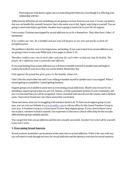Knowing your wife doesn't agree, but you keep doing this behavior, even though it is affecting your relationship with her.

Addictions by definition are not something you are going to recover from on your own. I'm sure you believe that you can handle this yourself; however, that is the surest way to fail. Again, stop lying to yourself. You are going to need some help to get better. Another man is going to need to be in your life for support.

I see so many Christian men trapped by sexual addiction try to fix it themselves. They often have I John 1:9 memorized.

### *If we confess our sins, he is faithful and just and will forgive us our sins and purify us from all unrighteousness*.

The problem is that this verse is for forgiveness, not healing. If you want to heal from sexual addiction you are going to have to turn your Bible back a few pages to James 5:16.

*Therefore confess your sins to each other and pray for each other so that you may be healed. The prayer of a righteous man is powerful and effective.*

If you want healing from sexual addiction you will have to humble yourself to another man and begin to confess the truth of your sin so that you can be healed. Remember that

## *God opposes the proud but gives grace to the humble*. James 4:6

I don't like this much either but until I was willing to humble myself to another man I was trapped. When I started getting accountability I started getting freedom.

Support groups are available to assist men in overcoming sexual addictions. Maybe your excuse for not attending a support group is that you are rich, famous, or hold a prominent position in your community, and you're concerned that you will be recognized. I have counseled with men all over the country and in all these years, I have never found one case where anonymity was broken.

These men know what you're struggling with and have heard it all. To find a local support group in your area, you can visit our Website at www.sexaddict.com or call my office for the closest Freedom Group in your area. A Freedom Group is a Christ-based Twelve-Step support group. If your church doesn't have one in place, volunteer to lead it yourself. Our experience is that once a church offers help for the sexually addicted these groups multiply quickly.

You can get free from sexual addiction and become sexually successful. Just don't try to do it all by yourself; it just won't work.

### **3. Overcoming Sexual Anorexia**

Sexual anorexia sometimes can be present at the same time as sexual addiction. If this is the case with you, you will need to work through recovery for sexual addiction and the intimacy exercises for sexual anorexia.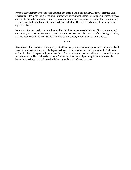Without daily intimacy with your wife, anorexia can't heal. Later in this book I will discuss the three Daily Exercises needed to develop and maintain intimacy within your relationship. For the anorexic these exercises are essential to his healing. Also, if you rely on your wife to initiate sex, or you are withholding sex from her, you need to establish and adhere to some guidelines, which will be covered when we talk about a sexual agreement later on.

Anorexics often purposely sabotage their sex life with their spouse to avoid intimacy. If you are anorexic, I encourage you to visit our Website and get the 90-minute video "Sexual Anorexia." After viewing this video, you and your wife will be able to understand this issue and apply the practical solutions offered.

**\* \* \***

Regardless of the distractions from your past that have plagued you and your spouse, you can now heal and move forward to sexual success. If this process involves a lot of work, start on it immediately. Make your action plan. Mark it in your daily planner or Palm Pilot to make your road to healing a top priority. This way, sexual success will be much easier to attain. Remember, the more soul you bring into the bedroom, the better it will be for you. Stay focused and give yourself the gift of sexual success.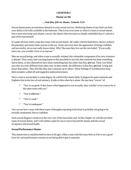### **CHAPTER 4**

#### **Shame on Me**

### *…And they felt no shame.* **Genesis 3:25**

Sexual shame poses an enormous obstacle to your sexual success. Harboring shame of any kind can limit your ability to be fully available in the bedroom. This is true even more so when it comes to sexual shame. Since most men keep such shame a secret, the shame often becomes so deeply imbedded that it's almost a part of the man himself.

It's quite obvious when a man has issues with sexual shame. He walks with his head down, doesn't achieve his potential, and rarely looks anyone in the eye. Some men may have the appearance of being confident and successful, yet no one really knows them. Why? Because they live out the core belief, "If you really knew me, you wouldn't love or accept me."

Men are sexual beings, and when a man is sexually violated, this vulnerable component of his very existence is abused. Thus, many men carrying shame in this area believe not only that someone has done something bad to them, or they themselves have done something bad, but rather that they **are** bad. Their core belief says they are truly different from other men. In their minds, the difference is that they **are** bad, wrong and lesser than others. They feel like they don't measure up to others. These feelings of worthlessness keep them isolated, walled off and trapped in underachievement.

Since a man is sexual daily to some degree, he will feel this shame daily. It plagues his quiet moments and frightens him in the face of real intimacy. It talks to him when he is alone. He may hear "voices" of:

- ? "You're no good. If they knew what happened to you sexually, they wouldn't even want to be in the same room with you."
- ? "You're different."
- ? "You're weak."
- ? "You're inadequate."

You can see how a man with these types of thoughts repeating in his head is probably not going to be sexually unashamed, free or confident.

Such sexual disgrace connects to the very core of the masculine soul. In this chapter we will discuss three types of sexual shame, and I will outline a plan for you to move beyond the shame and into sexual acceptance and sexual health.

### **Sexual Performance Shame**

This shame tries to manifest itself in men of all ages. Often a man with this issue feels as if he is not a good lover for such performance reasons as not being able to get or maintain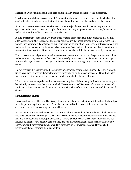an erection. Overwhelming feelings of disappointment, hurt or rage often follow this experience.

This form of sexual shame is very difficult. The isolation this man feels is incredible. He often feels as if he can't talk to his friends, pastor or doctor. He is so ashamed sexually that he barely feels like a man.

A second issue common among men is that of premature ejaculation, meaning a man may ejaculate so quickly that the sex act is over in a couple of minutes. This may happen for several reasons; however, the feeling afterwards is still the same—that of inadequacy.

A third area is that of not bringing your spouse to orgasm. Some men have much of their sexual identity attached to bringing her to orgasm. They often don't realize that not all women are orgasmic in the same manner, and some are only orgasmic by a specific form of manipulation. Some men take this personally and feel sexually inadequate when they themselves have an orgasm and then their wife needs a different form of stimulation. Over a period of time this can transform a sexually confident man into a sexually shamed man.

The last issue of sexual performance shame does not have as much to do with the performance as it does with men's anatomy. Some men feel sexual shame solely related to the size of their sex organ. Perhaps he was teased in gym classes as a teenager or when he was viewing pornography he compared himself to others.

He rarely shares this shame with others, but instead allows the shame to get embedded deep in his heart. Some have tried enlargement gadgets and even surgery because they have not accepted their bodies the way they are. Often this shame keeps a man from the sexual inheritance he desires.

What's more, the man experiences this shame even though his wife is sexually fulfilled and has verbally and behaviorally demonstrated that she is satisfied. He continues to feel like lesser of a man than others and rarely internalizes genuine sexual affirmation or praise from his wife; instead he remains muddled in sexual shame.

### **Sexual History Shame**

Every man has a sexual history. The history of some men only involves their wife. Others have had multiple sexual experiences prior to marriage. As we have discussed earlier, some of these men have also experienced sexual trauma during their sexual history.

Whatever the history, many have sexual memories that bring tremendous shame when recalled. One man told me that when he was younger he worked in a convenience store where a woman continuously called him and talked sexually inappropriately to him. This went on for weeks. One day she invited him to her house. She kept her house totally dark and they had sex. It was then that he realized she was incredibly obese and significantly older than he was. This continued on for several occasions. This man had tremendous shame regarding these encounters.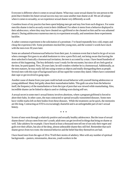Everyone is different when it comes to sexual shame. What may cause sexual shame for one person to the point that it hinders his future sexual success may not cause another man shame at all. We are all unique when it comes to sexuality, so we experience sexual shame very differently as well.

Countless hours of my practice has been spent helping men get and stay free from such disgrace. For some men this shame is tied to an early event in their childhood. For others it stems from a behavior displayed in their adolescence, where they may have cheated on a girlfriend or she cheated on him and he was ashamed about it. During adolescence numerous men try to experiment sexually, and sometimes these experiments backfire.

A rather common experiment is the solicitation of a prostitute. I've heard repeatedly how cold, empty and cheap the experience felt. Some prostitutes mocked the young men, and the women's words have stuck with the men even 30 years later.

Some are ashamed of homosexual behavior from their past. A common event that is hard to let go of occurs when a teenager first goes to an adult bookstore to view a porn flick and, not being aware that leaving the door unlocked is basically a homosexual invitation, the teen is accosted by a man. I have heard hundreds of stories of this happening. The boy definitely wasn't ready for the encounter, but since all sex feels good at the time, he participated. Now, 20 years later, he still wonders whether he is a homosexual. Additionally, as the teen matures, he may easily fall into using women as objects and totally disregarding them as people. Several men with this type of background have all but raped the women they dated. Others have committed date rape or got involved in gang rapes.

Another cause of shame from your past could include sexual behavior with yourself during adolescence or young adulthood. Many feel guilty about their masturbation habits. This guilt can arise from the behavior itself, the frequency of the masturbation or from the type of porn that was viewed while masturbating. Also, incredible shame can be linked to objects used or clothing worn during self-sex.

A sexual secret in some men's sexual history involves abortions, where a pregnant girlfriend is forced to abort their baby. In other cases, the man contracted or spread sexually transmitted diseases. Some men have visible marks left on their bodies from these diseases. While the treatment can be quick, the memories are life-long. Contracting an STD is excruciatingly shameful and is an unforgettable part of one's sexual history.

**\* \* \***

Scores of men went through a relatively positive and sexually healthy adolescence. But the issue of sexual shame doesn't always stem from one's youth; adult men can get involved in things that bring on shame as well. Take adultery for example. I have heard at least a thousand men tell me of not only their regret and guilt over their affairs, but also of the deep, almost unbearable shame they still feel. Remember that such shame grows from two roots: the immoral behavior and the belief that they themselves are bad.

I have heard men from the ages of 20 to 70 tell their stories of adultery. Men with any number of spiritual backgrounds—pastors, missionaries, deacons, youth workers in the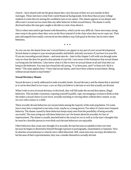church—have shared with me the great shame they carry because of their sex acts outside of their marriages. These men have come from varied financial backgrounds, from those that are poor college students to some that are among the wealthiest men in our nation. This shame appears to run deeper and affect men's sexual success more than any other behavior in their sexual history. The shame is rarely disclosed unless the man gets caught or decides to come clean about it.

This is where men need to get honest with themselves, which can be very difficult. I have seen many strong men weep to the point where they were on the floor instead of in the chair when their secret came out. Their pain and anguish have totally convinced me that adultery may look good at the time, but its end is sheer bitterness.

**\* \* \***

As you can see, the shame from one's sexual history can appear at any part of your sexual development. Sexual shame is unique to your sexual personality and beliefs, and only you know if you have it in your life. If you are concealing sexual shame—and most men do—later in this chapter I will walk you through some ways to close the door for good to that episode of your life. I am aware of the limitations that sexual shame can bring into the bedroom. I also know what it is like to have no sexual shame at all and what *that* can bring to the bedroom. You may have heard the old saying, "I've been poor, and I've been rich. Rich is better." The same applies here: "I have had sexual shame, and I have been without sexual shame. Being without sexual shame is much better."

### **Sexual Deviancy Shame**

Sexual deviancy is rarely addressed in male sexuality books. Sexual deviancy and the shame that is attached to it can be described in two ways: a sex act that you believe is deviant or acts that actually are deviant.

When I refer to acts of sexual deviancy in this book, they will fall under the second description, illegal behaviors. This includes voyeurism, exposing yourself in public, rape, encouraging a woman to drink so that she makes a sexual choice in your favor, sexually touching or viewing others without their consent, or any sex acts with a minor or a child.

These sexually deviant behaviors are not prevalent among the majority of the male population. For some men it may have comprised a one-time event, maybe as a young person. For others it's been more frequent behavior. The shame caused by these behaviors keeps many men from the possibility of being sexually successful. The man acting out with these behaviors can't be honest about his sexuality for fear of imprisonment. The shame is usually attached both to the actual sex act as well as to the man's thoughts that he must be a horrible person to even think such deviant behaviors are enjoyable.

Often behaviors that a man once thought of as sexually deviant become acceptable to him over time because he begins to desensitize himself through exposure to pornography, masturbation or fantasies. Now he attaches sexual pleasure to what he once called abnormal. Still, some men may not enjoy the behavior, but because of their experimentation, they now consider themselves sexually deviant.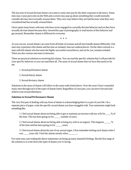The last area of sexual deviant shame can come to some men just by the sheer exposure to deviancy. Some men may cruise porn sites on the Web and a screen may pop up about something they would normally consider deviant, but it sexually arouses them. They now may believe they are bad because what they once considered bad has sexually aroused them.

I have spent many hours with men who have never engaged in a sexually deviant behavior and yet they have sexually deviant shame because they viewed this type of pornography or read stories of this behavior and got aroused. Remember shame is different for everyone.

**\* \* \***

As you can see, sexual shame can come from all kinds of avenues and all men handle shame differently. One man may experience this shame and become an isolated, insecure underachiever. On the other extreme is a man with this shame who becomes the highly successful overachiever, and yet he, too, remains isolated. There are also various outcomes in between.

There are practical solutions to resolving this shame. You can read the specific solution that I will provide for your specific behavior or you can read them all. The areas of sexual shame that we have discussed so far are:

- 1. Sexual performance shame
- 2. Sexual history shame
- 3. Sexual deviancy shame

Solutions to the areas of shame will follow in the same order listed above. Over the years I have counseled many men through each of the types of shame listed. Regardless of your past, you can move forward and achieve your sexual inheritance.

#### **Solutions to Sexual Performance Shame**

The very first part of dealing with any form of shame is acknowledging that it is a part of your life. On a separate piece of paper, write the specific sexual shame you have struggled with. Your statements might look something like:

1. I feel sexual shame about not being able to get or maintain an erection with my wife for \_\_\_\_% of the time. This has been going on for \_\_\_\_\_ number of years.

2. I feel sexual shame about not being able to bring my wife to an orgasm. This happens 1.4 of the time and has been going on for \_\_\_\_\_ years.

3. I feel sexual shame about the size of my sexual organ. I first remember feeling such shame when I was \_\_\_\_ years old. I feel this shame mostly when \_\_\_\_\_\_.

For some men, just reading the above statements can bring up many shameful feelings. But the first stage of the solution is to write down the types of shame you're facing.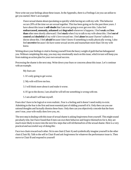Next write out your feelings about these issues. In the Appendix, there is a Feelings List you can utilize to get you started. Here's an example:

I have sexual shame about ejaculating so quickly while having sex with my wife. This behavior occurs 20% of the time we are sexual together. This has been going on for the past three years. I have about this issue is **self-doubt** that I am ever going to ever get over this. I also feel **embarrassed, unmanly, ashamed** and **degraded** whenever it happens. I feel **weak** and **less than** other men shortly afterward. I feel **stuck** when I try to talk to my wife about this. I feel **out of control** and **doubtful** of my wife's love toward me. I feel **alone** because I haven't talked to a doctor about this. I feel **afraid** because I don't know if something is really physically wrong. I also feel **secretive** because I do have some sexual secrets and masturbate more than I let my wife know.

Writing down your feelings is vital to freeing yourself from the heavy weight of guilt that has beleaguered you. Without completing this step, you may stay emotionally stuck on this issue, which in turn will keep you from making an action plan for your own sexual success.

Processing the shame is the next step. Write down your fears or concerns about this issue. Let's continue with an example.

My fears are:

- 1. It's only going to get worse.
- 2. My wife will love me less.
- 3. I will think more about it and make it worse.
- 4. If I go to the doctor, I am afraid he will tell me something is wrong with me.
- 5. I am afraid I will hate myself.

Fears don't have to be logical or even realistic. Fear is a feeling and it doesn't need reality to exist. Admitting to the fear is the first and most essential part of ridding yourself of it. Only then can you use rational thoughts and factually dismiss these fears. Only then can you objectively concede that the fears aren't true, your wife really does love you, etc.

The next step in dealing with this issue of sexual shame is asking forgiveness from yourself. This might sound peculiarly trite, but I have found that if men can own their behavior and forgive themselves for it, they are much more likely to move into the next few steps that will rid themselves of the sexual shame. Here is a very practical and successful way of doing this:

Face two chairs toward each other. Sit in one chair (Chair A) and symbolically imagine yourself in the other chair (Chair B). Talk to the self in Chair B and ask forgiveness for whatever the performance issue is. Then move to Chair B and respond to yourself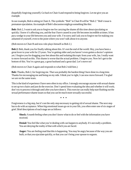(hopefully forgiving yourself). Go back to Chair A and respond to being forgiven. Let me give you an example.

In our example, Bob is sitting in Chair A. The symbolic "Bob" in Chair B will be "Bob 2." Bob's issue is premature ejaculation. An example of Bob's discussion might go something like this:

**Bob:** Bob 2, I want to ask you to forgive me for carrying the shame all this time about ejaculating so quickly. I know it's affecting you, and the fear I have caused in your life becomes incredible at times. It has put a wedge in your life between you and your wife. I'm sorry and I ask you to forgive me for making you ashamed of yourself, even to the point where you won't talk about it to anyone.

(Bob moves to Chair B and now role-plays himself as Bob 2.)

**Bob 2:** Bob, thank you for finally talking about this. It's not the end of the world. Hey, you have been a great lover to your wife for 23 years. You're getting older and you haven't even gotten a doctor's opinion yet. I forgive you for dragging your feet about this and isolating this topic from your wife, Jan. I really want to move forward on this. This shame is worse that the actual problem. I forgive you. Now let's get to the bottom of this. You're a great guy, a great husband and a great dad. Let's move on!

(Bob moves to Chair A again and responds to what Bob 2 told him.)

**Bob:** Thanks, Bob 2, for forgiving me. That was probably the hardest thing I have done in a long time. Thanks for encouraging me and being on my side. I think you're right, I can now move forward. I'm glad we are on the same team.

This is the kind of experience I have seen often in my office. I strongly encourage anyone with sexual shame to set up two chairs and just do the exercise. Don't spend time evaluating the idea and whether it will work; don't try to process it through until after you have done it. This exercise can really help start flushing out the sexual performance shame issues so that you can be much more sexually successful.

**\* \* \***

Forgiveness is a big step, but it's not the only step necessary to getting rid of sexual shame. The next step has to do with acceptance. When big emotional issues go on in your life, you often enter one of six stages of grief. Brief descriptions of each stage are as follows:

**Shock:** A numb feeling when you don't know what to do or feel with the information you have received.

**Denial:** You feel like what you're dealing with can happen to anybody. It's not really a problem. You are denying the reality of that with which you are faced.

**Anger:** You are feeling mad that this is happening. You may be angry because of the way you are built, or that you ejaculate quickly, or that you can't bring your spouse to orgasm.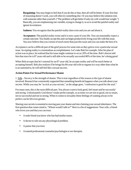**Bargaining:** You may begin to feel that if you do this or that, then all will be better. If your first line of reasoning doesn't work, you will often try something else. Or you may believe the solution rests with someone other than yourself. ("The problem will get better if only my wife would lose weight.") Basically, you are emphasizing one variable, trying to change it, so as to avoid the painful reality and ignore its existence.

**Sadness:** You recognize that the painful reality does exist and you are sad about it.

**Acceptance:** The painful reality exists and it is now a part of your life. You can reasonably expect a certain outcome. You finally accept this and can begin productively living your life with this issue. You now believe that you consist of much more than just this issue and you can make the best of it.

Acceptance can be a difficult part of the grief process for some men as they grieve over a particular sexual issue. Accepting reality is a tremendous accomplishment. Let's take Bob for example. After his plan of action was in place, he realized that his issue might continue to occur 20% of the time. Bob's doctor told him that since he is 87 years old and is still able to be sexually successful 80% of the time, he's doing great!

When Bob accepts that he's normal for an 87-year-old, he accepts reality and will be much better at accepting himself. Bob also realizes if he brings his 84-year-old wife to orgasm in a way other than what he is accustomed to, he will still feel like a sexual success.

## **Action Points For Sexual Performance Shame**

1. Talk – Secrecy is the strength of shame. This is true regardless of the reason or the type of shame involved. Research has consistently supported that something beneficial happens when you talk about your secrets. While you may be "as sick as your secrets," as the adage goes, "confession is good for the soul."

For many men, this is the most difficult part. You always want to look good, feel smart and be successful and strong. Unfortunately God doesn't make perfect people, so at times we are not so good, not so smart, not so successful and not so strong. When it comes to sexuality these feelings of wanting always to be perfect can be felt even greater.

Sharing your secrets is essential to moving past your shame and into claiming your sexual inheritance. The first question that comes mind is, "Whom would I talk to?" Here is a list of suggestions: Your wife, a friend who loves you and that you can trust.

- A male friend you know who has had similar issues.
- A doctor to rule out any physiological problem.
- A pastor that you trust.
- A trained professional counselor/psychologist or sex therapist.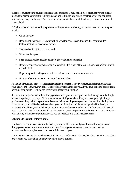In order to muster up the courage to discuss your problems, it may be helpful to practice by symbolically placing the person you want to talk to in a chair and talking to him or her. Whether or not you conduct a practice rehearsal, start talking! This alone can help separate the shameful feelings you have from the real issue at hand.

2. Be Proactive – If you're having a problem with a performance issue, you can make several action plans to help:

- Go to a doctor.
- Read a book that addresses your particular performance issue. Practice the recommended techniques that are acceptable to you.
- Take medication if it's recommended.
- Visit a sex therapist.
- See a professional counselor, psychologist or addiction counselor.
- If you are experiencing depression and you think this is part of the issue, make an appointment with a psychiatrist.
- Regularly practice with your wife the techniques your counselor recommends.
- If your wife is not orgasmic, go to the doctor with her.

As you go through this process, accept reasonable outcomes based on your factual information, such as your age, your health, etc. Part of life is accepting what is handed to you. If you have done the best you can on your action points, it will be easier for you to accept your situation.

4. Honor Yourself – One of the best things you can do for yourself in regards to eliminating shame is simply not do things that you know you'll become ashamed of. If you make a lifestyle of doing the right things, you're more likely to build a positive self-esteem. Moreover, if you do good for others without letting them know about it, you will feel even better about yourself. Imagine if all the secrets you had inside of you consisted only of how you had helped others! Life without shame is much more satisfying, incredibly so. If you do commit a less-than-wonderful act, talk about it as soon as possible so shame can't grow. I hope you will honestly evaluate your performance so you can be freed and claim sexual success.

# **Solutions to Sexual History Shame**

For those of you who have shame attached to your sexual history, I will provide an outline of proactive things you can do to move toward sexual success. I warn you that some of the exercises may be uncomfortable for you, but sexual success is right ahead of you.

1. Be specific – Sexual history shame is attached to a specific event. You may have had sex with a prostitute or a woman you didn't like, you may have date-raped, gotten a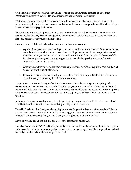woman drunk so that you could take advantage of her, or had an unwanted homosexual encounter. Whatever your situation, you need to be as specific as possible during this exercise.

Write down your entire sexual history. Write how old you were when the event happened, how old the perpetrator was, the type of sexual encounter and whether the event caused you shame. This will enable you to see any reoccurring types of shame.

Next, tell someone what happened. I want you to tell your deepest, darkest, most ugly secrets to another person. I realize this may be outright frightening, but if you don't confide in someone, you soul will remain sick. You must deal with your problem head on.

Here are some points to note when choosing someone in whom to confide:

- A professional psychologist or marriage counselor is my first recommendation. You can trust them to not tell a soul about what you have done since it is illegal for them to do so, except in the case of illegal behavior. (For more on this topic, see Solutions for Sexual Deviancy Shame below.) While female therapists are great, I strongly suggest seeing a male therapist because your shame is connected to your male sexuality.
- Others you can trust to keep a confidence are a professional member of a spiritual community, such as a pastor or other spiritual mentor.
- If you choose to confide in a friend, you do run the risk of being exposed in the future. Remember, those that love you today may feel differently tomorrow.

2. Apologize – Some men have gone back to the women to whom they cause pain and apologized. However, if you're married or in a committed relationship, such action should be a joint decision. I don't recommend doing this with an ex-lover. I do recommend this step if the person you have hurt is your present wife. You can then own—take responsibility for—the past pain you have caused her and move forward together.

In the case of ex-lovers, **symbolic** amends with two chairs works amazingly well. Here's an example of how David handled this with a situation involving his old girlfriend named Sue.

**David in Chair A:** "Sue I really need to apologize and ask for your forgiveness. When we dated I lied to you countless times. I slept with other women, including your best friend Connie. I not only hurt you, but I ruined a life-long friendship that you had. I need you to forgive me for these behaviors."

David physically gets up and sits in Chair B. He now assumes the role of Sue.

**David as Sue in Chair B:** "Well, David, you really were a liar and I spent many a night confused, crying or hating you. I didn't understand your problems, but that was ten years ago. Now I have a great husband and two kids, and I live where I have always dreamed of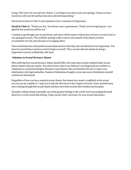living. I feel sorry for you and your choices. I can forgive you and accept your apology. I hope you have moved on with your life and have become a decent human being."

David moves back to Chair A and responds to Sue's extension of forgiveness.

**David in Chair A:** "Thank you Sue. You always were a good person. Thank you for forgiving me. I am glad life has turned out well for you."

Continue to go through your sexual history and check off the names of those that you know you have hurt as you apologize to each. This symbolic apology really works to rid yourself of the shame you have accumulated over the years because of wronging others.

I have found that men with painful sexual shame do best when they also ask themselves for forgiveness. You have let yourself down and now need to forgive yourself. They can also alleviate shame by doing a forgiveness exercise symbolically with Jesus.

### **Solutions to Sexual Deviancy Shame**

Men suffering from sexual deviancy shame should follow the same steps as those outlined under sexual history shame with one caution. You need to know that if your behavior was illegal and you confide in a clergyman or a paid psychologist, therapist or psychiatrist, they are bound by the law to report your information to the legal authorities. Statutes of limitations do apply, so you may want to familiarize yourself with the law beforehand.

Regardless of how you have acquired sexual shame, that shame has caused a roadblock to the sexual success you are capable of. I urge you to take the directions in this chapter seriously. I have assisted many men working through their sexual shame and have seen them reclaim their freedom and sexuality.

Sexuality without shame is probably one of the greatest feelings in the world. Each man reading this book deserves to work toward that feeling. I hope you do what's necessary for your sexual inheritance.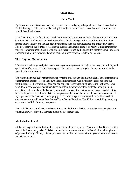### **CHAPTER 5**

### The M Word

By far, one of the most controversial subjects in the church today regarding male sexuality is masturbation. As the church gets older, men are discussing this subject more and more. In our Western culture this can actually be a divisive issue.

To make matters worse, few, if any, church denominations have a written doctoral stance on masturbation. Combine this lack of attention in the church with the fact that men get little to no information from their fathers about sexuality and you can see why this issue can be so misunderstood and emotionally based. Needless to say, in our journey toward sexual success the climb is going to be rocky. But I guarantee that you will learn more about masturbation and its differences, and by the end of this chapter you will be able to conclude intelligently for yourself and for your son(s) where you indeed stand on this issue.

### **Three Types of Masturbation**

Men that masturbate generally fall into three categories. As you read through this section, you probably will quickly identify yourself. That's the easy part. The hard part is in trusting the other two camps that other men identify with even exist.

The reason men often believe that their category is the only category for masturbation is because most men base their thought processes on their own experiential template. Our own experiences often limit our thinking process. For example, I have had bad experiences trying to fix things around the house. I was never taught how by any of my fathers. Because of this, my experience tells me that generally all men, except the professionals, are bad at handyman work. Conversations with many of my peers validate this because they also call professionals to fix things around the house. Now I would have to think outside of my experience to believe that an average guy can fix most things in his house with no problem. Well of course there are guys like that. I see them at Home Depot all the time. But if I limit my thinking to only my experience, I will also limit my perspective.

I've said all that as a preface to our discussion. As I walk through the three masturbation types, please be patient. I know for a fact that there are men in all three categories.

### **Masturbation Type A**

Of the three types of masturbation, this is by far the smallest camp in the Western world and the hardest for some to believe actually exists. This is the man who has never masturbated in his entire life. Although some of you are thinking, "No way!" I want you to remember that just because it's not your experience it doesn't mean it doesn't exist.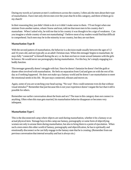During my travels as I present at men's conferences across the country, I often ask the men about their type of masturbation. I have met only eleven men over the years that fit in this category, and three of them go to my church!

In their reasoning they just didn't think to do it or it didn't make sense to them. I'll not forget when one minister from another nation, whom I know and trust, told me that most men in his country don't masturbate. When I asked why, he told me that in his country it was thought to be a sign of weakness. Can you imagine a whole country of men not masturbating? I believe most of my readers would find that difficult to comprehend. Such men may be in the minority in our country, but they are out there.

### **Masturbation Type B**

With the second pattern of masturbation, the behavior is a decision made usually between the ages of 12 and 16 years old, and not typically as an adult Christian man. When this teenager begins to masturbate, he stays fully "connected" to himself during the act, i.e. he does not lust or create sexual fantasies with the girls he knows. He would never use pornography during masturbation. For this boy, he's simply engaging in a bodily function.

This teenager generally doesn't struggle with lust. Since he doesn't fantasize he doesn't feel the guilt or shame often involved with masturbation. He feels no separation from God and goes on with the rest of his day as if nothing happened. He does not make up a fantasy world and he doesn't use masturbation to meet the emotional needs in his life. He just stays connected, releases and moves on.

Again, some of you are scratching your head saying, "No way! How could someone even do that without visual stimulus?" Remember that just because this is not your experience doesn't negate the fact that it still is possible for others.

Remember our earlier conversation about the brain and sex? The man in this category does not connect to anything. Often when this man gets married, his masturbation behavior disappears or becomes very infrequent.

### **Masturbation Type C**

This is the disconnected camp where objects are used during masturbation, whether it be a fantasy or an actual physical item. Teenage boys in this camp use fantasy, pornography or some form of objectifying women not only to arouse them during masturbation, but also to bring them to a point of ejaculation. When such a teen enters this other world of fantasy, pornography and objectification, he has to spiritually and emotionally disconnect so he can fully engage in the fantasy state that he is creating. (Remember from our previous conversation that internal sexuality and lust is always sin.)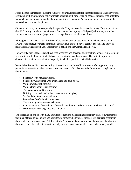For some men in this camp, the same fantasy of a particular sex act (for example: oral sex) is used over and over again with a woman who really wants to be sexual with him. Often he chooses the same type of fantasy woman (a particular race, a specific shape or a certain age woman). Any woman outside of his particular focus is less than interesting to him.

Others in this camp can be completely the opposite. They are more interested in variety. They believe there shouldn't be any boundaries to their sexual fantasies and hence, they will objectify almost anyone in their fantasy state and any sex act (legal or not) is acceptable and stimulating to them.

Although the fantasy isn't real, the object of the fantasy does whatever you want, whenever you want, always wants more, never asks for money, doesn't have children, never gets tired of you, and above all really likes having sex with you. This fantasy is a sham and the woman in it isn't real.

However, if a man engages in an object-type of self sex and develops a neuropathic chemical reinforcement in his brain, it will affirm to him that object-type sex is chemically awesome. The desire to repeat this disconnected sex increases with the frequently in which he participates in this behavior.

Not only is this man disconnected during his sexual acts with himself, he is also reinforcing some pretty powerful yet unrealistic belief systems about sex. Here is a list of some of the things men have placed in their fantasies.

- Sex is only with beautiful women.
- Sex is only with women who are in shape and have no fat.
- Women want sex all the time.
- Women think about sex all the time.
- The woman does all the work.
- Nothing is demanded of me but to receive sex (not give).
- Sex is all about me and what I want.
- I never hear "no" when it comes to sex.
- There is no good reason not to have sex.
- I am the center of the world and the world revolves around me. Women are here to do as I ask.
- Women want to be degraded and talk dirty.

The list can go on and on with many attitudes brought into his disconnected fantasy state. Now remember that most of these sexual beliefs and attitudes are formed when you are the most self-centered creature in the world—an adolescent male. Adolescents don't think about much more than themselves, their bodies, their friends and their life. It is easy to see why an adolescent male would create such a fantasy world.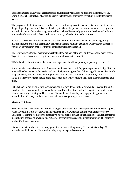This disconnected fantasy state gets reinforced neurologically each time he goes into the fantasy world. Some men can keep this type of sexuality strictly in fantasy, but others may try to turn these fantasies into reality.

The purpose of the fantasy world is another issue. If the fantasy to which a man is disconnecting to becomes illegal, degrading or deviant, it is more than likely that he will experience sexual self-shame. He may know masturbating to this fantasy is wrong or unhealthy, but he will eventually get stuck in the chemical rush he is rewarded with afterward. It feels good, but it's wrong, and so he often feels confused.

So you can see even in this disconnected camp that there are differences. When disconnecting during masturbation, the only point of similarity between men is the point of ejaculation. Otherwise the differences vary so widely that they are not within the same internal experience at all.

The issue with this form of masturbation is that lust is a big part of the act. For this reason the man with the Type C masturbation often feels guilt and shame and disconnected from God.

This is the kind of masturbation that most have experienced and have possibly repeatedly repented of.

For many adult men who grew up in the sexual revolution, this is probably your experience. Sadly, Christian men and heathen men were both educated sexually by *Playboy,* not their fathers or godly men in the church. It's just recently that men are reclaiming this area for their sons. Our video *Shepherding Your Son's Sexually* sells everywhere because of the desire men have to give more to their sons than their fathers gave them.

Let's get back to our original trail. We now can see that men do masturbate differently. Because the single word "masturbation" can differ so radically, this word "masturbation" no longer explains enough to know what we are really referring to. This is why I like to ask my clients they are engaging in type A, B or C masturbation. It's a way to talk in much more clear terms regarding masturbation.

### **The Plot Thickens**

Now that we have a language for the different types of masturbation we can proceed further. What happens when a Type B masturbator grows up and becomes a pastor, Christian counselor or Bible professor? Because he is coming from a purity perspective, he will not project lust, objectification or things like this into masturbation because he never did this himself. Therefore his message about masturbation will be basically be that it's okay to masturbate.

Likewise, he will rarely offer others any guidelines about avoiding fantasy. The men that are Type C masturbators think that this Christian leader is giving them permission not to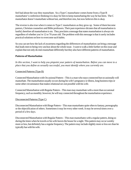feel bad about the way they masturbate. So a Type C masturbator comes home from a Type B masturbator's conference thinking it is okay for him to keep masturbating the way he has been. The C masturbator doesn't masturbate without lust, and therefore sins, but now believes this is okay.

The reverse is also true when it comes to Type C masturbators as they grow up. Some of them become pastors, Christian counselors and Bible professors. Their past experience dictates that all masturbation is lustful, therefore all masturbation is sin. They proclaim a message that states masturbation is always sin regardless of whether you're 12 or 70 years old. The problem with this message is that it rarely includes practical solutions on how to overcome such habits.

So you can see how the lack of awareness regarding the differences of masturbation can bring a message that leads men to being very unclear about the whole issue. I want to walk a little further on this issue and explain that not only do men masturbate differently but they also have different patterns of masturbation.

### **Patterns of Masturbation**

*In this section, I want to help you pinpoint your pattern of masturbation. Before you can move to a place that you define as sexually successful, you must identify where you currently are.*

### Connected Patterns (Type B)

Connected Masturbation with Occasional Pattern – This is a man who stays connected but occasionally will masturbate. The masturbation usually occurs during his wife's pregnancy or illness, long business trips or some other circumstance that makes relational sex not possible with his wife.

Connected Masturbation with Regular Pattern – This man may masturbate with a more than occasional frequency, such as monthly; however, he will stay connected throughout the masturbation experience.

### Disconnected Patterns (Type C)

Disconnected Masturbation with Binge Pattern – This man masturbates quite often to fantasy, pornography or the objectification of others. Sometimes it may be every other week. It may be several times over a period of a few days.

Disconnected Masturbation with Regular Pattern – This man masturbates with a regular pattern, doing so during the times when he travels or his wife leaves the house for a night. This pattern may occur weekly more or less, but definitely has a regular frequency. The pattern may include slightly more or less sex than he typically has with his wife.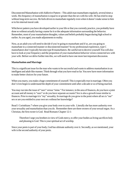Disconnected Masturbation with Addictive Pattern – This adult man masturbates regularly, several times a week. His frequency of masturbation is equal to or greater than the sex with his wife. He has tried to stop without long-term success. He feels driven to masturbate regularly even when it doesn't make sense to him or to his internal moral code.

Whichever pattern you have developed earlier in your life or that you currently practice, you probably have done so without actually having a name for it or the adequate information surrounding the behavior. Remember, most of your masturbation thoughts, values and beliefs probably began during high school or earlier. As you aged, you made adjustments to reality.

Now, as an adult you will need to decide if you're going to masturbate and if so, are you going to masturbate in a connected manner or disconnected manner? In my professional expeirence, type C masturbators don't typically become type B masturbators. Be careful not to deceive yourself.You will also have to look at your frequency and the proportion of your masturbation behavior verses connected sex with your wife. Before we delve further into this, we will need to have one more last important discussion.

### **Masturbation and Marriage**

This is a significant issue for the man who wants to be successful and wants to address masturbation in an intelligent and adult-like manner. Think through what you have read so far. You now have more information to make better choices for your future.

When you marry, you make a huge commitment of yourself. This is especially true in marriage. Often you don't even begin to understand the depth of your commitment until after a decade or so of being married.

You may run into the issue of "ours" versus "mine." For instance, in the area of finances, do you have a joint account and all money is "ours" or do you have separate accounts? Sex is also a growth issue similar to finances. Prior to marriage it is "my" sexuality. In marriage do you grow to the point where all sex is "our" sex or are you entitled to your own sex without her knowledge?

Read 1 Corinthians 7 where you give your body over to your wife. Literally she has more authority over your sexuality and masturbation than you do. Remember there are three owners of your sexual organ. As a Christian, the first owner is God. Read Romans Chapter 12:1:

Therefore I urge you brothers in view of Gods mercy, to offer your bodies as living sacrifices holy and pleasing to God. This is your spiritual act of worship.

Since your penis is part of your body, God has ultimate authority over it. Secondly, as we mentioned, your wife is the second authority of your penis.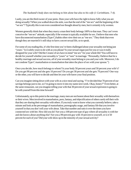#### *The husband's body does not belong to him alone but also to his wife (1 Corinthians. 7:4).*

Lastly, you are the third owner of your penis. Does your wife have the right to know fully what you are doing sexually? When you walked down the aisle, was that the end of the "me sex" and the beginning of the "we sex"? Typically this is not even considered nor thought about by men, but it certainly is by women.

Women generally think that when they marry a man their body belongs 100% to that man. They can't even conceive the "me sex" attitude, especially if the woman is typically available for sex. I believe that men who have disconnected masturbation (Type C) habits often view their sex as "me sex." They think that even though they are married it's still okay to have a secret sexual life, so to speak.

For some of you reading this, it's the first time you've been challenged about your sexuality not being just "yours." Is it solely yours to do with as you please? Is your sexual organ just for you or was it really designed for your wife? Did the Creator of sex have in mind "me sex" for your whole life? You will have to decide for yourself whether your sexuality is "yours" or "ours" in marriage. "Personally, I believe that for a healthy marriage and sexual success, *all* of your sexuality must belong to you and your wife. Moreover, I do not condone Type C masturbation or masturbation that takes the place of sex with your spouse.")

Once you decide, how much belongs to whom? Is your body 50 percent yours and 50 percent your wife's? Do you get 90 percent and she gets 10 percent? Do you get 30 percent and she gets 70 percent? One way or the other, you will have to decide and then let your wife know your final position.

Can you imagine sitting down with your wife at a nice meal and saying, "I've decided that 70 percent of our savings belongs just to me, so I'm going to move it into my name next week. Okay, honey?" Even better, at the same restaurant, can you imagine telling your wife that 30 percent of your sexual expression is going to be with yourself from this time forward?

Unfortunately, up to this point in the marriage, many men are not honest about their sexuality with themselves or their wives. Men involved in masturbation, porn, fantasy, and objectification of others rarely tell their wife that they are sharing their sexuality with others. If you truly want to know what you currently believe, take a minute and look at the percentage of masturbation, pornography usage, and fantasy life that you involve yourself in that you don't tell your wife about. Take that number and ratio it over the times you have connected sex with her. How did you do? Are you a 100 percent type of guy where all sexuality is with her and she knows about anything else? Are you a 90 percent guy with 10 percent to yourself, or is it 50 percent for each of you? Did your wife show up in the minority of your sexual activity?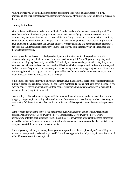Knowing where you are sexually is important in determining your future sexual success. It is in my professional experience that secrecy and dishonesty in any area of your life does not lend itself to success in that area.

### **Honesty Is the Issue**

Most of the wives I have counseled with really don't understand the whole masturbation thing at all. The issue that stands out for them is lying. Women cannot get it; to them lying is the number one sin you can commit. They already realize that their spouse will fall into doing some sin at some point in life—we all do; we're human. So why lie about it? That just may start a war. When you lie to a woman, you might as well have called her the ugliest name that you can think of. Women take lying as a personal affront. Honestly, I can't say that I understand it perfectly myself, but I can tell you from the many years of experience as a therapist that this is true.

You may say that she has never asked you about your masturbation habits; thus you have never lied. Unfortunately, only men think this way. If you never told her, why didn't you? If you're really okay with what you're doing in private, why not tell her? If both of you sit down and agree that it's okay for you to have a sexual behavior without her, then she should be fine with knowing the truth. At least she knows, and she has a vote in the process. It is her money and her sexuality you're spending, not just yours. Now, if you are coming home from a trip, you can be as open and honest about your self-sex experience as you are about the rest of the experiences you had on the trip.

If this sounds too strange for you to do, then you might have made a sexual decision for yourself that is not mutually agreed upon and is secretive. This can lead to marital and personal problems down the road. If you can't be honest with your wife about your total sexual expression, then you probably need to evaluate the reason for the ongoing lies to your wife.

How would you like to find out that your wife has a secret financial, sexual or other area of life? If you're lying to your spouse, it isn't going to be good for your future sexual success. It may be what is keeping you from having full three-dimensional sex with your wife, and will keep you from your best sexual experience ever.

Some women don't want to know if you masturbate, but giving them the choice to know is an honest position. Ask your wife, "Do you want to know if I masturbate? Do you want to know if I view pornography or fantasize about others when I masturbate?" Then, instead of you making these choices for her and having an ongoing secret in your relationship, she can voice her opinions and make a joint decision with you. Secrets kill intimacy and affect sexuality.

Some of you may believe you already know your wife's position on these topics and you're unwilling to expose this area, wanting to keep it to yourself. If she doesn't get a choice and you stay in an active state of withholding complete information, it will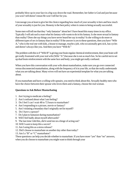probably blow up in your face in a big way down the road. Remember, her father is God and just because you won't tell doesn't mean He won't tell her for you.

I encourage you at least to give her the choice regarding how much of your sexuality is hers and how much of your sexuality is just for you. Honesty is the best policy when it comes to being sexually successful.

Some men will tell me that they "only fantasize" about her! I have heard this many times in my office. Typically I will ask such a man what his fantasy wife wants to do in his fantasy. Is she more sexual in fantasy than reality? Does she say things you have never heard her say in reality? Is she willing to do more or different types of sex in fantasy than in reality? If the answer is yes to these questions, then you have "Wife A," who is the real one with kids, a house to manage, maybe a job, who occasionally gets sick, has cycles and doesn't always like you. And then you have "Wife B."

The problem with this is if "Wife B" is giving your brain regular chemical reinforcement, then your brain will get really frustrated with your real wife (Wife "A") because she is not as much fun. So be careful not to set up dual brain reinforcement with the same face and body; you might get really confused.

When you have this conversation with your wife about masturbation, make sure you go over connected versus disconnected masturbation, along with the frequency of it in your life, so that she really understands what you are talking about. Many wives will not have an experiential template for what you are talking about.

If you masturbate and have a willing wife upstairs, you need to think about this. Sexually healthy men who have the choice between their spouse who loves them and a fantasy, choose the real woman.

### **Questions to Ask Before Masturbating**

- 1. Am I trying to medicate a feeling?
- 2. Am I confused about what I am feeling?
- 3. Do I feel I can't wait 48 to 72 hours to masturbate?
- 4. Am I responding to a picture, movie or fantasy?
- 5. Am I violating a boundary that I originally set for myself?
- 6. Do I have a spouse?
- 7. Do I plan to fantasize during masturbation?
- 8. Will I feel badly about myself afterwards?
- 9. The last time I did this, did it send me on a binge of acting out?
- 10. Will I want to keep this a secret?
- 11. Am I using this as a stress release?
- 12. Did I choose to masturbate on another day other than today?
- 13. Am I a "B" or "C" masturbator?

These questions can help you decide whether to masturbate. If you have more "yes" than "no" answers, when you do choose to masturbate you might want to think through your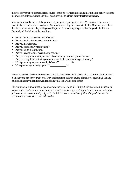motives or even talk to someone else about it. I am in no way recommending masturbation behavior. Some men will decide to masturbate and these questions will help them clarify this for themselves.

You can be sexually successful regardless of your past or your past choices. You may need to do some work in the area of masturbation issues. Some of you reading this book will do this. Others of you believe that this is an area that's okay with you at this point. So what's it going to be like for you in the future? Decided yet? Let's look at the questions.

- Are you having connected masturbation?
- Are you having disconnected masturbation?
- Are you masturbating?
- Are you occasionally masturbating?
- Are you binge-masturbating?
- Are you having regular masturbating patterns?
- Are you being honest with your wife about the frequency and type of fantasy?
- Are you being dishonest with your wife about the frequency and type of fantasy?
- What percentage of your sexuality is "ours"? \_\_\_\_\_\_\_\_\_\_%
- What percentage is solely "yours"?

These are some of the choices you face as you desire to be sexually successful. You are an adult and can't blame anyone else for your choices. They are important, as is the saving of money or spending it, having children or not having children, and choosing what you will do for a career.

*You can make great choices for your sexual success. I hope this in-depth discussion on the issue of masturbation makes you a more informed decision-maker. If you struggle in this area occasionally, get some male accountability. If you feel addicted to masturbation, follow the guidelines in the section of the book where we address this.*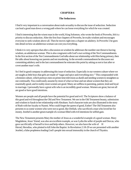### **CHAPTER 6**

#### **The Seductress**

I find it very important in a conversation about male sexuality to discuss the issue of seduction. Seduction can lead a good man down a wrong path where he can loose everything for which he was created.

I find it interesting that the wisest man in the world, King Solomon, who wrote the book of Proverbs, felt it a priority to discuss seduction. After the first four chapters of Proverbs, he exalts wisdom and encourages everyone to seek wisdom above all. Then he moves right into a chapter on adultery. In Proverbs 5 he goes into detail on how an adulterous woman can cost you everything.

I think it is very apropos that after a discussion on wisdom he addresses the number one threat to having wisdom, an adulterous woman. This is also congruent with God's own writing of the Ten Commandments. In the first section of the Ten Commandments God talks about our relationship with Him being primary, then He talks about honoring our parents and not murdering. In the seventh commandment he discusses not committing adultery and in the last commandment he reiterates this point by asking us not to lust after or covet another man's wife.

So I feel in good company in addressing this issue of seduction. Especially in our western culture where we are taught as little boys that girls are made of "sugar and spice and everything nice." This compounded with a feminist culture, which portrays men on prime time television as dumb and needing women to straighten us out continually. You could easily assume by most of what we hear and see about women that they are essentially good, and in reality most women are good. Many are selfless in parenting, patient, kind and loyal in marriage. I personally have a great wife who is an incredibly good woman. Women are great, but not all are good or have good intentions.

Women are people and all people have the potential for good and evil. The Scriptures show a balance of this good and evil throughout the Old and New Testament. We see in the Old Testament beauty, submission and wisdom in Sarah in her relationship with Abraham. Such character traits are also illustrated in the story of Ruth with her loyalty to Naomi. Who could forget the queen of good, Esther! The Old Testament also presents to us some women who were not so good, like Delilah, who sacrificed a man who loved her for money. Jezebel is another great example of a woman filled with evil intentions for selfish gain.

The New Testament presents Mary the mother of Jesus as a wonderful example of a good woman. Mary Magdalene, Jesus' friend, was also an excellent example, as was Lydia the seller of purple and Dorcas, who gave sacrificially of herself to love and help others. However, we also have the wife of H Herod, Herodias, who plotted to kill John the Baptist. In Revelation 2:18-29 we are presented with another Jezebel, a false prophetess leading God's people into sexual immorality in the church of Thyatira.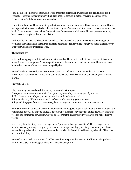I say all this to demonstrate that God's Word presents both men and women as good and not so good. Proverbs 7 outlines the seduction in which I am about to discuss in detail. Proverbs also gives us the greatest writings of the virtuous woman in chapter 31.

I must insert here that I have no ax to grind with women, even seductresses. I have authored several books and tape series for women who have been affected by men's sexual addiction issues. I have also written two books for women who need to heal from their own female sexual addictions. I have a great desire in my heart to see all people heal from sexual sins.

Additionally, I want to be biblically balanced, so I feel the need to caution men on this specific type of woman in the world and in the church. She is to be identified and avoided so that you can live happily ever after with God and your precious wife.

## **The Seductress**

In the following pages I will introduce you to the mind and heart of the seductress. I have met this woman many times as a young man. As a therapist I have seen the seductress heal and recover. I have also heard hundreds of stories of men who were ravaged by her.

We will be doing a verse-by-verse commentary on the "seductress" from Proverbs 7 in the New International Version (NIV). If you have your Bible handy, I would encourage you to read your translation as well.

# **Proverbs 7: 1-15**

1 My son, keep my words and store up my commands within you.

- *2 Keep my commands and you will live; guard my teachings as the apple of your eye.*
- *3 Bind them on your fingers; write them in the tablet of your heart.*
- *4 Say to wisdom, "You are my sister," and call understanding your kinsman;*
- *5 they will keep you from the adulteress, from the wayward wife with her seductive words.*

Here Solomon tells us to seek wisdom, to love wisdom enough to be practical about it. He encourages us to write things down. This is good advice. The older I get the more I have to write things down. He tells us if we keep the commands of wisdom, we will be safe from the adulterous wayward wife and her seductive words.

In recovery literature they have a concept called "principles above personalities." This concept is very helpful because you can get caught up in, or attached to, a personality (especially a woman's) and throw away all the good wisdom, common sense and even what the Word of God has to say about it: "Thou shall not commit adultery."

We need to love God, love His Word and base our lives on principles instead of following a hippy-based culture that says, "If it feels good, do it" or "Love the one you're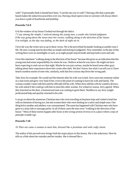with!" (I personally think it should have been, "Lust the one you're with!") Having a life that is principlebased makes the seductress powerless over you. Having a heart open to lust or curiosity will always direct you down a path of heartbreak and hardship.

## **Proverbs 7:6-9**

6 At the window of my house I looked out through the lattice. *7 I say among the simple, I noticed among the young men, a youth who lacked judgment. 8 He was going down the street near her corner, walking along in the direction of her house 9 at twilight, as the day was fading, as the dark of night set in*.

I love the way the writer sets us up in these verses. He is the proverbial bystander looking at another man's life. He sees a young man he describes as simple and lacking in judgment. Now remember, in the day of this writing there were no streetlights or such, so at night people stayed inside and kept both warm and safe.

I love this statement "walking along in the direction of her house" because this gives us an indication that this young man had some responsibility for where he was. I believe at best he was naive. He might not have been expecting to seek out sex that night. Maybe he was just curious, maybe he heard some other guys talking about their experiences down the corner after dark. We don't know, but what I can tell you is I have heard countless stories of men who, similarly, took that first curious step down the wrong path.

Take Jerry for example. He would surf the Internet after his wife was in bed. Jerry soon met someone online in a chat room and grew very fond of her, even to the point of wanting to leave his wife and family. The woman wouldn't meet with him until he officially left his wife. When Jerry told his wife he wanted a divorce, his wife asked if she could go with him to meet this other woman. For whatever reason, Jerry agreed. When they knocked on the door, a homosexual man was waiting to greet them. Needless to say Jerry sought professional help and quickly returned to his wife.

I can go on about the numerous Christian men who were traveling on business trips and visited a hotel bar with no intention of having sex, but met women there who were looking for a naïve and simple man. One thing led to another and adultery was consummated. The same has happened with Christian men who have gone to a strip club or massage parlor. In all of these cases the men were "walking in the direction of her house." Most of these stories happen after hours in the wrong section of town or in a place where a man of principle wouldn't go.

# **Proverbs 7:10**

## *10 Then out came a woman to meet him, dressed like a prostitute and with crafty intent*.

The author of this proverb now brings forth the major player in this drama. She is the seductress. Here he tells us a little about her outsides and her insides. She is dressed like a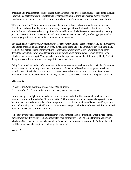prostitute. In our culture that could of course mean a woman who dresses seductively—tight pants, cleavage showing, lots of attention paid to perfecting her hair and makeup. Unfortunately, since men in America worship women's bodies, she could be found anywhere—the gym, grocery store, work or even church.

This is her "outside." The seductress sends out obvious sexual energy by the way she dresses and looks. Female sex addicts admit they would consciously choose specific outfits in order to hook their prey. One female therapist who counsels a group of female sex addicts had the ladies come to one meeting wearing just such an outfit. Some wore sophisticated suits, one wore an exercise outfit, another tight jeans and a revealing top. Clothes are one of the seductress's main weapons.

The second part of Proverbs 7:10 mentions the issue of "crafty intent." Some women really do embrace evil and an inappropriate sexual intent. Part of my own healing at the age of 16-19 involved avoiding the many women I met before Jesus became my Lord. These women were much older, some married, and they definitely had intent. They wanted to use me sexually and then throw me away. It was a game to them, which meant I was the target. Many guys have a similar experience where they felt they "got lucky." What they got was used, and in some cases it qualified as sexual abuse.

Being forewarned about the crafty intentions of the seductress, whether she's married or single, Christian or non-Christian, is a good preparation for winning the battle. I can't tell you how many young men have confided to me they had to break up with a Christian woman because she was pressuring them into sex. Know this: Men are not considered in any way special to a seductress. To them, you are just a sex partner.

### **Verse 11-12**

*11 (She is loud and defiant, her feet never stay at home; 12 now in the street, now in the squares, at every corner she lurks.)*

Here we are given insight into the seductress's behavior and attitudes. This woman does whatever she pleases; she is not submissive but "loud and defiant." This may not be obvious to you when you first meet her. She may appear demure and maybe even quiet and spiritual. Her rebellion will reveal itself as you grow into a relationship with her. She likes to be about town so to speak. She'd rather be out and about than tied down to a house or to children's demands.

I like the way the writer describes her locale: "at every corner she lurks." I think this was put here so men can be aware that this type of woman does exist in your community. Don't be fooled thinking you live in Mayberry. She is real and needs to be guarded against. Men in ministry, this is crucial! The best of people could be lulled into believing in her, including other women!

### **Verse 13**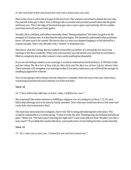### *13 She took hold of him and kissed him and with a brazen face she said:*

Here in this verse is where the text goes to the next level. The woman is not afraid to initiate the next step. Put yourself in this guy's shoes. You're flirting with a coworker and you find yourself alone and she grabs and kisses you. This is the edge of the hook that goes into a man's spirit, soul and body. All of a sudden your brain turns off and your body ignites.

Sexually she is confident, and without rationality about "fleeing temptation" this hook can grab even the strongest of Christian men. It is here that the seduction begins. She intuitively understands what prostitutes know: All men want to be wanted. She knows that as a man your deepest longing is to feel desired by a woman sexually. That's why she talks with a "brazen" or shameless face.

She knows what she's doing. She has studied victims like you before. It's even harder for you if your marriage is less than wonderful. When your wife sincerely says she desires you, that hole in your heart is filled so completely that no other woman's voice can be anything but distasteful.

If you are not feeling wanted in your marriage, I would recommend my book *Intimacy*: *A 100 Day Guide* and the videos *The Best Sex of Your Life for Men Only* and *The Best Sex of Your Life for Women Only*. These materials will strengthen your marriage so that if you meet a seductress, you will be all the stronger in standing up against her schemes.

Now we are going to delve deeper into the seductress's mindset. What she says to the man whom she is victimizing is priceless because it informs you of her true heart.

### **Verse 14**

*14 "I have fellowship offerings at home; today I fulfilled my vows."*

She is spiritual! She makes reference to fulfilling a religious vow. According to Leviticus 7:12-16, such fellowship offerings were to be eaten by family members. Now what man would turn down a free meal with a sexy lady who is attracted to him?

The meal may seem innocent or religious, but it's not. She is luring and seducing him to her place. This would be comparable to a woman saying, "Come over the day after Thanksgiving, my husband and kids are gone." Better yet, "We had a prayer meeting last night and I've got some leftover food. Wouldn't you like a tasty snack?" If you think this sounds ridiculous, I personally know of men falling for lines weaker than this.

### **Verse 15**

*15 "So I came out to meet you; I looked for you and have found you!"*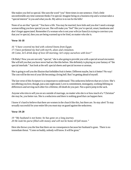She makes you feel so special. She uses the word "you" three times in one sentence. I feel a little uncomfortable any time someone thinks I'm special. Imagine being on a business trip and a woman takes a "special interest" in you and what you do. My advice is to run for the hills!

None of us are that "special." You have a life. You may be married, have kids and you don't need a strange woman telling you how special you are. She will make you "feel" like you're special, smart, handsome and don't forget appreciated. Remember if a woman who is not your wife (or fiancé) is trying to convince you that you're special, then you are being warmed up to be fried, no matter who she is.

## **Verse 16-18**

*16 "I have covered my bed with colored linens from Egypt. 17 I have perfumed my bed with myrrh, aloes and cinnamon. 18 Come, let's drink deep of love till morning; let's enjoy ourselves with love!"*

Oh Baby! Now you are not only "special," she is also going to provide you with a special sexual encounter. She will tell you that you have never had sex like this before. She definitely is playing on your fantasy of "the special interlude." Just look at the sell: special sheets and special incense or aromas.

She is going to sell you the illusion that forbidden fruit is better. Different maybe, but is it better? No way! The cost will be the rest of your life becoming a living hell. But I'm getting ahead of myself.

The last verse of this Scripture is so important to understand. This seductress believes that sex is love. She's not offering you love, though, just a one-night stand. Love is commitment, monogamy, working lifelong on differences and serving each other for a lifetime, till death do you part. Not a quick jump in the sack.

Anyone who tries to sell you on sex outside of marriage, no matter who she is or how much of a "Christian" she may be, you better run. She is a seductress and there is nothing good that can happen here.

I know it's hard to believe that there are women in the church like this, but there are. So stay alert! To stay sexually successful for your entire life you must stay on guard against the seductress.

## **Verse 19-20**

*19 "My husband is not home; he has gone on a long journey. 20 He took his purse filled with money and will not be home till full moon."*

Here she throws you the line that there are no consequences because her husband is gone. There is no immediate threat. "Come on buddy, nobody will know. It will be great."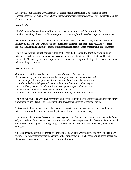Doesn't that sound like the Devil himself? Of course she never mentions God's judgment or the consequences that are sure to follow. She focuses on immediate pleasure. She reassures you that nothing is going to happen.

## **Verse 21-22**

*21 With persuasive words she led him astray; she seduced him with her smooth talk. 22 All at once he followed her like an ox going to the slaughter, like a deer stepping into a noose.*

Her greatest tool is her words. That's why it's not good to even talk to her. Many men have found the longer you talk to her, the weaker you become and the easier she can perpetrate you. Her words are smooth, kind, enticing and full of promises for immediate pleasure. These are earmarks of a seductress.

The fact that the man in this Scripture fell for her lies says it all. He didn't follow God's principles or wisdom. He followed *her.* Our naive man has now made himself a victim of the seductress. This will cost him his life. Oh so many men have wept in my office after awakening from the fog of their lustful encounter with a willing seductress.

## **Proverbs 5: 8-14**

*8 Keep to a path far from her, do not go near the door of her house, 9 Lest you give your best strength to others and your years to one who is cruel, 10 lest strangers feast on your wealth and your toil enrich another man's house. 11 At the end of your life you will groan, when your flesh and body are spent. 12 You will say, "How I hated discipline! How my heart spurned correction! 13 I would not obey my teachers or listen to my instructors. 14 I have come to the brink of utter ruin in the midst of the whole assembly."*

The men I've counseled who have committed adultery all testify to the truth of this passage. Inevitably they paraphrase verses 10 and 11 as they describe the devastating outcome of their decisions.

This can easily happen in a divorce where your assets go into child support and alimony—and your exwife's new husband's boats and cars—all paid for with your hard-earned money.

The Enemy's plan is to use the seductress to strip you of your destiny, your wife and your role as the father of your children. Christian men have somehow been lulled into a stupor sexually. The sense of men's sexual entitlement as they engage in pornography, the Internet and masturbation leaves them easy prey for the seductress.

Guard your heart and your life from her; she is death. She will kill what you love and move on to another victim. Remember that many are the victims she has brought down, which means you're not so special and she is bent on massive spiritual, social and financial destruction.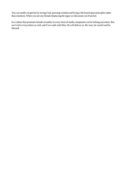You can totally escape her by loving God, pursuing wisdom and living a life based upon principles rather than emotions. When you see any female displaying the signs we discussed, run from her.

In a culture that promotes female sexuality in every form of media, temptation can be lurking anywhere. But our God is everywhere as well, and if we walk with Him, He will deliver us. Be wise, be careful and be blessed!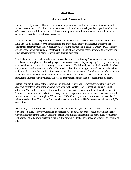### **CHAPTER 7**

### **Creating a Sexually Successful Brain**

Having a sexually successful brain is crucial to having sexual success. If your brain remains dual or multifocused as we discussed in Chapter 2, sexual success will continue to elude you. But regardless of the level of success you are at right now, if you stick to the principles in the following chapters, you will be more sexually successful than ever before in your life.

Let's just review again the principle of "ring the bell, feed the dog" as discussed in Chapter 2. When you have an orgasm, the highest level of endorphins and enkephalins that you can receive are sent to the excitement center of your brain. Whatever you are looking at when you ejaculate is what you will sexually glue to or attach your sexuality to. Whatever the image, object or person that you view regularly when you ejaculate, is what you will begin to have a strong sexual desire for.

The dual-focused or multi-focused sexual brain needs some reconditioning. Many men with such brain types get distracted throughout the day trying to get better looks at women they are ogling. Recently, I was talking to an old client who made a lot of money in the porn industry. He definitely had a multi-focused brain. Over the years his brain has seen and reinforced hundreds of thoughts and images. He said, "I can't believe how truly free I feel. I don't have to lust after every woman that's in my vision. I don't have to lust after her in my mind, or think about what sex with her would be like. I don't disconnect from reality when I am at restaurants anymore with my fiance." He was so happy that he had been able to recondition his brain.

Before I explain the value of the techniques I will soon share with you, I want to give you the results of a study we completed. One of the areas we specialize in at Heart to Heart Counseling Center is sexual addiction. We conducted a survey for sex addicts who subscribed to our newsletter through our Website. The site is related to sexual addiction recovery and is the largest of its kind in the world. We have offered free weekly newsletters through the Website since 1994. Currently tens of thousands of addicts and their wives are subscribers. The survey I am referring to was completed in 1997 when we had a little over 2,000 subscribers.

As you may know there are hard-core sex addicts that utilize porn, sex, prostitutes and toys as practically a part time job. They see every woman as an object or just a body. They are preoccupied with sex in any way possible throughout the day. This is the person who makes sexual comments about every woman that he knows or he talks about his latest e-mails or the new porn site that he found, and of course every joke he tells is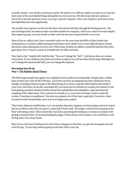sexually tainted. I say all this to illustrate a point. We asked over 2,000 sex addicts to report to us what has been some of the most helpful things during their recovery process. We did not provide any options to check off or lead the question in any way to get a specific response. They were simply to write down what has helped them the most significantly.

The number one response was the fact that their wife stayed with them through the healing process. The next technique that I am about to share was their number two response, which was voted even more helpful than support groups, recovery books or other tools that are also of great benefit in recovery.

Most of the sex addicts that I have counseled with over the years state that 80% of their double take (looking back at women), rubbernecking (stretching to catch a better view) or the objectifying of women shut down when utilizing this recovery tool. When many of these sex addicts curtail this behavior they often gain about 10 to 15 hours a week of available time for other activities.

Now back to the "ring the bell, feed the dog." You can't change the "bell." God knows there are women everywhere. If you condition your brain to see them as objects you will see them all day long. Although you can't change the situation (the bell), you can change the response.

## **Retraining Your Brain Step 1: The Rubber Band Theory**

The following example may appear very simplistic but its results are incomparable. Simply place a rubber band around your wrist for 60 to 90 days. Each time you have an inappropriate (non-relational) sexual thought, including a fantasy image or the objectifying of a woman, snap the rubber band on the inside of your wrist. Each time you do this, neurologically your brain sees its stimulus (a woman), but instead of your brain getting a positive chemical reinforcement from enkephalins and endorphins, it gets pain from the snapping of the rubber band. Over a period of a month or so, your brain no longer wants to objectify women. It has been reconditioned. You have now gained a lot of free time, especially if you have a dualfocused or multi-focused brain, since you're no longer preoccupied

This is basic behavior modification. Let's use another dog story. Suppose you had a puppy and every time it had an accident on the floor you gave it a great big T-bone steak. The puppy would associate going on the floor with eating a steak. This is much like your brain associating the looking at a woman as an object with getting a chemical buzz. If you kept feeding the puppy T-bone steaks in this manner, you would have a very fat dog and a very messy house.

Most of you who have had dogs know that when a dog goes on the floor, you get the newspaper out and swat the pup. If your dog connects going on the floor with a swat, the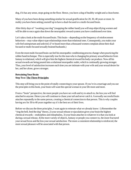dog, if it has any sense, stops going on the floor. Hence, you have a dog of healthy weight and a clean home.

Many of you have been doing something similar for sexual gratification for 20, 30, 40 years or more. In reality you have been setting yourself up to have a dual-focused or a multi-focused brain.

After thirty days of "swatting your dog" (snapping the rubber band) you will stop objectifying women and will be able to once again shut down the neuropathic reward system you have conditioned over time.

Let's take a look at the multi-focused brain. This brain—depending on the frequency of reinforcement behaviors—may value object-type relationships more than relational ones. Consequently, you make your wife feel unimportant and unloved. (I've heard more than a thousand women complain about their dualfocused or multi-focused sexually brained husbands.)

Even the most multi-focused brain can feel his neuropathic conditioning process change when practicing the rubber band technique. This is especially true for the man who is changing his primary sexual behavior from fantasy to relational, which will give him the highest chemical reward his body can produce. Now all his sexual rewards are being poured into a relational neuropathic outlet, which is continually growing stronger. Thus, your level of satisfaction increases each time you are intimate with your wife and your sexual desire for her, and her alone, grows stronger.

### **Retraining Your Brain Step Two: The Three Principles**

This step will bring you to the point of totally connecting to your spouse. If you're in a marriage and you use the principles in this book, your brain will want this special woman in your life more and more.

From a "brain" perspective, the more people you have sex with and try to attach to, the less you will feel attached to anyone. Hence you will continue to chase your tail and never catch it. A sexually successful brain attaches repeatedly to the same person, creating a chemical connection to that person. This is why couples having sex for 30 to 40 years together say it's the best sex of their lives.

Before we discuss the three principles, I want again to reiterate what we already know: 1) Remember the "ring the bell, feed the dog" theory, 2) your sexual release or ejaculation gives your brain the highest chemical rewards—endorphins and enkephalins, 3) your brain attaches to whatever it is that you look at during a sexual release, 4) the more variety of objects, fantasy or people you connect to, the more fractured your sexual focus and the less your sexual satisfaction. The more a consistent relationship is reinforced, the more sexual pleasure will be associated with that person.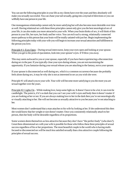You can use the following principles in your life as my clients have over the years and they absolutely will make you sexually successful. You can chase your tail sexually, going into a myriad of directions or you can willfully have one person in your life.

One monogamous relationship cannot only be more satisfying but will also become more desirable over time as well. Having relational sex with these three principles cannot only give you the best neurological sex of your life, it can also make you more attracted to your wife. When your brain thinks of sex, it will think of this person in your life, her eyes, her body and her voice. You can etch such a strong, relationally connected neuro-pathway to this person that your brain will be totally satiated with just her. Begin implementing the following principles today with your wife you will begin to increase your sexual attraction and fulfillment to the person you love.

Principle # 1: Eyes Open – During sexual intercourse, keep your eyes open and looking at your spouse. When you get to the point of ejaculation, look into your spouse's eyes. It'll blow you away.

This may seem awkward to you or your spouse, especially if you have been experiencing a disconnection during sex in the past. If you typically close your eyes during release, you are not maximizing the opportunity. If you fantasize during your sexual release you are attaching to the fantasy, not to your spouse.

If your spouse is disconnected as well during sex, which is a common occurrence because she probably feels alone during sex, it may be why she is not as interested in sex as you wish she were.

Principle #1 will attach you to your wife. Your wife will become more satisfying to you the more you are sexual together over the years.

Principle #2: Lights On – While making love, keep some light on. It doesn't have to be a lot; it can even be candlelight. The point is, if it's so dark that you can't see your wife's eyes and body then it doesn't matter if you are looking at her or not. If you are always making love to her in the dark then you're not neurologically or visually attaching to her. She will not become as sexually attractive to you because you're not attaching to her.

Most women don't understand that a man attaches to his wife by looking at her. If she understood this then she would know that her weight or size doesn't matter. Once you consistently relationally attach to her person, then her body will be desirable regardless of its proportions.

Some women deem themselves as less attractive because they don't have "the perfect body" (who does?). Great three-dimensional sex with your wife is possible for those who follow these three principles of sexual success regardless of his or her proportions. The most beautiful couple in the world who is having multifocused or disconnected sex will be much less satisfied sexually than a less attractive couple following the principles of sexual success.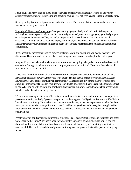I have counseled many couples in my office who were physically and financially well to do and yet not sexually satisfied. Many of these young and beautiful couples were not even having sex for months at a time.

So keep the lights on so that you can see each other's eyes. Then you will attach to each other and lead a much more sexually successful life.

Principle #3: Nurturing Connection – Being sexual engages your body, soul and spirit. When you are making love to your spouse and you are disconnected (in fantasy), you are engaging only your **body** in your sexual experience. Because of this, you and your spouse will be less than satisfied with your sexual experience. Although it may be a somewhat physically satisfying experience for you, it will become harder and harder to talk your wife into being sexual again since you are both missing the spiritual and emotional components.

If you accept the fact that sex is three-dimensional (spirit, soul and body), and you decide to experience this, you will have a sexual experience that is satisfying and much more rewarding for the both of you.

Imagine if there was a behavior where your wife knew she was going to be praised, nurtured and accepted every time. During this behavior she wasn't critiqued, compared or criticized. Don't you think she would want to do this again and again?

Make sex a three-dimensional place where you nurture her spirit, soul and body. Every woman differs on her likes and dislikes; however, most want to be touched in non-sexual areas before being sexual. Learn how to nurture your spouse spiritually and emotionally. Take responsibility for the other two-thirds (soul and spirit) of this special person in your life who is willing to be sexual with you. Learn to honor and connect to her. What you do with her soul and spirit during sex is more important to most women than what you do with her body. She is turned on by closeness.

When you're making love to your wife, make an intentional effort to praise and nurture her. Go deeper than just complimenting her body. Speak to her spirit and soul during sex. I will go into this more specifically in a later chapter on intimacy. You can become a great nurturer during your sexual experience by telling her how much you appreciate her in ways that aren't sexual. Tell her that you love her honesty, her strength and her intelligence. Tell her what her beauty does for you. Tell her she makes you feel masculine and that you love being with her.

What you say or don't say during your sexual experience goes deeper into her soul and spirit than any other words at any other time. When she is open to you sexually, she opens her entire being to you. If you use these vulnerable moments to complain about sex or to try to talk her into trying something new, it will be unsuccessful. The results of such lack of genuine nurturing have long-term effects with a pattern of ongoing sexual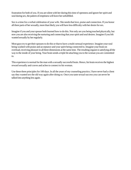frustration for both of you. If you are silent with her during this time of openness and ignore her spirit and soul during sex, the pattern of emptiness will leave her unfulfilled.

Sex is a time for a verbal celebration of your wife. She needs that love, praise and connection. If you honor all three parts of her sexually, more than likely you will have less difficulty with her desire for sex.

Imagine if you and your spouse both learned how to do this. Not only are you being touched physically, but now you are also receiving the nurturing and connecting that your spirit and soul desires. Imagine if you felt wanted sexually by her regularly.

Most guys try to get their spouses to do this or that to have a multi-sensual experience. Imagine your soul being washed with praise and acceptance and your spirit being connected to. Imagine your brain on overload, receiving pleasure in all three dimensions at the same time. The resulting orgasm is satisfying all the way to the inside of your being. Your brain sends a triple hit attaching you to the woman you are committed to.

This experience is normal for the man with a sexually successful brain. Hence, his brain receives the highest reward sexually and craves and aches to connect to his woman.

Use these three principles for 100 days. In all the years of my counseling practice, I have never had a client say they wanted sex the old way again after doing so. Once you taste sexual success you can never be talked into anything less again.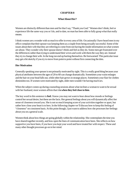# **CHAPTER 8**

# **What About Her?**

Women are distinctly different than men and for that I say, "Thank you God." Women don't think, feel or experience life the same way you or I do, and to date, no man has been able to fully grasp what that really means.

I think women are a wonder with so much to offer in every area of life. Occasionally I have heard men in my office complain that their spouse was keeping them as a couple from being sexually successful. Some of the issues about their wife that they are referring to come from not having the inside information on what women are about. They wonder why their spouse doesn't think and feel as they do. Some men get frustrated over the differences rather than trying to understand their wives and work with them the way they are. Instead they try to change their wife. In the long run end up hurting themselves. Be forewarned: This particular issue may get a bit sketchy if you try to move from point to point without first connecting the dots.

## **Her Motivation**

Generally speaking your spouse is not primarily motivated by sight. This is a really good thing because your physical attributes between the ages of 20 to 60 can change dramatically. Sometimes your waist enlarges and the hair on your head falls out, while other hair grows in strange places. Sometimes your flair for clothes diminishes too. If women were motivated by sight, older men wouldn't be having much sex.

When the subject comes up during counseling sessions about what inclines a woman to want to be sexual with her husband, most women affirm that it **is when they feel close to him**.

The key word in this sentence is **feel.** I know you may not want to hear about how moods or feelings control her sexual desire, but these are the facts. Her general feelings about you will dynamically affect her sense of closeness toward you. She is not so much keeping score of your activities together or apart, but rather how close your heart is to hers. In the following chapter we'll discuss how to keep this feeling of "closeness" on consistent basis. At this point though, I just want to address how she processes her feelings about you on a general scale.

Women think about how things are going globally within the relationship. She contemplates the time you have shared together recently, and how open the lines of communication have been. She reflects on how supportive you have been, if you have you kept your word and have treated her with respect. These and many other thought processes go on in her mind.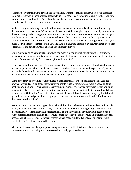Please don't try to manipulate her with this information. This is not a check-off list where if you complete eight out of ten you will obtain sexual success. It isn't that easy. This information is simply to show you how she may process her thoughts. These thoughts may be different for each woman and, to make it even more complicated, the thoughts may vary from day to day.

While this may sound strange and be hard for men to understand, to make this fair, men do similar things that may sound odd to women. When men walk into a room full of people, they automatically surmise how they measure up to the other guys in the room, and where they stand in comparison. In doing so, men get a feel for what is expected and can assure themselves and their spouse of safety and that they are in control. Guys really do this! These episodes are somewhat similar to what a woman does. She globally checks you out to assure herself of where she fits in your life. And if everything appears okay between her and you, then she feels as if she can let down her guard and be intimate with you.

She is motivated by her emotional proximity to you much like you are motivated by physical proximity. When you see her, you may get a surge of sexual energy that sweeps over you. You know that the feeling. It is called "sexual opportunity." So why not optimize the situation?

It can also work this way for her. If she has a sense of real connection to your heart, then she feels close to you. Again, I am not selling a quick way to get sex. This doesn't exist. But generally speaking, if you can master the three skills that increase intimacy, you can warm up the emotional climate in your relationship so that your wife can experience more of these moments with you.

Some of you may be unwilling or unmotivated to change simply so she will feel close to you. Let's get practical here and use a language that you may be able to relate to more. Almost every man reading this book has an automobile. When you purchased your automobile, you realized there were certain principles or guidelines that you had to follow for optimum performance. One such principle states you should change your oil every 3,000 miles. Now that's not fair! Why in the world should I have to change my lifestyle and get under the hood and get all dirty changing the oil, or take it to a station where they do it for three times the cost of the oil and filter!

Every guy knows what would happen if you whined about life not being fair and decided not to change the oil in your nice, shiny new car. Your beauty of a vehicle would run fine in the beginning, but slowly—almost inconspicuously—the engine would start reacting. That expensive engine of yours would begin to make funny noises and grinding sounds. There would come a day when the engine would get sluggish and weak because you chose not to accept the reality that your car needs regular oil changes. The engine would eventually cough its final cough and freeze up.

Mechanics, lawyers and therapists prosper on guys that behave like this toward their cars and wives. Common sense and following instructions could have easily prevented what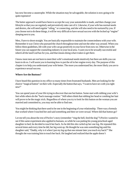has now become a catastrophe. While the situation may be salvageable, the solution is now going to be quite expensive!

The better approach would have been to accept the way your automobile is made, and then change your lifestyle so that you can regularly and preventively take care of it. Likewise, if your wife has normal needs and desires, she will need regular "oiling," or connecting, and she will also need to be nurtured by you. If you choose not to do these things, it will be very difficult to have sexual success with the locked up "engine" sleeping next to you.

Men, I have to shoot straight. You are basically responsible to maintain the connectedness with your wife. Remember it was Christ who pursued the church throughout time and not the other way around. When you follow these guidelines, life with your wife can go positively in your favor from now on. Otherwise in the future you can support the counseling industry in your local area. I want you to be sexually successful and inherit all the land God has for you, and that means doing what it takes to get there.

I know most men are not born to meet their wife's emotional needs intuitively but there are skills you can learn to do so. I will assist you in learning how to put the oil in her engine every day. The purpose of this chapter is to help you understand your wife better. The more you understand her, the more likely you are to experience sexual success.

# **Where Are the Buttons?**

I have heard this question in my office so many times from frustrated husbands. Men are looking for the elusive "magical button" on their wife. Especially the button that says, "I want to have sex with you right now!"

You can spend years of your life trying to discover that one hot button. Some start with rubbing your wife's feet while others do the "back massage routine." Still others think that rubbing her head or combing her hair will prove to be the magic trick. Regardless of where you try to look for this button on the woman you are married and committed to, you may not be able to find one.

You might be thinking that there used to be one in the beginning of your relationship. There was a formula that worked where I touched her and said something and then we were sexual. Where did that button go?

Let me tell you about the rest of Pavlov's story (remember "ring the bell, feed the dog"?) Pavlov wanted to see if this same experiment also applied to humans, so while he was putting his young preschool-aged daughter to bed, he decided to touch her back. As he did this she curled up her one leg. He repeated this several times and every time he did, her leg went up. He thought he was onto something big until his daughter said, "Daddy, why is it when I put my leg up that one minute later you touch my back?" She thought she was training him to touch her back. He laughed and realized that the apple doesn't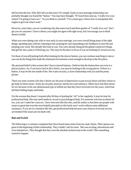fall far from the tree. Why did I tell you this story? It's simple. Early in your marriage relationship you probably thought you found the "button." You may have thought, "If I touch here and say, 'I really love you,' wham! I'm going to have sex." So you think to yourself, "I'm a smart guy. I know how to manipulate this engine to give me what I want."

However, years later, you are wondering why that same touch and three gushes of "I really love you" don't get you sex anymore. I have a theory you might not agree with right away, but I encourage you to think about it awhile.

When you were dating your wife or very early in your marriage, you were overall doing many of the right things: spending time with her, listening to her, praising her and responding to her feedback in your life and keeping your word. She already felt close to you. You were already doing all the global connective things that got her into a place of desiring you. This may be the place to focus if you are looking for sexual success.

For those of you still putting forth effort looking for the elusive button, you can continue searching in vain or you can do the things that made the relational environment warm enough to develop in the first place.

My personal belief is that women don't have external buttons. I believe that the button does not exist in a physical place. So, if you have tried at all to find it, you may be looking in the wrong places. If there is a button, it may be the one inside of her. She wants security, a close relationship with you and the pretty picture.

There are some women who don't desire sex because of depression or past sexual abuse and they refuse to get help for these issues. Some are sexually anorexic and do not want intimacy. Others have lost their desire for sex because of the one-dimensional type of selfish sex that they have received over the years, which has left them feeling empty and lonely.

For the woman that doesn't respond after 60 days of putting the "oil" in her regularly, it may be time for professional help. She may need medical, sexual or psychological help. For someone who has no desire for sex, you can't make her want sex. I have met men like this also, and the reality is that there are people with issues so great that even the most helpful principles in this book won't work without some additional assistance. If you are in a situation like this, get professional help because your chances of sexual success are limited if the issues are not dealt with.

## **Bait and Switch**

The following is a common complaint that I have heard many times from my male clients. Their spouse was great in the beginning of their relationship. They couldn't ask for more. She was exciting, adventurous and even initiated sex. They thought that they were the absolute luckiest man in the world. Then something started to happen.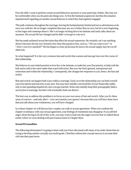First she didn't want to perform certain sexual behaviors anymore or wear particular clothes. She may not be comfortable when you do particular things now. At first the husband acquiesced, but then the situation repeated itself regarding yet another sexual behavior in which they had regularly engaged.

This path continues throughout the marriage, leaving the husband pretty limited and not as adventurous as he once was with her. He no longer complains (because any sex is better than no sex), but he is now beginning to feel anger and contempt about it. She's no longer inviting him to be intimate and rarely talks about sex anymore. His sexual life has changed and he didn't even get to vote on it.

She has made unilateral sexual decisions that affect his sexual expression. He certainly can't say anything about it because she has now learned a few lines that paralyze him, such as, "All you want is sex!" or "Aren't you ever satisfied?" He has begun to close up because he knows his sexual supply may be cut off otherwise.

So what happened? It is the very common bait and switch that women and men get into over the course of their relationship.

She believes in your initial promise to love her, to be intimate, to make her your first priority, to help with the kids and to talk to her more rather than watch television. But now she feels ignored, unimportant and somewhat used within the relationship. Consequently, she changes her responses to you; hence, the bait and switch.

Bait and switch can happen both ways within a marriage. Early on in the relationship you can both oversell your true interest and sincerity in any area. You may have initially convinced her of your financially stable, only to start spending impulsively once you got married. Some men initially keep their pornography habit a secret prior to marriage, but their wife eventually finds out about it.

The best way to address this problem is to focus on your own areas of bait and switch. After you fix these areas of concern—and only after!—you can examine your spouse's because then you will have done more than just talk about your weaknesses; you will have changed.

In a future chapter we will discuss how couples can walk in sexual agreement. When you combine the chapter on intimacy with your sexual agreement, your feelings of resentment may disappear. If you still feel angry about having to do all of this work, you may want to look into the anger exercise that we talked about earlier where we were dealing with past trauma issues in Chapter three.

## **Sexual Personalities**

The following information I'm going to share with you I have discussed with many of my male clients that are trying to develop realistic sexually successful goals. I find that without this concept men try to recreate their wife into their past lovers.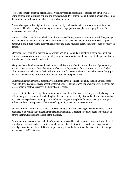Here is the concept of sexual personalities. We all have sexual personalities that are part of who we are. Some personalities take risks, explore and are creative, and yet other personalities are more cautious, enjoy the familiar and find security in what is comfortable for them.

A man who is generally a high achiever, creative and physically active will be the same way in his sexual expression. He will probably want to try a variety of things, positions or places to engage in sex. This is an extension of his personality.

Then there is his beautiful wife who likes to drive the speed limit, dresses conservatively and always obeys the rules. More than likely she will exhibit conservatism in her sexual personality as well. She is a great person, but she is not going to behave like her husband in the bedroom because this is not her personality in general.

Most men know enough to marry a stable woman and her personality is usually a great balance with his. Some men marry a woman whose personality is aggressive, creative and demanding. Such a personality can actually weaken the overall relationship.

Many men have dated women with various personalities, some of which are not the type of personality you married. Take a minute to think about your wife's personality outside of the bedroom. Is she a gal who takes uncalculated risks? Does she have lots of ambition for accomplishment? Does she try new things just for fun? Does she like to follow the rules? Does she drive the speed limit?

Understanding that her sexual personality is similar to her non-sexual personality can help you to accept your wife. If you can objectively accept her for who she is instead of who you wish she were, then you can at least begin to deal with issues in the light of some reality.

If you constantly have a feeling of entitlement that she should be like someone else, you could damage your wife sexually and prevent her from feeling like she can be herself sexually. Remember, it's not her fault that you have had experiences in your past with other women, pornography or fantasies, so why should your wife suffer these consequences? This is a result again of your sin and not your wife's.

Working toward a mutual agreement is a process of negotiation that we will get into deeper later. You will both need to be realistic about each other's sexual personality. Neither personality needs to dominate or control the mutual sexual expression of the marriage.

As you grow in acceptance of each other's sexual persona and begin to negotiate, you can find a place of sexual peace with each other. I don't know when it was that I first realized I needed to accept my wife's sexual personality, but when I did it sure helped me significantly. I didn't feel the need to strive to change her. What a relief! That didn't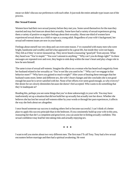mean we didn't discuss our preferences with each other. It just took the entire attitude-type issues out of the process.

# **Her Sexual Esteem**

Women have had their own sexual journey before they met you. Some saved themselves for the man they married and may feel insecure about their sexuality. Some have had a variety of sexual experiences giving them a variety of positive or negative feelings about their sexuality. About one-third of women have experienced sexual abuse as a child or rape as a young adult. Regardless of your wife's background, her sexual self-esteem issues are now in your hands.

Feelings about oneself run very deep and can overcome reason. I've counseled with many men who were bright, handsome and wealthy and led what appeared to be a great life, but inside they were not happy. They felt as if they've never measured up. They never heard a reassuring "good job" from anyone. What they heard was "You're stupid." "You won't amount to anything." "Why can't you do things right?" As these messages are repeated over and over, they begin to sink deep within the man's heart and play a huge role in how he sees himself.

The same is true of sexual self-esteem. Imagine the affects on a woman who has heard such negativity from her husband related to her sexuality as "You're not like you used to be." "Why can't we engage in that behavior more?" "Why have you gained so much weight?" After years of hearing these messages that her husband wants more, better and different sex, the wife's heart changes and she concludes she is not good enough because he is never satisfied with her. None of her efforts ever seem good enough, so why even try? Her desire for sex slowly diminishes because she doesn't feel accepted. Who wants to do something that they're inadequate at?

Reading this, perhaps you see some things that you've done unknowingly to your wife. You may have inadvertently set up a situation that did not build her up sexually but actually tore her down. Whether she believes she has lost her sexual self-esteem either by your words or through her past experiences, it affects the way she feels about sex altogether.

I once heard someone say success is making others feel or become successful. I can't think of a better place to apply this success principle than in the bedroom. If you consistently build up your wife in this area, reassuring her that she's a competent and great lover, you can assist her in feeling sexually confident. This sexual confidence may lead her into taking risks and actually enjoying sex.

**\* \* \***

I want to tell you stories about two very different men. The first man I'll call Tony. Tony had a few sexual encounters before marriage and then had a spiritual awakening. He went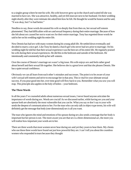to a singles group where he met his wife. His wife however grew up in the church and waited till she was married to have sex. She was attractive, healthy, and yet felt insecure next to her husband. On their wedding night shortly after they were intimate she asked him how he felt. He thought he would be honest and he said, "It was okay, but I've had better."

Needless to say, those words devastated his wife so deeply that from then on, her sexual self esteem plummeted. They had difficulties with sex and sexual frequency during their entire marriage. Because of how she felt about sex caused her not to want sex for their entire marriage. Tony has regretted those words he said to her on his wedding night his entire life.

Now Dennis has had sex with many women during his young adult life. He settled down eventually and decided to marry a nice girl. Like Tony he dated a church girl who never had sex prior to marriage. On his wedding night he told her that their sexual experience was the best sex of his entire life. He regularly praised his wife during their sexual experiences. He did this in the bedroom and outside of the bedroom. He intentionally and consistently built up her self–esteem.

Over the course of Dennis's marriage sex wasn't a big issue. His wife enjoys sex and feels rather good about herself and their sexual life together. She believes she is a great lover and that she pleases Dennis. She has a quiet sexual confidence.

Obviously we can all learn from each other's mistakes and successes. The point is to be aware of your wife's sexual self-esteem and strive to encourage her in that area. This is vital for your ultimate sexual success. If you pour good into her, over time good will flow back to you. Remember what you sow you will reap. This principle also applies in the holy of holies—your bedroom.

## **The Three Words**

In all the years I've counseled adults about numerous sexual issues, I never heard anyone articulate the importance of *words* during sex. Words are crucial! As we discussed earlier, while having sex you and your spouse both are absolutely the most vulnerable that you can be. What you say or don't say to your wife sends the deepest of communication to her. For the man who can only talk in object-type terms, his wife will definitely get the message that body (one-dimensional) sex is all you want.

The man who ignores the mind and emotions of his spouse during sex also sends a message that her body is important but her person is not. The more aware you are that sex is a three-dimensional act, the more you will realize how important your words are to her.

There are three words that most women never hear during sex and yet they yearn to hear them. My clients who use these three words have found out just how powerful they are. I can't tell you about the countless women who responded in tears because they thought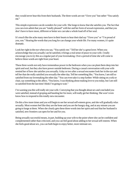they would never hear this from their husbands. The three words are not "I love you" but rather "You satisfy me."

This simple expression can do wonders for your wife. She longs to know that she satisfies you. The fact that you can even admit that you are "totally pleased" with her and her form of sexual expression, and that you don't have to have more, different or better sex can take a whole load off of her soul.

It's much like the ache many men have in their hearts to hear their dad say "I love you" or "I'm proud of you, son." Hearing the words that you long for can change your whole life. For many women, it's quite dramatic.

Look her right in the eye when you say, "You satisfy me." Tell her she's a great lover. When you acknowledge that you actually can be satisfied, it brings a real sense of peace to your wife. I really encourage you to try this as a regular part of your lovemaking. Over a period of time she will come to believe these words are right from your heart.

These three words not only have tremendous power in the bedroom when you can plant them deep into her spirit and soul, but they also have power outside bedroom. During a casual conversation with your wife remind her of how she satisfies you sexually. A day or two after a sexual encounter look her in the eye and tell her that she really satisfied you sexually the other day. Tell her something like, "You know, I am still so satisfied from our lovemaking the other day." You can even take it a step further: While sitting on a sofa or chair, say something to the affect, "You know, I was thinking about making love to you today, but I am still so satisfied from the last time I think I'm going to wait."

I'm warning you this will really stir your wife. Conveying that you thought about sex and concluded you were satisfied, instead of groping and hassling her for more, will really get her thinking. She won't even know how to respond to this totally new encounter.

Do this a few more times and you will begin to see her sexual self-esteem grow, and she will gradually relax sexually. Most women feel like they are the bone and you are the hungry dog, and at any minute you are going to lunge at them. When she clearly gets these three words into her spirit and soul that her husband is satisfied, new frontiers can open for her and for you.

Being sexually successful means, in part, building up your wife to the point where she can be confident and complemented rather than criticized, and you can feel good about adding to her sexual self-esteem. When she feels good about sex, you can both begin to enjoy better, more intimate sex.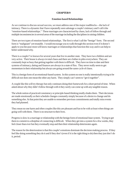# **CHAPTER 9**

## **Emotion-based Relationships**

As we continue to discuss sexual success, we must address one of the major roadblocks—the lack of intimacy. There is a dynamic that I have repeatedly seen sabotage a couple's intimacy and I call it the "emotion-based relationships." These marriages are characterized by chaos, lack of follow through and multiple inconsistencies in several areas of the marriage including the disciplines in raising children.

There are two types of emotion-based relationships. The first is what I call the "benign" form. The second form is "malignant" yet treatable. I would encourage you to walk through this section even if it doesn't apply to you because most will know marriages or relationships that function this way and it can help to better understand why.

There is a couple I've known for several years that live in another state. They have two children and are very active. Their house is always in total chaos and there are clothes in piles everywhere. They are constantly kept so busy that getting together with them is difficult. They have no time to date and their systems of intimacy, dating and finances are always in a state of flux. They never really seem to get momentum in their relationship but always are going around the same cycle of chaos.

This is a benign form of an emotional-based system. In this system no one is really intentionally trying to be difficult nor does one mean the other any harm. They simply can't seem to "get it together".

A couple like this will try therapy but only continues doing their homework for a short period of time. When asked about why they didn't follow through with it they rarely can come up with any tangible reason.

The whole notion of practiced consistency or principle-based thinking totally eludes them. Their decisions are made emotionally as their schedule changes constantly simply because of a desire to change and do something else. At that point they are unable to remember previous commitments and totally miss events they had planned.

They mean no one harm and often couples like this are pleasant and fun to be with at least when things are going well with them. There is no structure to their lives.

Progress is slow in a marriage or relationship with the benign form of emotional-base system. Trying to get them to commit to a disipline of connecting is difficult. When they get into a system for a few weeks, they feel closer than ever but they eventually stop and then their relationship deteriorates again.

The reason for the deterioration is that this couple's emotions dominate the decision making process. If they feel like doing something they do it and if they don't (even if it is the right thing to do) then they just don't do it, period.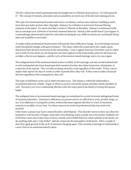The 60's culture has raised a generation that has bought into in a lifestyle that practices, "if it feels good do it". The concept of restraint, principles and accountability are not in any of the decision making process.

This type of an emotional-based system reeks havoc on intimacy and sex since intimacy building is much more than just make up times after a big fight. Intimacy for a lifetime is much more than just fleeting moments of discipline. It's much more like a result of a lifestyle of discipline. Intimacy is relational wealth that accumulates over a lifetime of invested consistent behavior. Intimacy like wealth doesn't just happen. It is painstakingly planned and worked for and achieved along the way while two hearts are consistently being open and available to each other.

A couple within an emotional-based system will honestly find it difficult to change. Even the benign structure meets disciplined changes with great resistance. The chaos within this system gives the couple a great distraction from the lack of structure in the relationship. Crisis's appear from out of nowhere such as where one or both of your needs are not being met and stress appears in the relationship, plans for the future are avoided, a flat tire just happens...and the cycle of the emotion-based marriage starts over once again.

The malignant form of the emotional-based system is willful. In this marriage, not only are the husband and/ or wife making their decisions based upon their emotions but they also refuse instruction, information, or connection from anyone. They are bent on doing what they want regardless of the results. If they want to neglect their spouse for days or weeks in order to punish them, they will. If they want to make a financial decision regardless of the consequences, they will.

This type of selfishness at the cost of others becomes toxic. The intimacy within the relationship is inconsistent and even volatile. Anger or silence is used to control the spouse and other family members as well. You know you're in a relationship like this when the major goal of the family is to keep this spouse happy.

The malignant form of an emotional-based marriage can sometimes be a result of several undiagnosed forms of emotional disorders. Sometimes addictions are present such as an addiction to work, alcohol, drugs, or sex. If an addiction is causing this system, medical literature supports that there is a lack of emotional maturity in an addict of any kind. For these issues to be resolved professional help may need to be involved.

Other times a spouse may have a mood disorder called Bipolar. This disorder seems to show up where the husband or wife has days of happy, motivated, clear thinking, and is actually fun to be around. Suddenly out of the blue comes one to three days of down, moody, and irritable behavior where nobody in the family can do anything right and a "why bother" attitude creeps into the atmosphere of the home. After a couple of days they again go back to the cycle of emotions changing again. This can keep a marriage or relationship in a toxic form of an emotional-based system.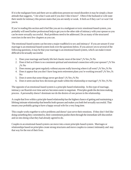If it is the malignant form and there are no addictions present nor mood disorders it may be simply a heart attitude that suggests, " I do what I want and if you don't like it leave". Often if the husband or wife state their needs for intimacy this person states that you are needy or weak. It feels as if they can't or won't let you in.

If you're reading this section and it feel like you are in a malignant or toxic emotional-based system, you probably will need further professional help to get you to the other side of intimacy with your spouse so you can be more sexually successful. Real problems need to be addressed. Do as many of the structured exercises in the next few chapters as you can.

The emotional-based system can become a major roadblock to sex and intimacy! If you are unsure if your marriage is an emotional-based system look over the questions below. If you answer yes to several of the following questions, it may be that your marriage is an emotional-based system, which can make it more difficult to be sexually successful.

- 1. Does your marriage and family life feel chaotic most of the time? ¡% Yes ¡% No
- 2. Does it feel as if there is no consistent spiritual and emotional connection with your spouser? ¡% Yes ¡% No
- 3. Does money get spent regularly without anyone really knowing where it all went? ¡% Yes ¡% No
- 4. Does it appear that you don't have long term retirement plans you're working toward? ¡% Yes ¡% No
- 5. Does it seem that some things never get done? ¡% Yes ¡% No
- 6. Does it seem unclear how decisions get made within the relationship or marriage? ¡% Yes ¡% No

The opposite of an emotional-based system is a principle-based relationship. In this type of marriage, intimacy can flourish over time and sex becomes easier to negotiate. Principles guide the decision making process. A personality doesn't dominate nor do the desires of one person in the relationship.

A couple that lives within a principle-based relationship has the highest chance of getting and maintaining a lifelong intimate relationship that benefits both spouses and makes you both feel sexually successful. That means your probably going to have a happy sexual wife for a very long time.

This couple works together to solve problems and doesn't just serve their emotions. If they don't feel like doing something they committed to, their commitment pushes them through the immediate self-discomfort and on into doing what they had already agreed to do.

Couples in an emotional-based system can move into a more principle-based system. Marriages or relationships based on principles create strong structures and move couples to connect intimately and stay that way for the rest of their lives.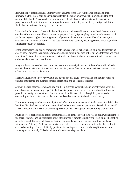It is work to get life long results. Intimacy is not acquired by the lazy, fainthearted or undisciplined. Intimacy is a fruit that is born by staying consistent in the behaviors we will talk more about in the next section of this book. As you do these exercises we will talk about it in the next chapter you will see progress, you will notice the affects in the quality of your relationship in a relatively short period of time. If she feels more intimate, she may feel more sexual.

Like a broken bone a cast doesn't do the healing alone but it does allow the bone to heal. I encourage all couples within an emotional-based system to apply the "cast" (of principles) around your brokeness so that you both can go through the healing process. If you struggle within an emotional-based marriage, the exercises and structures will at first take a determined effort. I strongly encourage you to move beyond the "if it feels good, do it" attitude.

Emotional systems also evolve from one or both spouses who are behaving as a child or adolescent in an area of life as opposed to an adult. Someone can be an adult in one area of life but an adolescent or a child in another. This creates various imbalances within the relationship that set up an emotional-based system, and can make sexual success difficult.

Jerry and Paula were such a case. Here one person's immaturity in an area of their relationship added a strain in their marriage and limited their intimacy. Jerry was salesman in a local business. He was a great salesman and had personal integrity.

Socially, anyone who knew Jerry would say he was a social adult. Jerry was also and adult at fun as he planned time friends and business contacts to fish, hunt and go to games together.

Jerry, in the area of finances behaved as a child. He didn't know what came in or really went out of the checkbook and he would only engage in the financial process when he needed more than his allowance provided, or to sign his tax returns. Paula handled all the finances. Even though Jerry was an adult concerning social activities and fun, he lacked skills and development when it came to money.

The areas that Jerry handled emotionally instead of in an adult manner caused Paula stress. She didn't like handling all of the finances and was overwhelmed with trying to meet Jerry's relational needs all by herself. These were some of the issues that brought pressure on their marriage but it wasn't Jerry's fault alone.

Paula, as sweet as she was, had some emotional areas of her life as well. She was an adult when it came to the social, financial and spiritual areas of her life but when it came to sexuality she was a child. She took no sexual responsibility in the relationship. Neither Jerry nor Paula could remember one time that Paula initiated sex. Although Paula was as sweet as she could be, a perfect wife and mother she also couldn't express her feelings. She had difficulty practicing the feelings exercise and really fought someone from knowing her emotionally. This also added strain to the marriage and their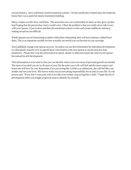sexual intimacy. Jerry and Paula created emotional systems. On the outside they looked okay but inside the house there was a quiet but steady resentment building.

Many couples are like Jerry and Paula. The areas that were not comfortable for them as they grew up they kept hoping that the person they marry would carry. Often the problem is that you really never talk it over with your spouse, it just evolves and then the emotional systems evolve and create roadblocks intimacy, making sexual success difficult.

If both spouses are not functioning as adults within their relationship, they will have intimacy robbed from them. This is an important variable for how sexually successful you can become in your marriage.

You CANNOT change your spouse anyway. So unless you use this information for individual development, in a therapeutic manner or in an agreed upon conversation with your spouse it can become less than productive. Please don't use this information to attack, shame or otherwise injure the soul of your spouse but instead for self-development.

This information is to be used so that you can identify where your own areas of personal growth are needed. The more of an adult you are in all areas of your life the safer your wife will feel and the more respect and honor she will have for you. Remember if you are acting like a child or an adolescent, she will feel like your mother and not your lover. She knows when you are not taking responsibility for an area in your life. As one person said, "If you don't want your wife to act like your mother, stop acting like a child." I hope this list of development offers you insight on growth areas to identify for yourself.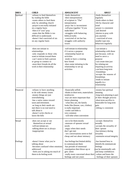| <b>AREA</b> | <b>CHILD</b>                                                                                                                                                                                                                                                                                                             | <b>ADOLESCENT</b>                                                                                                                                                                                                                                                                              | <b>ADULT</b>                                                                                                                                                                                                                                                                                                  |
|-------------|--------------------------------------------------------------------------------------------------------------------------------------------------------------------------------------------------------------------------------------------------------------------------------------------------------------------------|------------------------------------------------------------------------------------------------------------------------------------------------------------------------------------------------------------------------------------------------------------------------------------------------|---------------------------------------------------------------------------------------------------------------------------------------------------------------------------------------------------------------------------------------------------------------------------------------------------------------|
| Spiritual   | -refuses to feed themselves<br>by reading the bible<br>-wants others to feed them<br>only by attending church<br>-prayer is not really initiated<br>on a regular basis<br>-likes it if "you" pray<br>-states that the Bible is too<br>difficult to understand.<br>-doesn't feel convicted of sin<br>on any regular basis | -feeds themselves<br>-their interpretations<br>of scripture is "The"<br>interpretation<br>-prays but is inconsistent<br>-will pray together "if you<br>make them"<br>-struggles with balancing<br>biblical truths<br>-convicted of sin but has<br>struggles with authority<br>issues           | -feeds themselves<br>regularly<br>-feeds others in their<br>life by character and<br>word<br>-prayer is consistent<br>and desired<br>-desires to pray with<br>you anytime<br>-convicted of even<br>smaller type sins<br>behaviors regularly                                                                   |
| Social      | -does not initiate in<br>relationships<br>-only responds to those who<br>want to initiate toward them<br>-can't seem to find a person<br>or group to connect to<br>-most their friends do all the<br>work in their relationship                                                                                          | -will initiate in relationship<br>if it serves a purpose<br>-relationship based on<br>activities<br>-tends to have a rotating<br>best friend<br>-does some initiating in the<br>relationship to set up<br>activities                                                                           | -can initiate a<br>relationship with those<br>just because, with no<br>need to serve a<br>purpose<br>-can create time just<br>for relating not<br>requiring an activity<br>-can have long term<br>friendships<br>-accepts the seasons of<br>friendships<br>-tends to initiate<br>equally in a<br>relationship |
| Financial   | -refuses to have anything<br>to do with money issues<br>-money things are just<br>overwhelming<br>-has a naïve status toward<br>taxes and retirement.<br>-as long as their needs are<br>met there is no real need to<br>talk about it<br>-doesn't write checks or<br>know the bills                                      | -financially selfish<br>-thinks in short term, materialistic<br>tendencies<br>-toys are more important than<br>future planning<br>-what they are, the family<br>looks like (house, cars, clothes)<br>is really important<br>-credit card debt is<br>very common<br>-will tithe when convenient | -money has spiritual<br>meaning<br>-long term planning is part<br>of their thought process<br>-short term sacrifice is<br>honorable for long term<br>gain<br>-tithing is consistent                                                                                                                           |
| Sexual      | -does not accept or see<br>themselves as sexual<br>-will not initiate sex<br>-talking about sex is always<br>inappropriate                                                                                                                                                                                               | -sex is for them mostly<br>-unaware of spouses sexual<br>needs<br>-angry when their needs<br>don't get met<br>-sex conversations seem to feel<br>cheap and not about intimacy                                                                                                                  | -accepts themselves<br>sexually<br>-accepts the sexuality of<br>their spouse<br>-has intimacy during<br>sexuality<br>-maintains sexual integrity                                                                                                                                                              |
| Feelings    | -doesn't know what you're<br>talking about<br>-becomes confused when emotions<br>addressed<br>-feels you're asking too much of<br>them to do feeling work                                                                                                                                                                | -has feelings but limited ability<br>to communicate them<br>-has periods of emotional<br>constipation then blows up or<br>gets silent<br>-really more concerned about their  -values and hears the<br>feelings and not yours                                                                   | -has learned how to<br>identify & communicate<br>feelings<br>can be emotionally safe<br>and keep confidences<br>feelings of their spouses                                                                                                                                                                     |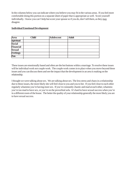In the columns below you can indicate where you believe you may fit in the various areas. If you feel more comfortable doing this portion on a separate sheet of paper that is appropriate as well. Score yourself individually. I know you can't help but score your spouse so if you do, don't tell them, as they may disagree.

## **Individual Emotional Development**

| <b>Area</b>      | <b>Child</b> | Adolescent | <b>Adult</b> |
|------------------|--------------|------------|--------------|
| <b>Spiritual</b> |              |            |              |
| <b>Social</b>    |              |            |              |
| <b>Financial</b> |              |            |              |
| <b>Sexual</b>    |              |            |              |
| <b>Feelings</b>  |              |            |              |
| <b>Fun</b>       |              |            |              |

These issues are emotionally based and often are the hot buttons within a marriage. To resolve these issues will be individual work not couple work. The couple work comes in to place when you move beyond these issues and you can discuss them and see the impact that the development in an area is making on the relationship.

I thought we were talking about sex. We are talking about sex. The less stress and chaos in a relationship due to these issues, the more likely she will feel close to you and you to her. If you feel close to each other regularly whammo you're having more sex. If you're constantly chaotic and mad at each other, whammo you're too mad to have sex, or you're on the proverbial sofa. It's hard to have sexual success when you're in a different room of the house. The better the quality of your relationship generally the more likely you are to have sexual success.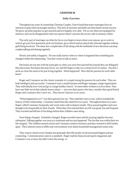#### **CHAPTER 10**

#### **Daily Exercises**

Throughout my years of counseling Christian Couples, I have found that many marriages have no structure in place that encourages intimacy. This lack of structure and skills can limit future sexual success. We grow up believing that we get married and live happily ever after. Yet we are often not equipped for intimacy and can be disappointed when our spouse doesn't possess the secret code to intimacy either.

The early part of marriage can often be fun as you begin to learn about your spouse, go to work or school, get your first apartment, pick out furniture, go to church and are physically intimate together without guilt being involved. The shear new complexities of life along with the multitude of new decisions can keep couples talking and sharing regularly.

Slowly and subtly it happens. No one really knows when or where it happened but something has changed within the relationship. You don't seem to talk as much.

Decisions are not met with the same glee as when you were first married but instead they are delegated then discussed. Purchases become fewer, sex and life begin to take on a certain level of routine. You don't seem as close but seem to be just living together. What happened? How did the passion for each other leave?

Roger and Constance are the classic example of a couple losing the passion for each other. They are both intelligent and successful. Constance owns a small business and Roger manages a large organization. They individually love God and go to a large healthy church. To meet either of them is to love them. They have one little secret that nobody knows about — not even their pastor who they consider their good friend. Roger and Constance don't have sex. They haven't had sex in six years.

"What happened to us?" was their question for me. They told their story to me, which included the history of their relationship. Constance stated that they dated for two years. Throughout those two years Roger called Constance frequently and wrote notes with scriptures inside. They prayed together and were thought to be inseparable by their friends. When they first married their sex life was good, fun and frequent. They traveled and did lots of fun things before their children came along.

Soon things changed. Schedules changed. Roger traveled some and the praying together became infrequent. Talking together was soon at a minimum and sex just happened. The fun that was within their sex life stopped. The children started school and Constance started a business and they seemed to drift further apart. Their interests seem to differ and conversations were about household management issues only.

They went to church every Sunday but spiritually their life mostly revolved around religion and not connecting. Communication came to a standstill. Roger read his financial and sports magazines and Constance was so busy she didn't have the energy to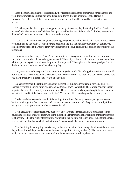keep the marriage going too. Occasionally they reassured each other of their love for each other and would sometimes talk about sex but nobody really followed through anymore. I asked Roger if Constance's recollection of the relationship history was accurate and he agreed her perspective was accurate.

What happened to this couple has happened to many others also, they lost their priorities. Passion is a result of priorities. American Christians think passion either is a part of them or isn't. Rather, passion is a dividend of consistent investments placed into a relationship.

Let's go back a minute to when you were dating and you were selling the idea that being married to you would kind of be a good idea. Remember the passion in life that you had for your wife? Of course, you remember the passion but what you may have forgotten is the foundation of that passion, the priority of the relationship.

Do you remember how you "made" time to be with her? You planned your days and weeks around each other's work schedule including your days off. Those of you that were like me and moved away from a future spouse to go to school have the phone bills to prove it. Those phone bills took a good portion of the little income I made just to tell her about my day.

Do you remember how spiritual you were? You prayed individually and together as often as you could. Some even read the Bible together. The desire was in you to know God's will and you needed God to help you stay pure and yet express your love to one another.

Do you remember the gratitude you had for the smallest things your spouse did for you? This was especially true for me if my future spouse cooked for me. I was so grateful! There was a constant stream of praise that you offer toward your future spouse. Do you remember when you thought she was so smart and attractive and that she had so much potential? You believed in her and regularly encouraged her.

Understand that passion is a result of the setting of priorities. So many people try to get the passion back instead of getting their priorities back. Once you get the priorities back, the passion naturally follows and grows. "What priorities?" is what most couples ask.

I will discuss these priorities shortly but before I do, I want to share an analogy I often share within counseling sessions. Many couples who come in for help in their marriage have sprains or fractures in their relationship. I liken the repair of this marital relationship to a fracture or broken bone. When this happens, you can still function but you look and act funny. Then you go to the doctor or emergency room.

The first thing they are going to do is x-ray the bone in question. Sure enough they look at the structure. Regardless of how it happened the x-ray shows a damaged structure (your bone). The doctor and nurse apply a structural treatment to your structural problem that would most likely be a cast.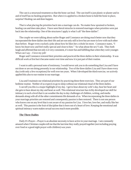The cast is a structural treatment so that the bone can heal. The cast itself is just plastic or plaster and in and of itself has no healing properties. But when it is applied to a broken bone to hold the bone in place, surprise! Healing can and does happen.

That is what placing the priorities back into a marriage can do. No matter how sprained or broken, healing can and does take place. I have seen literal miracles in restored marriages when priorities were put back into the relationship. One of the structures I apply is what I call "the three dailies".

The couple we were talking about earlier Roger and Constance are doing much better now that they incorporated the three dailies into their life and are not only still in love but are more in love with each other than before. Roger even cracked a joke about how he likes her a whole lot more. Constance states, "I know his heart now and feel really special and close to him." So what about the sex? I ask. They both laugh and affirmed that not only is it very consistent, it's more fun and fulfilling than when they were younger. What can I say – I love my job!

Roger and Constance restored their priorities and practiced the three dailies in their relationship. It was difficult work at first but it became easier over time and now it is just part of their routine.

I want to add a personal note of testimony. I would never ask you to do something that Lisa and I have not done or are not doing presently in our relationship. Two of the three dailies Lisa and I have done every day (with only a few exceptions) for well over ten years. When I developed the third exercise, we actively applied this also to our routine in our marriage.

Lisa and I maintain our relational priorities by practicing these three exercises. They are part of our bedtime routine. Neither of us expects to go to sleep without our relational ritual of the three dailies.

I can tell you this is a major highlight of my day. I get to hear about my wife's day, hear her heart and she gets to hear about my day and heart as well. This relational structure has richly developed our skill for intimacy to such a level that it can weather the day to day challenges of children, writing, and media demands along with all of the other commitments life demands of us. When incorporating the three dailies in your marriage priorities are restored and consequently passion is then restored. There is not one person who knows me on any level that is not aware of my passion for Lisa. I love her, love her, and really like her as well. This passion is the fruit of discipline that is born out of a heart of love. Keeping the emotional and spiritual intimacy warm makes sexual success much more possible.

#### **The Three Dailies**

Daily #1-Prayer—Prayer is an absolute necessity to have active in your marriage. I am constantly amazed when Christian couples tell me that the last time they really prayed together (not including praying over food or a good night prayer with children) was years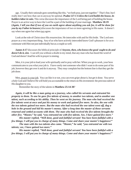ago. Usually their rationale goes something like this, "we both pray, just not together." That's fine, but I really don't see how that can in anyway be optimal. **Psalm 127:1** *Unless the Lord builds the house, its builders labor in vain.* This verse discusses the importance of the Lord being part of building the house. Prayer is an active way to have the Lord be a part of the building of your marriage. **Matthew 18:19 (***Again, I tell you that if two of you on earth agree about anything you ask for, it will be done for you by my Father in heaven.***)** discusses the importance of two or more agreeing in His name. It doesn't say when one agree but when two agree.

Look at the role of Christ since His resurrection. He intercedes with and for His bride. The Lord sees prayer as a very important thing. Any of us who have actively interceded know God's pleasure is for us to commune with Him not just individually but as a couple as well.

**James 4:17** discusses the biblical principle of *Anyone, then, who knows the good ought to do and doesn't do it, sins.* I can tell you without a doubt in my mind, that any man who has heard the word of God and doesn't lead his wife in prayer is sinning.

Men, it is your job to lead your wife spiritually and to pray with her. When you go to work, your boss communicates to you what your job is. I have rarely met someone who didn't want to do some part of his job, however they get over it and do it anyway. They may complain but the bottom line is that they get the job done.

Men, prayer is your job. You can like it or not, you can even gripe about it, but get it done. You serve a holy God and I believe He will hold you accountable to the return on His investment: the precious talent of His daughter to you.

Remember the story of the talents in **Matthew 25:14-30**?

*Again, it will be like a man going on a journey, who called his servants and entrusted his property to them. To one he gave five talents of money, to another two talents, and to another one talent, each according to his ability. Then he went on his journey. The man who had received the five talents went at once and put his money to work and gained five more. So also, the one with the two talents gained two more. But the man who had received the one talent went off, dug a hole in the ground and hid his master's money. After a long time the master of those servants returned and settled accounts with them. The man who had received the five talents brought the other five. "Master," he said, "you entrusted me with five talents. See, I have gained five more."*

*His master replied, "Well done, good and faithful servant! You have been faithful with a few things; I will put you in charge of many things. Come and share your master's happiness!"*

*The man with the two talents also came. "Master," he said, "you entrusted me with two talents; see, I have gained two more."*

*His master replied, "Well done, good and faithful servant! You have been faithful with a few things; I will put you in charge of many things. Come and share your master's happiness!"*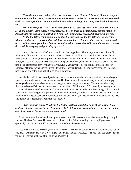*Then the man who had received the one talent came. "Master," he said, "I knew that you are a hard man, harvesting where you have not sown and gathering where you have not scattered seed. So I was afraid and went out and hid your talent in the ground. See, here is what belongs to you."*

*His master replied, "You wicked, lazy servant! So you knew that I harvest where I have not sown and gather where I have not scattered seed? Well then, you should have put my money on deposit with the bankers, so that when I returned I would have received it back with interest.*

*"Take the talent from him and give it to the one who has the ten talents. For everyone who has will be given more, and he will have an abundance. Whoever does not have, even what he has will be taken from him. And throw that worthless servant outside, into the darkness, where there will be weeping and gnashing of teeth."*

The minimal was expected of the man with one talent regardless of his fears, insecurities or his really poor view of his master. The master was not happy about this at all. Remember that this story is about money. Now as a man, you can appreciate the value of money. But let me ask you about the value of your little girl. You were there when she was born, you played with her, changed her diapers, saw her take her first steps. Remember her very first word? "Da, Da". You gave her all you could, clothes, money for hundreds of things for her and you invested your time, love and most of all you invested yourself into her. She is by far one of the most valuable persons in your life.

As a Father, which man would you be angrier with? Would you be most angry with the man who you gave a thousand dollars to for an investment and in three months doesn't make any money? How angry would you be at the man who marries your daughter under the guise of being a Christian man but later you find out he is so selfish that he doesn't even pray with her? Think about it. Who would you be angrier at?

I can tell you as a dad, I would be a lot angrier with the man who lied to me about being a Christian and is defrauding my little girl as opposed to an investment of money. God is also a Father. He not only created your wife but He took special time and creativity to make her for you. He, Himself, lives actively in her. He and her are one. Remember **Matthew 25:40, 45**?

## *The King will reply, "I tell you the truth, whatever you did for one of the least of these brothers of mine, you did for me." He will reply, "I tell you the truth, whatever you did not do for one of the least of these, you did not do for me."*

I cannot communicate strongly enough the wrath I would have on the man who defrauded my little girl and me. I believe God would have such a wrath as a loving father regarding your wife, if you were spiritually lazy and irresponsible on the job of spiritually leading your wife.

You are the man, the priest of your home. There will be no excuses when you meet her heavenly Father one day. I want that day to be a blessing to you. I want you to say Lord, I received your daughter, she was young, insecure about herself but I built her up, prayed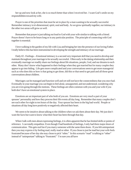her up and now look at her, she is so much better than when I received her. I want God's smile on my responsibilities toward my wife.

Prayer is one of the priorities that must be set in place by a man wanting to be sexually successful. Remember intimacy is tri-dimensional, spirit, soul and body. As we grow spiritually together, our intimacy in the other two areas will grow as well.

Remember that prayer is just talking out loud to God with your wife similar to talking with a friend. Prayer doesn't have to be hours long or in any particular position. The principle of connecting with God together is essential.

I love walking in the garden of my life with Lisa and bringing her into the presence of our loving Father. I really believe this has been instrumental in developing the strength and intimacy of our marriage.

Daily #2 - Feelings—Emotional intimacy is a second very important skill that you need to develop and maintain throughout your marriage to be sexually successful. Often early in the dating relationship and then eventually marriage we readily share our feelings about life situations, people, God, and our dreams to each other. Many don't know what happened to their feelings when they got married but for many couples they appear to go into hiding. Life gets more complicated and your conversations seem to get more managerial such as who does this or how is that going to get done, did this or that need to get paid and all those great conversations about children.

Marriages can be managed and function well and yet still not have the connectedness that you once had. Eventually in your marriage you can begin to feel alone, unsupported, and not understood, wondering why you are even going through the motions. These feelings are often common with you and your wife if you both don't have an emotional system in place.

Emotions are an important part of who both of you are. Emotions are very much a part of your spouses' personality and how they process their life events all day long. Remember that many couples don't see each other for eight to ten hours of the day. Your spouse has been in the big bad world. People or situations all day long have positively or negatively affected their heart.

We seem to be intuitive about talking to the children when we ask them about their day. We just don't want the facts but want to know what their heart has been through that day.

When I talk with men about expressing feelings, it is often apparent that he has limited skills or points of reference. I can totally empathize. Even though I had hundreds of feelings, I only had three major doors of communication. This gets real fun if you marry someone with the same three doors. If you felt unimportant then you may express it by feeling mad, really mad or other. If you chose to just be mad but your wife feels frustrated because of her day she may chose to pick "other." In this scenario "mad" is talking to "other" instead of "unimportant" talking to "frustrated." I'm sure you all have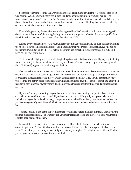been there where the feelings that were being expressed didn't line up with the real feelings the person was having. We all come with many feelings as standard operating equipment from our maker. The problem isn't that we don't have feelings. The problem is the limitations that we have in the skills to express them. I know I was emotionally illiterate when I was married. I had lots of feelings but no skills to identify or communicate them to my beautiful bride, Lisa.

Even while getting my Masters Degree in Marriage and Family Counseling I still wasn't receiving skill development in the areas of identifying feelings or communicating them and so I took it upon myself to learn this skill. What I realized is that most of life is about learning skills.

Let me give you an example. As a youth, I learned nothing about fixing cars. So even as an adult, lifting the hood of a car became shaming for me. No matter how many degrees or licenses I have, I still had no mechanical training or skills. If I were to take a course in basic mechanics and learn these skills, I could become skilled at fixing a car.

That's what identifying and communicating feelings is - a skill. Skills can be learned by anyone, including men! I can testify to that personally as well as anyone. I have witnessed many couples who have grown in the skill of identifying and communicating their feelings.

I have seen husbands and wives move from emotional illiteracy to emotional communicative competence over the years I have been counseling couples. I have countless memories of couples taking their first stab at practicing the feelings exercise that we will be discussing momentarily. They slowly do their first one or two feelings and as they practice this daily and within one hundred days these couples are talking about their feelings to each other and myself readily. Their ability to do this is critical for intimacy and ultimately sexual success.

If you can't share your feelings in your heart because of a lack of training and practice how can you expect heart to heart intimacy to occur? If you have been able to skillfully tell your spouse what you feel and what is in your heart then likewise, your spouse must also be able to clearly communicate her heart to you. Women generally love this stuff. The fact that you care enough to listen to her heart means volumes to her.

This lack of skill is one of the largest hindrances for a man to start or maintain intimacy. That is why the feelings exercise is critical. I do want to warn you that this is an exercise and therefore it does require some effort to get a degree of mastery.

Many adults have had to start to learn the computer. I liken the feeling exercise to learning a new computer program. At first, it feels unfamiliar and awkward. Over time the learning curve feels a little less slow. Then before you know it you have it figured out and you begin to feel a little more confidant. Finally you ask yourself how did you ever live without this?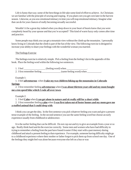Life is funny that way; some of the best things in life take some kind of effort to achieve. As Christians we are familiar with the principle of sowing and reaping. If you plant corn you get corn later in the harvest season. Likewise, as you sow emotional intimacy in time you will reap emotional intimacy. Imagine what that can do for your chances of really becoming sexually successful.

Wouldn't it be a great day indeed when you deep down in your heart of hearts knew that you were completely heard by your spouse and that you're accepted? This kind of warm fuzzy only comes after time and practice.

Some people may think you can get a mountain view without the climb up the mountains. I personally know living in Colorado that the climb is part of the fun of the view. The following exercise is designed to increase your ability to share your feelings with the wonderful woman you married.

### The Feelings Exercise

The feelings exercise is relatively simple. Pick a feeling from the feeling's list in the appendix of this book. Place the feeling word within the following two sentences.

1. I feel \_\_\_\_\_\_\_\_\_\_\_\_\_\_\_\_\_\_\_\_\_\_(feeling word) when \_\_\_\_\_\_\_\_\_\_\_\_\_\_\_\_\_. 2. I first remember feeling \_\_\_\_\_\_\_\_\_\_\_\_\_\_\_ (same feeling word) when \_\_\_\_\_\_\_\_\_\_\_.

Example 1:

1. I feel **adventurous** when **I take my two children hiking up the mountains in Colorado Springs**.

2. I first remember feeling **adventurous** when **I was about thirteen years old and my mom bought me a ten speed bike which I rode all over town**.

Example 2:

1. I feel **Calm** when **I can get alone in nature and sit really still for a short while**.

2. I first remember feeling **calm** when **I was first taken out of foster homes and my mom gave me a stuffed animal that I could sleep with**.

I think you can get the idea. In the first sentence you pick whatever feeling you want and give a present tense example of the feeling. In the second sentence you use the same feeling word but choose an early experience usually from childhood or adolescence.

It is the earlier feeling that can be difficult. Do not cop out and try to give an example from a year or so ago. Really think hard and do the exercise correctly. Some men and women who have had difficulty in trying to remember a feeling from the past have found it easier if they start with a past memory during childhood and attach a present feeling to that experience. For example, someone having difficulty might go to a childhood experience where their mother or father forgot to pick them up from school one day. One of the feelings they might feel was alone because everyone else left on a bus or was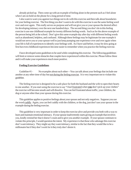already picked up. Then come up with an example of feeling alone in the present such as I feel alone when I am on hold on the phone for a long period of time.

I also want to warn you against two things not to do with this exercise and then talk about boundaries for your feeling exercise. The first thing you don't want to do with this exercise is use the same feeling word over and over again. This really serves no purpose and will not give you or your spouse the desired affect for developing intimacy over the next one hundred days. The second thing you don't do in this feeling exercise is use one childhood example for twenty different feeling words. Such as for the above example of the person being left at the school. Don't give this same example day after day with different feeling words such as abandoned, helpless, and confused. Although these feelings may be legitimate for one example it would not serve you or your spouse well to just keep pumping one experience over and over again when your life is full of experiences to identify your feelings with. As I have said before, it may be slow going at first but even childhood experiences become easier to remember when you practice the feeling exercise.

I have developed some guidelines to be used while completing this exercise. The following guidelines will limit or remove some obstacles that couples have experienced within this exercise. Please follow these and it will make your experiences much more positive.

#### **Feeling Exercise Guidelines**

Guideline #1 - No examples about each other—You can talk about your feelings that include one another at any other time of day but not during the feeling exercise. It is very important not to violate this guideline.

The feeling exercise is designed to be a safe place for both the husband and the wife to open their hearts to one another. If you start using the exercise to say "I feel frustrated when **you** don't pick up your clothes" the exercise will become unsafe and will dissolve. You can feel frustrated about traffic, your children, the dog or anyone other than your spouse during this exercise.

This guideline applies to positive feelings about your spouse and not only negatives. Suppose you use the word cuddly. Again, you can feel cuddly with the children, or the dog, just don't use your spouse in the example during the feeling exercise.

This guideline is very important in order to keep the exercise alive and provide you both with a way to learn and maintain emotional intimacy. If your spouse inadvertently starts giving an example that involves you, kindly remind her that it doesn't count and to give you another example. If your spouse continues to violate this principle, I would question the intent. My experience is that those who sabotage this exercise don't want intimacy. They might say they want intimacy, similar to the fact that they would like to be a millionaire but if they don't work for it they truly don't desire it.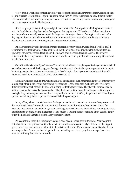"How should we choose our feeling word?" is a frequent question I hear from couples working on their feeling exercise. I warn couples about just going down the "A" list because it can be very difficult to start with words such as abandoned, aching and so on. The truth is that it really doesn't matter how you or your spouse picks your individual feeling words.

Some couples just close their eyes and pick one from the list. Some pick one feeling word that starts with "A" and the next day they pick a feeling word that begins with "B" and so on. Others just pick a number, such as nine and just do every 9<sup>th</sup> feeling word. Some just choose a feeling from that particular day. Again, the method each person chooses in order to pick his or her feeling word is not relevant to developing and maintaining intimacy over the next one hundred days.

Another commonly asked question from couples is how many feeling words should we do a day? I recommend two feeling words a day per person. So the wife does a feeling, then the husband does his. Then the wife does her second feeling and the husband does his second feeling as well. Then you're finished with the feeling exercise. Remember to follow the next two guidelines to insure you get the optimal benefit from the exercise.

Guideline #2 - Maintain Eye Contact—The second guideline to complete your feeling exercise is to look each other in the eyes while sharing your feelings. Looking each other in the eye is important as intimacy is beginning to take place. There is so much truth in the old saying that "eyes are the window of the soul". When we look into another person's eyes, we can see them.

So many Christian couples grow apart and have a difficult time even remembering the last time that they looked each other in the eye for more than a few seconds. I have seen both husbands and wives have difficulty looking each other in the eyes while doing the feelings exercises. They have become so used to talking at each other instead of to each other. They look down at the floor, the ceiling or past their spouse. Jokingly, I say that was great to share that feeling with your shoe now let's try it again and share it with your spouse. We all laugh but the spouse had to do this feeling over again.

In my office, when a couple does their feeling exercise I watch so that I can observe the eye contact of the couple and to see if the couple is maintaining the eye contact throughout the exercise. After a few attempts, most couples can maintain eye contact during the time they share their feelings. Once again, this is an important part of the feeling exercise so if your spouse is looking at his or her shoe, or the ceiling, gently touch them and ask them to look into the eyes that love them.

As a couple practices this exercise eye contact does become more natural for them. Many couples state that this was a significant shift for them in their overall communication. My wife Lisa has the biggest green eyes I have ever seen and to look into them is to see her soul. For me to see her soul is what drives me crazy for her. As you practice this guideline to the feeling exercises, I pray that you experience this aspect of intimacy that transcends words.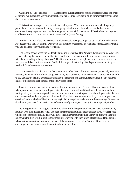Guideline #3 - No Feedback— The last of the guidelines for the feeling exercise is just as important as the first two guidelines. As your wife is sharing her feelings there are to be no comments from you about the feelings they are sharing.

This is critical to keep the exercise safe for each spouse. When your spouse shares a feeling and you pump them for more information, they are not going to feel safe and they will be less likely to want to continue this very important exercise. Pumping them for more information would be similar to asking them to tell you more and go into greater detail or further clarify their feelings.

Another violation of the "no feedback" guideline would be suggesting that they "shouldn't feel that way". Just accept what they are saying. Don't verbally interpret or comment on what they shared. Just say thank you and go ahead with your feeling word next.

The second aspect of the "no feedback" guideline is what I call the "seventy-two hour" rule. What ever is shared during the exercise can not be discussed for seventy-two hours. In other words, suppose your wife shares a feeling of being "betrayed". Her first remembrance example was when she was six and her nine-year-old sister took her favorite Barbie doll and gave it to the dog. At this point you are not to give feedback for at least seventy-two hours.

The reason why is so that you both have emotional safety during this time. Intimacy especially emotional intimacy demands safety. If I am going to share my heart of hearts, I have to know it is above all things safe to do. You see the feelings exercise isn't just about identifying and communicate feelings it's one hundred days of experiencing each other as emotionally safe people.

Over time in your marriage if the feelings that your spouse shares get shoved back in his or her face when you are mad your spouse will generalize that you are not safe and therefore will not want to share feelings with you. When you get defensive as your spouse shares with you, he or she will generalize that you are not an emotionally safe person to share with. If this is the routine way in which you both respond to emotional intimacy both will feel unsafe sharing in their most primary relationship, their marriage. Guess what that does to your sexual success? If she feels emotionally unsafe, sex is not going to be a priority for her.

As time goes by in a marriage that is emotionally unsafe, the spouse will choose not to be emotionally intimate with their husband or wife. The need for emotional intimacy doesn't just go away for the spouse who doesn't share emotionally. They will just seek another emotional outlet. It may be golf with the guys, lunch with the girls or Bible studies for either but it won't be with each other. I feel truly sad for a couple whose primary emotional intimacy is outside of their marriage. Over a long period of time this can encourage the vulnerable spouse for emotional and sexual affairs.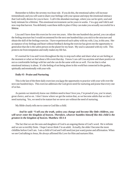Remember to follow the seventy-two hour rule. If you do this, the emotional safety will increase tremendously and you will want to share your feelings with your spouse and enjoy the emotional intimacy that God really desires for you to have. I call it the abundant marriage, where you can be spirit, soul and body intimate for a lifetime. This emotional environment can be yours in weeks. I'm a guy and I did it and now reap that harvest. You definitely want these skills in place if they can make you sexually successful for a lifetime.

Lisa and I have done this exercise for over ten years. After the one hundred-day period, you can adjust the feeling structure but I would recommend for the next one hundred days you stick to the structure and obtain the skill of the feelings exercise. I have experienced such safety with my wife, Lisa, in this area. Her acceptance of my feelings and heart without feedback during the exercise has given me the opportunity to generalize that she is the safest person on the planet for my heart. My soul is saturated with my wife. This protects me from temptation and really makes my life fun.

It's normal for Lisa and I even throughout the day to stop each other and share what we are feeling at the moment or what we feel about a life event that day. I know I can call Lisa anytime and share positive or not so comfortable feelings with her and she can do the same with me as well. For me that is what emotional intimacy is about. It's the feeling of not being alone in this world but connected in the garden, spiritually and emotionally with your wife.

### **Daily #3 - Praise and Nurturing**

This is the last of the three daily exercises you have the opportunity to practice with your wife over the next one hundred days. This exercise addresses the God given need for nurturing and praise that every one of us has.

As parents we intuitively know our children need to hear I love you, I'm proud of you, you're smart, great choice, and so on. I don't know where we get the notion that, as we become adults that we don't need nurturing. Yes, we need to be mature but we never are without the need of nurturing.

My Bible clearly tells me to come to God like a child.

## *And he said: "I tell you the truth, unless you change and become like little children, you will never enter the kingdom of heaven. Therefore, whoever humbles himself like this child is the greatest in the kingdom of heaven.* **Matthew 18:3-4**

The fact that we are the sons and daughters of God is an ongoing theme of God's word. He is infinite and we are so terribly finite. I hope I never think I'm an adult. Actually, the older I become the more childlike before God I am. I am a child of God and I still need (not just want) praise and affirmation. When we see God talking to Jesus, He always affirmed His Love for Him and nurtures Him.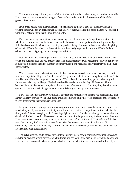You are the primary voice in your wife's life. A silent voice is the cruelest thing you can do to your wife. The spouse who hears neither bad nor good from the husband or wife that they committed their life to, grows hollow inside.

If we are to be like our Father in heaven (which needs to be the goal of us all) then nurturing and praising others will be part of His nature through us. Now again, I realize this better than most. Praise and nurturing is not something that all of us grew up with.

Praise and nurturing one another is an essential ingredient for a vibrant ongoing intimate relationship which breeds sexual success. In the next one hundred days of practicing praise and nurturing you will get skilled and comfortable with the exercise of giving and receiving. For some husbands and wives the giving of praise is difficult. For others it is the receiving or acknowledging praise that is more difficult. Still for others both aspects of giving and receiving praise is difficult.

Both the giving and receiving of praise is a skill. Again, skills can be learned by anyone. Anyone can praise and nurture a soul. As you practice the praise exercise (that you will be learning) daily you and your spouse will experience the oil of intimacy drip into your soul and heal areas of dryness that you didn't even know existed.

When I counsel couples I ask them when the last time you received a real praise, eye to eye, heart to heart and not just the obligatory, "thanks honey." They look at each other, then shrug their shoulders. This is sad because this is the icing on the cake for me. When Lisa tells me something positive about myself almost every day, my soul leaps. I feel affirmed and I can take on another day of life events. This is because I know in the deepest of my heart that at the end of even the worst day of my life, those big green eyes of hers are going to look right into my heart and she's going to say something nice.

Now I ask you, how hard do you think it is to be around someone who affirms you at least daily? Not hard at all, is my answer. We all love being around people who think that we're special or praise worthy. It is even greater when that person is your spouse.

Imagine if you were going to take a very long journey and you could choose between three spouses to travel with you. Spouse number one that you could choose is critical the majority of the time. Most of the time you don't know enough, you don't do things right and you can't make them happy no matter what you do. (I call this hell on earth). The second spouse you could pick for your journey is silent most of the time. They don't praise or compliment you or really give you much of an opinion at all. Their gifts are all locked up in fear and they think themselves too inferior to be a helpmate so you get to do it all spiritually, emotionally, sexually, and financially. This is what I call purgatory on earth, it isn't hell because at least you are in control but it sure is lonely.

The last spouse you could choose for your long journey knows how to compliment your qualities. She can stop on even the busiest day to offer a kind word and has learned the disciple of seeing the good in you. I call this heaven on earth to have a spouse who thinks and acts like the God who created and saved you.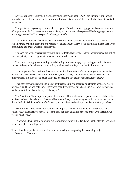So which spouse would you pick, spouse #1, spouse #2, or spouse #3? I am sure most of us would like to be stuck with spouse #3 for the journey of forty or fifty years together if we had a chance to start all over again.

The great news is you do get to start all over again. The other news is you get to choose to be spouse #3 to your wife. Isn't it great that in a free society you can choose to be spouse #3 by bringing praise and nurturing to one of God's most special children, your wife.

I can tell you however that I have before God chosen to be spouse #3 to my wife, Lisa. Do you remember the principle of sowing and reaping we talked about earlier? If you sow praise in time the harvest of nurturing and praise will come back to you.

The specifics of this exercise are very similar to the feelings exercise. First you both individually think of two things that you love, appreciate or value about the other person.

The praises can apply to something they did during the day or simply a general appreciation for your spouse. When you both have two praises for your husband or wife you can begin this exercise.

Let's suppose the husband goes first. Remember that the guideline of maintaining eye contact applies here as well. The husband looks into his wife's eyes and states, "I really appreciate that you are such a thrifty person, like the way you saved us money on checking into the mortgage insurance today."

Then the wife would continue to look at her husband until she accepted or let it into her heart. Now I purposely said heart and not head. This is not a cognitive exercise but a heart exercise. After the wife has let the praise into her heart she says, "Thank you".

The "thank you" is an important part of the exercise. This is when the recipient has received the praise in his or her heart. I used the word received because at first you may not agree with your spouse's praise due to the lack of skill or feelings of inferiority yet you acknowledge that you let the praise into your heart.

At this time the wife would give her husband his praise. When he lets it into his heart he then says, "thank you." Then he gives his wife a second praise and she gives him a second praise with the follow up words, "thank you."

For example I will use the following praises and appreciations that Trent and Natalie offer to each other. In our example Trent will go first.

Trent: I really appreciate the extra effort you made today in completing the decorating project. Natalie: Thank you.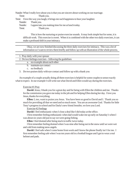Natalie:What I really love about you is that you are sincere about working on our marriage.

- Trent: Thank you.
- Trent: I love the way you laugh, it brings me such happiness to hear your laughter.
	- Natalie: Thank you.
	- Natalie: I appreciate you making time for me at lunch today.

Trent: Thank you.

This is how the nurturing or praise exercise sounds. It may look simple but for some, it is difficult work. This exercise is sweet. When it is combined with the other two daily exercises, it can make a profound shift in your intimacy.

Okay, we are now finished discussing the three daily exercises for intimacy. This was a lot of information so I want to review them briefly and follow up with an illustration of the whole process.

| 1. Pray daily with your spouse                          |
|---------------------------------------------------------|
| 2. Do two feelings exercises – following the guidelines |
| a. no example about each other                          |
| mointain arra contact                                   |

- b. maintain eye contact
- c. no feedback

3. Do two praises daily with eye contact and follow up with a thank you

An example of a couple actually doing all three exercises is helpful for some couples to sense exactly what to expect. In our example I will write out what David and Ellen would say during the exercises.

## Exercise #1 Pray

**David:** Jesus, I thank you for a great day and for being with Ellen the children and me. Thanks for the commission you gave me today in the job and for helping Ellen during her day. I love you Jesus, thanks for everything.

**Ellen:** I, too, want to praise you Jesus. You have been so good to David and I. Thank you so much for providing all that we need and so much more. You are an awesome God. Thanks for little Tony's progress in school and for Darla's new friend Jennifer, we love you Lord.

## Exercise #2 Feelings

**David:** I feel enthusiastic when I close a deal like I did today at the office.

I first remember feeling enthusiastic when dad would wake me up early on Saturday's when I was about six years old just to say we were going fishing.

**Ellen:** I feel drained after being stuck in traffic twice today.

I first remember feeling drained when I was nine after being out in the snow until we were wet and cold from making snow angels.

**David:** I feel safe when I come home from work and I know the phone finally isn't for me. I first remember feeling safe when I was ten years old in a football league and I got to wear a real helmet and pads.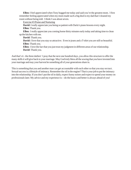**Ellen:** I feel appreciated when Tony hugged me today and said you're the greatest mom. I first remember feeling appreciated when my mom made such a big deal to my dad that I cleaned my room without being told. I think I was about seven.

Exercise #3 Praise and Nurturing

**David:** I really appreciate you being so patient with Darla's piano lessons every night. **Ellen:** Thank you.

**Ellen:** I really appreciate you coming home thirty minutes early today and taking time to clean up the kitchen with me.

**David:** Thank you.

**David:** I love that you stay so attractive. Even in jeans and a T-shirt you are still so beautiful. **Ellen:** Thank you.

**Ellen:** I love the fact that you just trust my judgment in different areas of our relationship. **David:** Thank you.

And that's it - the three dailies! I pray that the next one hundred days, you allow this structure to offer the many skills it will give back to your marriage. May God truly bless all the sowing that you have invested into your marriage and may your harvest be something all of your generations share in.

This is something that you and another man can get accountable with each other so that you stay on tract. Sexual success is a lifestyle of intimacy. Remember the oil in the engine? That is your job to put the intimacy into the relationship. If you don't put the oil in daily, expect funny noises and expect to spend your money on professionals later. My advice and my experience is—do the basics and better is always ahead of you!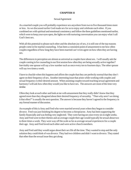# **CHAPTER 11**

### Sexual Agreement

As a married couple you will probably experience sex anywhere from two to five thousand times more or less. As we discussed earlier God made sex for us to enjoy and celebrate each other. If you combined sex with spiritual and emotional consistency and follow the three guidelines mentioned earlier, which were to keep your eyes open, the lights on with nurturing conversation you can enjoy what I call God's best sex.

With all this potential to please each other and the absolute joy of sex, it is still one of the top reasons people come in for marital counseling. It has been a consistent point of amazement to me how often couples regardless of how long they have been married can't even agree on how often they are having sex.

The differences in perception are almost as universal as couples have about sex. I will usually ask the couple coming in for counseling in our first session how often they are being sexually active together? Inevitably one spouse will say a low number such as once every ten to fourteen days. The other spouse will say two times a week.

I have to chuckle when this happens and affirm the couple that they are perfectly normal that they don't agree on their frequency of sex. Another interesting issue that arises while working with couples and sexual frequency is their desired amount. When assisting couples toward reaching sexual agreement and harmony I will ask how often they would you like to have sex. The answers are most of the time very similar.

Often they look at each other and look at me with amazement that they really didn't know that they agreed more than they disagreed about their desired frequency of sexuality. "Then why aren't we doing it that often?" is usually the next question. The answer is because they haven't agreed to the frequency in any formal manner of discussion.

An example of this is Amy and Fred who were married several years when they began to consider divorce. Fred was just finishing his degree to become a chiropractor. Amy has been supporting the family financially and was feeling very neglected. They were having sex once every six to eight weeks. Amy and Fred were in their thirties and an average couple their age would typically be sexual about two to three times a week. They were way off the scale as far as average sexual experiences for a couple their age. Amy and Fred loved each other and were active church members.

Amy and Fred said they would argue about their sex life all the time. They wanted to stop and the only solution they could think of was divorce. They had two children and didn't want to divorce. They stated that other than the sexual issue they got along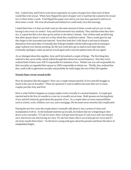fine. I asked Amy and Fred to write down separately on a piece of paper how often each of them would like to be sexual. When Amy flipped her piece of paper over it read that she wanted to be sexual two or three times a week. Fred flipped his paper over and as you may have guessed it said two to three times a week. We were all amused and realized we could easily save this marriage.

I asked them how is it that you both want sex the same amount of times a week and yet you're only having it once every six weeks? Amy and Fred answered very similarly. They said that when they have sex, it's great but then a few days go by and he or she doesn't initiate. One of them ends up believing that other spouse doesn't want sex or they think they would have asked. Then a week goes by and they begin to feel unwanted and rejected. Soon they both don't talk about it and start to distance themselves from each other. Eventually they both get irritable with the following week increasing to anger outburst over almost anything. By the next week they get so mad at each other that they eventually apologize, make up and are sexual again and it soon the pattern starts all over again!

As we dialoged about this together, Amy and Fred realized a couple of things. The first thing they realized is they never really calmly talked through their desire for sexual frequency. Also they never realized both of them were 100 % responsible for initiation of sex. Neither one was self-responsible for their sexuality yet regarded their spouse as 100% responsible to initiate sex. Thirdly, they realized that they could walk in agreement sexually and probably be really happy the rest of their life together.

### **Sexual chaos versus sexual order**

How do situations like this happen? How can a couple remain married, in love and still struggle so much in the area of sexuality? These are questions I want to address because there are so many couples just like Amy and Fred.

Here is what I believe happens as young couples evolve sexually in a normal situation. A couple gets married and in the first six months to a year sex is usually not an issue. Both spouses are having plenty of sex and feel relatively good about the quantity of sex. As a couple takes on more responsibilities such as school, work, children, two cars, and a mortgage, life becomes more stressful and complicated.

During the next few years the couple doesn't normally talk about it, but a system of chaos and manipulation evolves. As the husband smartens up sexually, he realizes that sex is beginning to slow down so he concludes, "if I ask for more, then I will get more because if I ask twice and I am refused once, that leaves me only having sex once. If I ask four times, then I can at least get sex twice and if I am lucky maybe three times." So this brave young male goes about his pursuits and hence the dance of manipulation begins.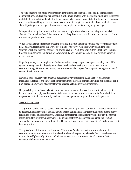The wife begins to feel more pressure from her husband to be sexual, so she begins to make some generalizations about sex and her husband. She believes he starts with kissing and hugging in the kitchen and if she lets him do that then he thinks she wants to be sexual. So what she thinks she needs to do is not let him kiss and hug her then he won't ask for sex. She begins to manipulate how much affection she will participate in, in hopes of somehow managing the sexuality in her young marriage.

Manipulation can go into multiple directions as the couple tries to deal with sexuality without talking about it. You may have heard the jokes about "if the pillow is on the right side, you can ask. If it's on the left side you better not" jokes.

When I was a teenage I remember seeing a plaque in a store that had two dials one for him and one for her. The sayings around the dial were "not tonight", "no way", "I'm tired", "if you hold me first", "maybe", "ask and take you chance", "okay, if I have to", "tonight's your night". Back then I thought how confusing this sex thing must be. As an adult, I don't think it has to be all that difficult, as we will discuss further.

Hopefully, what you can begin to see is that over time, every couple develops a sexual system. This system is a way in which they figure out how to ask without asking and how to reject without communicating. How unclear these systems are even to the couples that are participating in the sexual system they have created.

Having a clear sexual system or sexual agreement is very important. Even the best of Christian marriages can stagger and injure each other throughout the years of marriage with a non-discussed and non-agreed upon system of sex that they co-created yet no one is responsible for.

Responsibility is a big issue when it comes to sexuality. As we discussed in an earlier chapter, just because someone is physically an adult it does not mean that they are sexual adults. Sexual adults are responsible for their own sexuality and can create an agreement together for sexual expression.

### **Sexual Acceptance**

The gift from God to men is a strong sex drive that doesn't quit until near death. This drive forces him to get through his insecurities and self doubts to start dating and is a large motivation for men to marry regardless of their spiritual maturity. This drive compels men to consistently work through the marital issues during his lifetime with his wife. This sexual gift from God is what glues a man to a woman spiritually, emotionally and neurologically. This sexual drive is a great gift from God. This God given gift has many virtues.

The gift of sex is different for each woman. The woman's drive seems to come mostly from the communion or an emotional and spiritual realm. Generally speaking when she feels close she wants to express herself physically. She is not looking for a sex act; she is looking for a love event during sexuality. I believe women intuitively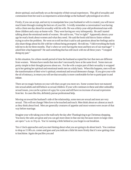desire spiritual, soul and body sex as the majority of their sexual experiences. This gift of sexuality and communion from her soul is as important to acknowledge as the husband's physiological sex drive.

Firstly, if you can accept, and not try to manipulate how your husband or wife is created, you will move much faster through creating the best sex of your life. I vividly remember a conversation I was having with a client one day about his sexuality with his wife. He was a thirty-year-old professional man with three children and a stay-at-home wife. They were having sex very infrequently. He and I started talking about the emotional needs of women. He said to me, "You're right!" Apparently about a year ago he read a book about women and what they need. He said the book told him to listen without trying to solve the problem. He went on to tell me that it said to ask questions about her feelings and to also share things about his life with her without being prompted. He told me, "I did everything the book told me to do for three months. That's when we were having the most and best sex of our marriage!" I asked him what happened? He said something that has still stuck with me all these years: "I stopped doing my part."

In this situation, for a three-month period of time the husband accepted the fact that men are different from women. Women have needs that men don't necessarily have at the same level. Some men are pretty simple in their thought process about sex. For the wife a major part of their sexuality is wrapped up in her getting her spiritual and emotional needs met on a daily basis. When this happens, men will see the transformation of their wive's spiritual, emotional and sexual demeanor change. If you give your wife the oil of intimacy, in return you will see that sexuality is more comfortable for her to participate in and initiate.

There are no magic buttons on your wife that can get you more sex. Some women have not matured into sexual adults and still behave as sexual children. If your wife continues in these and other unhealthy sexual issues, you can be a prince of a guy for a year and still have no increase of sexual expression from her. In cases like this, definitely pursue professional help.

Moving on toward the husband's side of the relationship, some men are sexual and most are very sexual. This will not change! Men love to be touched and touch. Men think about sex almost as much as they think about food. Men are generally creatures of appetite and most women were aware of that way before marriage.

Imagine your wife taking you to the mall early the day after Thanksgiving to go Christmas shopping. You know the sales are great and you can get more done in that one day because stores in large cities are open 7 a.m. to 10 p.m. You're running a little behind so you forget to eat breakfast.

Ten o'clock approaches and you start hinting about what you are going to do about lunch. You continue to shop as 11:00 a.m. comes and goes and you indicate a little bit more firmly that it's now getting close to lunchtime. Again she pacifies you and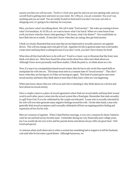assures you that you will eat soon. Twelve o'clock now goes by and you are now getting rude, and you can tell food is getting more and more on your mind. By 1:00 p.m. you are a monster. You won't say anything and you are mad! You are totally fixated on food and if you don't eat soon, not only is shopping over; it's going to be a bad day for everyone.

Men, you know what I am talking about. We call it male "food anxiety". We wake up wanting to know what's for breakfast. At 10:30 a.m. we want to know what's for lunch. When we come home from work you know what the classic male greeting is "Hi, honey, what's for dinner?" You would think we have little else on or minds. If men don't know when they are eating, they get food anxiety.

I think we clearly illustrated that most men that are not depressed or sexually anorexic are appetite driven. This will not change and is the gift of God. Appetites for life in general make men work harder, create more and keep them working because if you don't work, you don't have money for food!

What does all this food talk have to do with sex? Food is a classic way to illustrate that like food, men think a lot about sex. Most have heard the urban myths about how often men think about sex. Although I have never personally read these studies, I think the point is, we think about sex a lot.

Now, if a man is in a manipulation based sexual system, then he has to rely on his fine-tuned skills to manipulate his wife into sex. This keeps most men in a constant state of "sexual anxiety". They don't know when they are having sex or if they are having sex again. This kind of system gives men more sexual anxiety and hence they think about it more than if they knew when sex was happening.

When men know about when sex will occur and who is initiating it, they think about sex a lot less and have almost no sexual anxiety.

Once a couple comes to a place of sexual agreement where both are sexual adults and keep their sexual word to each other, peace comes into the sexual system like a flood gate. Remember that male sexuality is a gift from God. It is to be celebrated by the couple not tolerated. A man who is sexually tolerated by his wife will over time generate many negative feelings toward his wife. On the other hand, a man who generally feels sexual acceptance and is sexually celebrated will have an ongoing positive feeling and expression of love for his wife.

Men are creatures of appetite. When I dated before marriage, it was very common for those I dated to cook for me and find out my favorite meal. I remember during my very financially poor college years, my Lisa would ask me over to her and her parents home and almost always offer me great food. I felt loved and special.

A common urban myth about men is when a woman has something bad or negative to tell her husband, wait until after he has eaten a good dinner. Although humorous, we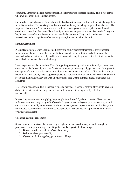commonly agree that men are more approachable after their appetites are satiated. This is just as true when we talk about their sexual appetites.

On the other hand, a husband ignores the spiritual and emotional aspects of his wife he will damage their sexuality over time. The man is spiritually and emotionally lazy has a huge surprise down the road. The surprise is that she won't be interested and it will be because you did not accept her sexuality and emotional connection. I tell men all the time if you want to train your wife not to like sex don't pray with her, listen to her feelings or keep your word outside the bedroom. They laugh but those who have refused to sexually accept their wife's intimacy needs, know I am telling the truth.

## **Sexual Agreement**

A sexual agreement is when a couple intelligently and calmly discusses their sexual preferences for frequency and then distributes the responsibility between them for initiating fairly. In a sense, the husband and wife decides verbally and then writes down the way they want to structure their sexuality so that both are reasonably sexually happy.

I need to put a word of caution here. Don't bring this agreement up with your wife until you have been consistent on the three daily exercises for sixty to ninety days. You may only get one shot at bringing this concept up. If she is spiritually and emotionally distant because of your lack of skills or neglect, it may backfire. She will quickly see through your plot to get more sex without meeting her needs first. She will see you as manipulative, lazy and weak. So first things first. Do the intimacy exercises and then talk about this.

Life is about negotiation. This is especially true in a marriage. If a man is pestering his wife to have sex daily or if the wife wants sex only one time a month they are both being sexually selfish and unreasonable.

In sexual agreement, we are applying the principle from Amos 3:3, where it speaks of how can two walk together unless they be agreed? If you don't agree on a sexual system, the chances are you will create one without really agreeing on it. Although unusual, some couples are fortunate that the system they created between them works because both people in the marriage are happy with their naturally evolved sexual system.

### **Creating a sexual agreement**

Sexual systems are an issue that many couples fight about for decades. As you walk through the process of creating a sexual agreement together I will ask you to do three things.

- 1. Be open minded to each other's needs sexually.
- 2. Be honest about your sexuality.
- 3. If you can't do this together, get professional help.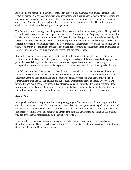Agreements and management structures are used in almost every other area of your life. In money, you organize, manage and oversee the system of your finances. You also manage the raising of your children and their countless classes and scheduled activities. Your spiritual and emotional lives require many agreements and systems. Much of life is really about effective management for optimal results. This truth is also self evident as you walk toward creating a sexual agreement.

The first step toward creating a sexual agreement is the issue regarding the frequency of sex. Firstly, both of you will need to write on a piece of paper your own personal preferences for frequency. On an average this may be one, two or three or more times a week for couples up to the age of about fifty and then usually will lessen to about once a week. I say this as a reference point only because I am asked this question so often. This is now where the negotiating starts. This is your marital sexual system so you can be as creative as you wish. If he prefers two sexual experience each week and she wants to be sexual three times a week then on his week he can have his frequency and on her week she can choose hers.

Remember that this is your sexual agreement. I usually ask couples to stick to their agreements for a minimum of ninety days to see if the system is working for everybody. If the system needs changing at that point, discuss this in a public place (not your bedroom or in your house) so that it is in no way a manipulation or one trying to pressure their spouse into more or less sexuality than they agreed to that night.

The following are several basic sexual systems for you to choose from. You may come up with your own version of a system, which is fine. I realize that as a couple has children and raises those children and then goes through the stage of children leaving the home, the sexual systems will change but only when both agree with the changes. Lisa and I have had our sexual agreement for about a decade. Every year we review this and make changes as needed. I say this is so you don't think that this is simply a good idea. Many have practiced putting these systems into place and it has brought great peace to their relationships. Others have written and called me with their successful testimonies of walking in sexual agreement.

## **System One**

After you have checked the previous box as to agreeing on your frequency, you will now simply pick the days that you want to be sexual. If you want to be sexual twice a week, then you can pick any two days of the week that work within you schedule. For example, Tuesday and Saturday or Wednesday and Sunday. You are most familiar with your schedule so agree on the days that you want to be sexual. In this system, you can divide sexual responsibility by the day or by the week.

For example, let's suppose Jason and Dana chooses to be sexual two days a week on Tuesday and Saturday. Jason could be responsible to initiate on Tuesdays and Dana could be responsible for initiating on Saturdays. Jason and Dana could also make it so on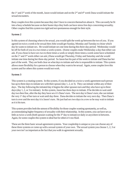the 1<sup>st</sup> and 3<sup>rd</sup> week of the month, Jason would initiate and on the 2<sup>nd</sup> and 4<sup>th</sup> week Dana would initiate the sexual encounters.

Busy couples love this system because they don't have to concern themselves about it. This can easily be fit into a busy schedule because on their busier days they both can have stress free days concerning sexuality. Other couples find this system too rigid and not spontaneous enough for their style.

# **System 2**

In this system of choosing when to be sexual, you would split the week up between the two of you. If you agreed on twice a week to be sexual then John would get Sunday, Monday and Tuesday to chose which day he wants to initiate sex. He would initiate sex one time during this three-day period. Wednesday would be off for both of you in a two times a week system. (Some couples make Wednesday a day that either can ask. If you chose to have sex two to three times a week or simply three times a week some have scheduled on the 1st and 3rd week either can ask.) Dana would get Thursday, Friday and Saturday and she would initiate one time during her three-day period. So Jason has his part of the week to initiate and Dana has her part of the week. They are both clear on what days to initiate and who is responsible to initiate. This system allows more flexibility for a person to choose when they want to be sexual. Again, some couples love this system and for others this system would not work.

# **System 3**

This system is a rotating system. In this system, if you decided on a twice a week agreement each person has up to three days to initiate sex with their spouse (day 1, 2, or 3). They can initiate within any of their days. The day following the initiated day it begins the other spouses turn and they also have up to three days (day 1, 2, or 3 to initiate). In this system, Jason has three days to initiate. If he decides to wait until day two then fine, after the day they have sex it's Dana's turn. The next day is Dana's turn; she can initiate the very 1<sup>st</sup> day of her turn or wait until day three. Dana decides to initiate the very next day. Then Dana's turn is over and the next day it is Jason's turn. He just had sex two days in a row so he may wait to initiate as it is his turn.

This system provides both the utmost of flexibility for those couples wanting spontaneity, as well as, accommodating higher frequency of sexuality with their relationship. In this system, you can have sex as little as twice a week (both spouses waiting for the  $3<sup>rd</sup>$  day to initiate) or daily or anywhere in between. Again, for some couples this system is ideal but for others it's too fluid.

These are the three basic sexual agreement systems. Your coupleship is unique so you can choose any of these three systems or come up with a sexual system of your own. The sexual system you choose 1, 2, 3 or your own isn't as important as the fact that you walk in agreement sexually.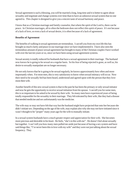Sexual agreement is such a blessing, you will be married a long, long time and it is better to agree about sexuality and negotiate and change systems over time than to have an unknown sexual system that no one agreed to. This chapter is designed to give you a sincere taste of sexual harmony and peace.

I know that as a Christian marriage and family counselor, that where the spirit of the Lord is, there can be peace. In Christian marriages, all to often the bedroom does not reflect this spirit of peace. It's not because of a lack of love, or even a lack of sexual desire, it is often because of a lack of agreement.

### **Benefits of Agreement**

The benefits of walking in sexual agreement are tremendous. I can tell you from my own life this has brought us much clarity and peace in our marriage since we have implemented it. I have also seen the tremendous amount of peace sexual agreement has brought to many of the Christian couples I have worked with over the last ten years or so, since we have been using sexual agreement systems.

Sexual anxiety is totally reduced for husbands that have a sexual agreement in their marriage. The husband now knows he is going to be sexual on a regular basis. So his fear of being rejected is gone, as well as, his desire to sexually manipulate are no longer necessary.

He not only knows that he is going to be sexual regularly, he knows approximately how often and more importantly when. For most men, this is very satisfactory to know when sexual intimacy will occur. Now their need to be sexually fed has been heard, understood and agreed upon with the person that they love most-their wife.

Another benefit of this new sexual system is that in the past he has been the primary or only sexual initiator and now he gets the opportunity to receive sexual initiation from his spouse. I can tell you for some men, this is so important to be asked to be sexual by their wife. So many men have experienced years of being totally responsible for the sexuality in their marriage. They felt tolerated by their wife, like they had a disease that needed medicine and sex unfortunately was the medicine.

The wife may or may not have felt that way but the husband might have projected that onto her because she didn't initiate sex. Depending on the age of the wife, may explain also why she may not have initiated since it wasn't thought to be "proper" many years ago for the wife to mutually initiate.

In a sexual system husbands have a much greater respect and appreciation for their wife. She becomes more precious and desirable in his heart. He feels, "she's in this with me". He doesn't feel alone sexually but together. I can't tell you how many men pulled me aside just because of having a sex system and have said things like, "I've never been this in love with my wife" and they were not just talking about the sexual frequency. They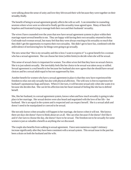were talking about the sense of unity and love they felt toward their wife because they were together on their sexuality, finally.

The benefit of being in sexual agreement greatly affects the wife as well. I can remember in counseling sessions where wives were so relieved to finally get this sexuality issue agreed upon. Many of them felt hopeless and frustrated trying to manage both their own and their husbands' sexuality.

The wives I have counseled over the years that now have sexual agreement systems in place within their marriage report several benefits to me. They are happy with having their own sexuality returned to them. God made each woman sexual, but many feel that they were always reacting to his sexuality so much that they didn't get the opportunity to express their own sexuality. She didn't get to have fun, combined with the ambivalence of not knowing how far things were going to go sexually.

The new sense that "this is my sexuality and this is how I want to express it" is a great benefit for a woman who has a sexual agreement. She can choose her time (within limits) to decide when she will be sexual.

This sense of sexual choice is important for women. Too often wives feel that they have no sexual choices. She is to just submit sexually. She inevitably feels like her choice to be sexual was taken away or stifled. Sexual agreement is a real benefit to her because her husband also now agrees that she should have sexual choices and be a sexual adult equal to but not suppressed by him.

Another benefit for women who have a sexual agreement in place is that they now have experienced the freedom to relax not only sexually but also with physical affection. The wife now is free to experience her husband's spontaneous hugs and kisses. When it's her turn, it will become sexual only when she wants it to because she decides that. She can let his affection into her heart instead of feeling like she has to defend herself.

She, like her husband, in a sexual agreement system, knows when and how much sexuality is going to take place in her marriage. Her sexual desires were also heard and negotiated with the love of her life – her husband. She is an equal in the system and is respected and can respect herself. She is a sexual adult and doesn't need to be manipulated or coerced to be sexual.

She not only knows when sexuality will happen in her marriage, she knows when it will not. She knows there are days she doesn't have to think about sex at all. She can relax because if she doesn't feel like it and it's her turn to choose the day, she doesn't have to be sexual. The freedom not to be sexually for some women is just as valuable a benefit as anything else we discussed.

The couple also benefits from walking in sexual agreement. I have seen numerous couple's intimacy increase significantly after they have been consistent with a sexual system. This sexual issue in the past has been a drain on both the husband and the wife.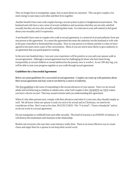They no longer have to manipulate, argue, fuss or pout about sex anymore. This can give couples a lot more energy to just enjoy each other and their lives together.

Another benefit I have seen with couples having a sexual system in place is heightened sexual esteem. The husband and wife have a new sense of sexual confidence and awareness that they are not only satisfied sexually but they are now also sexually satisfying their mate. It is intricate to your self-esteem to feel good about your sexuality and it's expression.

A last benefit I have seen in couples who walk in sexual agreement, is a removal of sexual authority from any one person in the agreement. In a sense the agreement becomes the authority not the husband or wife who in the past controlled or dominated the sexuality. Now no one person is to blame and this is what we have agreed to becomes more a part of the conversation. Most of you are much more likely to give authority to an agreement that you participated in creating.

In the next one hundred-days, I am sure your experience will be positive as you and your spouse walk in sexual agreement. Although a sexual agreement may be challenging for those who have been living irresponsibly as sexual children or sexual adolescents the journey now is worth it. In our 100-day log, you will be able to note your progress together as you walk through sexual agreement.

### **Guidelines for a Successful Agreement**

Below are some guidelines for a successful sexual agreement. Couples can come up with questions about their sexual agreement and may want to run them by a source of authority.

The first guideline is the issue of responding to the sexual advances of your spouse. Since we are sexual adults and not behaving as children or adolescents, what I tell couples is this: ALWAYS say YES! unless you have a doctor excuse! That may sound extreme until you understanding this agreement.

When it's the other persons turn, comply with their advances and when it's your turn, they should comply as well. We all know when our spouse is truly too sick to be sexual and as Christians, we need to be considerate of that. But I want to be clear, NO EXCUSES! The "I'm tired", "I have a headache" and so on do not work in a sexual agreement.

Do not manipulate or withhold from each other sexually. This kind of reaction is an ENEMY of intimacy. It will destroy the momentum and closeness in the relationship.

Realize not everyone who says they want intimacy really does. There is no more effective way to create chaos and anger than for a spouse to not keep their sexual word.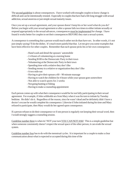The second guideline is about consequences. I have worked with enought couples to know change is difficult and can be intentionally resisted. Especially in couples that have had a life long struggle with sexual addiction, sexual anorexia or just simple sexual maturity issues.

Once you set up a sexual agreement, and your spouse doesn't keep his or her word what do you do? Before you begin with your sexual agreement or after a spouse fails two times to either initiate sexually or respond appropriately to the sexual advances, consequences must be implemented for change. I have found it works better for couples to set their consequences BEFORE they start a sexual system.

A consequence is something that a person would much rather not do than have sex. In other words, it's not just simply saying I'll do the dishes. It's much more painful that that. Let me give you some examples that have been effective for other couples. Remember that each spouse picks his or her own consequence.

- Hand wash and detail the spouses' automobile
- 2-4 hours of volunteering at a nursing home
- Sending \$100 to the Democratic Party in their town
- Volunteering at the Democratic Party in their town
- Spending time with a relative they don't like
- Sending money to a relative or organization they don't like
- A two mile run
- Having to give their spouse a 60 90 minute massage
- Having to watch the children for 4 hours while your spouse goes somewhere
- Not able to watch sports for 2 weeks
- Not going hunting or fishing
- Having to make a counseling appointment

Each person comes up with what their consequence would be for not fully participating in their sexual agreement. For example, if John withholds sex from Mary when it was his turn to initiate by Tuesday bedtime. He didn't do it. Regardless of the reason, since he wasn't dead and he definitely didn't have a doctor's excuse he would complete his consequence. Likewise if John initiated during his time and Mary refused to participate, then Mary would do her agreed upon consequence.

If a person refuses to do their consequence or if one person is regularly not keeping their sexual word, then I would strongly suggest a counseling session.

Guideline number three is when its' NOT your turn YOU CAN NOTASK! This is a simple guideline but when someone consistently doesn't respect the sexual space of the other person, it can erode the sexual system.

Guideline number four has to do with the menstrual cycles. It is important for a couple to make a clear communication about what is expected or accepted during this time of the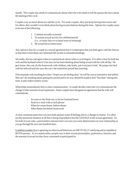month. The couple also needs to communicate about when the wife needs to tell the spouse the news about the starting of the cycle.

Couples vary so much about sex and the cycle. For some couples, they just keep having intercourse and for others, they wouldn't even think about having sexual relations during this time. Options for couples seem to be one of the following:

- 1. Continue sexually as normal
- 2. To sustain sexual activity for a defined period (i.e., so many days or so many turns at initiating)
- 3. Be sexual but no intercourse

Any option is fine for a couple in a sexual agreement but it is imperative that you both agree with the choices so that there is less likely any relational fall out due to misunderstandings.

Secondly, discuss and agree when to communicate about when a cycle begins. It is often a loss for both the wife and the husband when it's his turn, he has been thinking about being sexual with his wife all day. He gets home, they eat, do the homework with children, take baths, put everyone to bed. He jumps into bed with his beloved and she says she can't she started her period that morning.

If he responds with anything less than "I hope you are feeling okay" he will be cast as insensitive and selfish. She can't do anything about getting her period and in no way should be made to feel "less than" during this time; it only makes matters worse.

What helps tremendously here is clear communication. A couple decides when she is to communicate the change in their normal sexual expression. Some couples have designed an agreement that the wife will communicate:

- As soon as she finds out, to let her husband know
- Send an e-mail with a catch phrase
- When he comes home, before dinner
- After dinner but before homework

A clear communication here can save both spouses some ill feelings due to a change in routine. It's often not the menstrual situation at all that is being responded to but the CHANGE in the sexual agreement. So for both of your sake, a preventative measure here can save you some deterioration on your relationship as you go through the next one hundred-days.

Guideline number five is agreeing on what sexual behaviors are MUTUALLY satisfying and acceptable to BOTH spouses. As we stated earlier, people vary in their sexual personalities, preferences, histories and the amount of sexual sin they have consumed or participated in.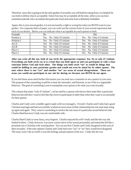Therefore, since this is going to be the only garden of sexuality you will both be eating from, it is helpful for you both to define what is acceptable. Some fruit may be acceptable all the time, others you can have sometimes (decide who can initiate that particular fruit) and some fruit is definitely forbidden.

Again, this is your sexual garden, it is not necessarily a right or wrong but what you BOTH want in your garden. On a separate sheet of paper, you can write out the various fruits of your sexual expression that each of you desires. Below you can indicate what is acceptable for each spouse or both.

| Example                   | He                        | <b>She</b>                |
|---------------------------|---------------------------|---------------------------|
| Position 1                | Yes No Only if I initiate | Yes No Only if I initiate |
| Position 2                | Yes No Only if I initiate | Yes No Only if I initiate |
| Act A                     | Yes No Only if I initiate | Yes No Only if I initiate |
| $\overline{\text{Act }B}$ | Yes No Only if I initiate | Yes No Only if I initiate |
| Place 1                   | Yes No Only if I initiate | Yes No Only if I initiate |
| Place 2                   | Yes No Only if I initiate | Yes No Only if I initiate |

**After you write all this out, both of you circle the appropriate response; Yes, No or only if I initiate. Everything you both circle yes to is a fruit that you both agree on and can participate in with a clear conscious before God and each other. The things you both circle "no" to would be things that would be defiling to your particular garden and would not even be asked for by either spouse. The ones where there is one "yes" and another "no" are areas of sexual disagreement. These are areas you would not participate in nor ask for during sex because you BOTH do not agree.**

If you feel these areas need further discussion you can seek out a counselor or see a pastor in your area. The purpose of the counseling would be to hear the rationales, and histories, to see if this is a negotiable behavior. The goal of counseling is not to manipulate your spouse to do what you want sexually.

The column that states "only if I initiate", can be used by a spouse who knows their mate likes a particular behavior but still don't want to feel like they have to participate in other than when they want to occasionally for their spouse.

Charles and Cindy were a middle-aged couple with two teenagers. Overall, Charles and Cindy had a good Christian marriage and had successfully worked on most areas of their relationship but one issue kept rising up again and again. They came to counseling to resolve the one issue of a particular sexual behavior that Charles liked however Cindy was not comfortable with.

Charles liked Cindy to wear fancy, sexy lingerie. Charles enjoyed his wife's body and like the way she looked in them. Cindy, however, was more conservative in her sexual personality and stated she felt like a prostitute not a Christian wife wearing them. You can see how Charles and Cindy disagreed in this area of their sexuality. If the only options Charles and Cindy had were "yes" or "no" they would have disagreed. The issue wasn't the act itself; it was the feelings and perception of the acts. Cindy felt she was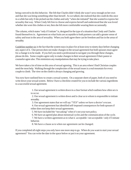being coerced to do this behavior. She felt that Charles didn't think she wasn't sexy enough on her own and that she was being something other than herself. As we talked, she realized that she could do this once in a while but only if she picked out the clothes and only "when she initiated" that she wanted to express her sexuality that way. When Cindy felt free to choose and express herself and understood that she was loved whether she wore this clothes or not, then she felt more comfortable wearing them occasionally.

The column, which states "only if I initiate" is, designed for the type of a situation that Cindy and Charles found themselves in. Agreement on what fruits are acceptable to both partners can add a greater sense of safety and trust in the area of sexuality. When you both agree there can be freedom and fun in the areas of sexuality.

Guideline number six is the fact that the system stays in place for at least sixty to ninety days before changing any aspect of it. One person does not make changes in the sexual agreement but both spouses must agree for a change is to be made. If you feel you need a professional to navigate you through these changes, please do this. Some couples agree only to make changes in their sexual agreement if their pastor or counselor agree also. This minimizes any manipulations that may be trying to take place.

We have taken a lot of time on this area of sexual agreeing. This is an area where I find Christian couples need the most help. Walking through the complexities of the sexual issues is a real mountain for every couple to climb. The view on the climb is always changing and growing.

You now have outlined how to create a sexual system. On a separate sheet of paper, both of you need to write down your sexual system. Below I have a checklist created for you to include the various ingredients to a successful sexual agreement.

> 1. Our sexual agreement is written down in a clear format which outlines how often sex is to occur.

> 2. Our sexual agreement is written down and is clear as to whom is responsible to initiate sexuality.

3. Our agreement states that we will say "YES" unless we have a doctor's excuse.

4. Our sexual agreement has identified self-imposed consequences for both spouses if either does not keep their sexual agreements.

5. We have included the "not asking" when it's not your turn policy.

6. We have an agreed plan about menstrual cycles and the communication of the cycle.

7. We have a written agreement as to what is acceptable / not acceptable / only if I initiate behavior.

8. We have a clause as to when our agreement can be changed.

If you completed all eight steps you only have one more step to go. When do you want to start your sexual agreement? You can write the date in the space below or put it on your agreement.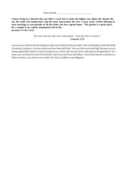Date Started:

**I know living in Colorado that any hike is work but it seems the higher you climb, the cleaner the air, the cooler the temperature and the more spectacular the view. I pray God's richest blessing on your marriage as you partake of all the fruits you have agreed upon. The garden is a great place for a couple to be, naked, unashamed and in the presence of the Lord.**

> *The man and his wife were both naked, "and they felt no shame."*  **Genesis 2:25**

As a man you will not only be feeling sexually successful but also masculine. You can definitely master the skills of intimacy and grow in areas where you have been deficient. You can hold your bead high because you are being responsible with the woman God gave you. I know this may be more work than you bargained for. As a man, your not afraid of work if everybody wins from your focus and efforts. Your climb may be work but as a fellow traveler, I can tell you it is worth it all. May God Bless your diligence!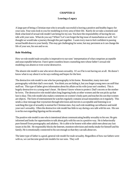## **CHAPTER 12**

### **Leaving a Legacy**

A large part of being a Christian man who is sexually successful is leaving a positive and healthy legacy for your sons. Your sons look to you for modeling in every area of their life. Rarely do we take a moment and think what kind of sexual role model I am being for my son. You have the responsibility of having the sex talk with your sons. What do you say? When? Let's not forget the big issue of masturbation as well. So I thought we would take a journey through this part together. I want every man to feel confident in passing sexual health down to your family. This may get challenging for some, but stay persistent as it can change the life of your son, his son and so on.

### **Role Modeling**

How we role model male sexuality is imperative to our sons' interpretation of what comprises acceptable and unacceptable behavior. I have spent countless hours counseling men whose father's sexual role modeling was absent or even worse destructive.

The absent role model is one who never discusses sexuality. It's as if he is not having sex at all. He doesn't know what to say about it so he says nothing and hopes for the best.

The destructive role model is one who has pornography in his home. Remember, many men start pornography with their dad's own stash. You think you are hiding it, but you forget young men can sniff that stuff out. This type of father gives information about his affairs on his wife (your son's mother). This is hugely destructive to a young man's heart. He doesn't know whom to protect: Dad's secrets or the mother he loves. The destructive role model takes long lingering looks at other women and the son picks up that lust is okay. This role model also makes comments on women's body parts and teaches his son that women are objects. The form of entertainment he watches regularly contains sexual innuendoes on it regularly. This sends a clear message that voyeurism through television and movies is acceptable and listening to or watching this type of sexuality is normal for Christian men. Any such role modeling can influence and mold your son's sexuality. Often the destructive role model has little to say during a sex talk with his son. His son is on his own regarding figuring out his sexuality.

The positive role model is one who is intentional about communicating healthy sexuality to his son. He gets informed and looks for opportunities to talk about girls with his son in a positive way. He is behaviorally pure himself from pornography and adultery. He is able to be honest with other adult men about any lust issues in his life. He responsibly blocks the Internet, monitors television and media intake for himself and his family. He is emotionally connected to his son enough so that they can talk about sex.

The latter type of father is a good, general role model for male sexuality. Regardless of how our fathers were with us, we can become good role models for our sons. They will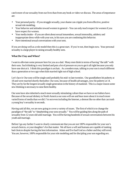catch more of our sexuality from our lives than from any book or video we discuss. The areas of importance are:

- Your personal purity If you struggle sexually, your shame can cripple you from effective, positive sexual role modeling.
- Your behavior and attitudes toward women in general You can only teach respect for women if you have respect for women.
- Your media intake If you are silent about sexual innuendoes, sexual immorality, adultery and inappropriate dress while with your son, in his eyes you are condoning this behavior.
- Have intentional sexual conversations with your sons.

If you are doing well as a role model then this is a great start. If you're not, then begin now. Your personal sexuality is a large player in raising sexually healthy sons.

# **What Do I Say and When?**

I want to alleviate some pressure here for you as a dad. Many men think in terms of having "the talk" with their sons. Such thinking is very limited and puts a lot of pressure on you to get it all right because you only have one shot at it. I think this paradigm is archaic. As a modern man, talking to your son is much different than a generation or two ago when kids married right out of high school.

Let's face it: Our sons will be single until probably his mid- to late twenties. Our grandfathers hit puberty at 18 and were married shortly thereafter. Our sons, because of health advantages, now hit puberty at 14. They are by far the longest sexually single generation in the history of mankind. This is a major reason some new thinking is necessary to raise them healthy.

Our sons have also inherited a much more sexually stimulating culture than we have or our fathers have. Because of the sexual idolatry in North America our sons will see and hear more about it in much more varied forms of media than we did. I'm not even including the Internet, a demon like no other that can trash a young boy's sexuality in seconds.

Having said all this, we are now going to cover a variety of issues. The first of which is to change the paradigm of "the talk" to "shepherding your sons sexually." You will be guiding him along the path of sexuality from 12 years old until marriage. You will be having hundreds of sexual conversations between his youth and marriage.

Before I go any farther I want to clearly communicate that you are not 100% responsible for your son's sexual choices, or your daughter's for that matter. We all have a will and humans are capable of making bad choices despite having the best information. Adam and Eve had God as a father and they still erred. You are, however, 100% responsible for your role modeling and for discipling your son regarding sex.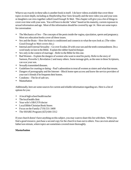What to say exactly in these talks is another book in itself. I do have videos available that cover these topics in more depth, including as *Shepherding Your Sons Sexually* and the teen video you and your sons or daughters can view together called *Good Enough To Wait*. This chapter will give you a list of things to cover over time with your sons. You will have to decide "when" based on his maturity, current exposure to sexual information and age. Most of this information should be covered by age 14. Here are some topics for conversation:

- The Mechanics of Sex The concepts of the penis inside the vagina, ejaculation, sperm and pregnancy. Most sex education books cover all these issues.
- Sex and the Brain How the brain is conditioned and connects to what the eyes look at. (The video *Good Enough to Wait* covers this.)
- Internal and External Sexuality Go over Exodus 20 with your son and the tenth commandment. Do a word study on lust in the Bible. Explain the rubber-band technique.
- Sex only in the context of marriage Refer to the Bible for this one.
- Bad Women Explain the dangers of women who want to steal his purity. Refer to the story of Samson, Proverbs 5, Revelation 2 and many others. Some teenage girls, as the ones in these Scriptures, can scar your son.
- Sexually transmitted diseases.
- Guidelines for courting or dating Paul's admonition to treat all women as sisters and what that means.
- Dangers of pornography and the Internet Block home open access and know the service providers of your son's friends if he frequents their homes.
- Condoms The lie of safe sex.
- Masturbation

Additionally, here are some sources for current and reliable information regarding sex. Here is a list of options for you:

- A local high school health teacher
- The local health clinic
- Your wife's OB/GYN doctor
- Local Bible/Christian Book Stores
- Focus on the Family  $(719)$  531-3400
- The SHARE Program (425) 644-3312

If your church doesn't have anything on this subject, you may want to share this list with them. When you find a good resource, purchase a second copy for the church to loan out to others. You can even attend our father/son retreats, where topics are sometimes covered more thoroughly.

### **Masturbation**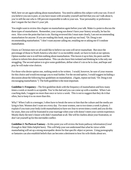Well, here we are again talking about masturbation. You need to address this subject with your son. Even if you believe you son is pure, or you have issues with sexuality yourself and feel that you can't talk about it, you're still the one who is 100 percent responsible to talk to your son. Your personality or preferences don't negate the fact that it's *your* job.

You might want to review this chapter on masturbation again before your talk. Make it a point to discuss the three types of masturbators. Remember, your young son doesn't have *your* history sexually, he has his own. Also cover the point that lust is sin. Having reviewed this I must state clearly, I am not recommending masturbation for anyone. If you are reading this book, stop and say out loud, "Dr. Doug is not recommending masturbation." I don't want anyone calling me, emailing me or asking me if I condone masturbation.

I know as Christian men we all would like to believe our sons will never masturbate. But since the percentage of those in North America who don't is so incredibly small, we have to look at our options. Option number one is to tell him nothing about masturbation. This leaves it up to him, his peers and the culture to inform him about masturbation. This can also leave him isolated and thinking he is the only one struggling. The second option is to give some guidelines, define when it's sin so he is clear, and hope and pray he will make wise choices.

For those who desire option one, nothing needs to be written. I would, however, be sure of your reasons for this choice and would encourage you to read further. For the second option, I would suggest including a discussion about the following four guidelines on masturbation. (Again, repeat out loud, "Dr. Doug is not encouraging masturbation.") The forth guideline is the most important.

**Guideline 1: Frequency –** The first guideline deals with the frequency of masturbation and how many times a week or month is acceptable. You're the dad and you can come up with a number. When I am coaching dads, I suggest no more than once or twice a week. This is not to suggest that they do it that often, but to keep it to no more than this.

Why? When I talk to a teenager, I often have to break the news to him that the culture and the media are lying to him. Women don't want sex every day. For most women, one to two times a week is plenty. I explain if you train your body (with masturbation) to have sex four to seven times a week and you do this for years, then you will be frustrated in your marriage when your wife doesn't meet your current experience. Mostly likely the teen's future wife didn't masturbate at all. She will be clueless about your frustration, so don't set yourself up for this inevitable conflict.

**Guideline 2: No Porn or Fantasy –** At this point you will review the brain pathway information (*Good Enough to Wait Video* helpful here). This will help your son understand that what he views while masturbating will set up a strong neuropathic desire for that specific object or person. Using pornography or fantasies can also establish beliefs that can become a detriment to how his wife thinks about sex.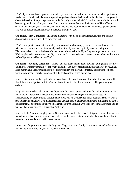Why? If you masturbate to pictures of models (pictures that are airbrushed to make them look perfect and models who often have had numerous plastic surgeries) who are six-foot tall redheads, that is what you will chase. When God gives you a perfectly wonderful godly woman who is 5'2" with an average build, you will be unhappy with His gift to you. Don't fantasize about women because the fantasies will be different sexually than the one you marry. This will aggravate you and your wife will feel your unacceptance of her. She will be hurt and feel like her sex is not good enough for you.

**Guideline 3: Stay Connected –** If a young man stays with his body during masturbation and doesn't disconnect to a fantasy world, he can avoid lust.

Why? If you practice connected sexuality now, you will be able to enjoy connected sex with your future wife. Women want you present—mentally and emotionally, not just physically—when having sex. Disconnected sex is not only distasteful to women; it is undesirable. If you're planning to have sex for a lifetime, plan to have connected sex. If you practice disconnected masturbation, connected sex with a future wife will prove incredibly more difficult.

**Guideline 4: Monthly Check-ins –** Talk to your son every month about how he's doing on the last three guidelines. This is by far the most important guideline. The 100% responsibility falls squarely on you, Dad. Each month have a conversation about frequency, fantasy and staying connected. This routine will feel normal to your son—maybe uncomfortable the first couple of times, but normal.

Your consistency about the regular check-ins will open the door to conversations about sexual issues. This should be a normal part of the father/son relationship, which should continue even if he goes away to college.

Why? He needs to learn that male sexuality can be discussed openly and honestly with another man. He will know that he is normal sexually, and when he has sexual challenges, that sexual honesty and accountability are the solutions. This guideline alone will save your son so much potential harm. He won't feel alone in his sexuality. If he makes mistakes, you can pray together and minister to him during his sexual development. The bonding you develop can make your relationship with your son so much stronger and he will feel that he can trust you with anything in his life.

You can do this! You're a mighty man of God who wants to bless his lineage. I figure if every Christian man would do this check-in with his sons, we could break the curse of silence and raise the sexually healthiest sons the church and the world has seen to date.

I am excited for you as you leave a healthy sexual legacy for your family. You are the man of the house and you will determine much of your son's sexual inheritance.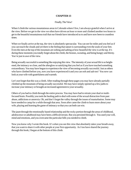### **CHAPTER 13**

#### Finally, The View!

When I climb the various mountainous areas in Colorado where I live, I am always grateful when I arrive at the view. Before we get to the view we often have driven an hour or more and climbed another two hours to get to the beautiful mountainous trail that our friends have introduced us to and have now been to countless times.

When we finally arrive at the top, the view is absolutely spectacular. You can see for miles and you feel as if you can touch the clouds and yet there is the feeling that nature is surrounding even the souls of your feet. Even the men at the top of the mountain are oohing and aahing at how beautiful the view is at the top. It's during these moments you totally forget about the climb, the bruises, sweating, and being hungry and thirsty. You're just in awe of the view.

Being sexually successful is something like enjoying this view. The intensity of your sexual life is so heightened, the intimacy so close, and the afterglow so satisfying that you feel as if you have touched something extraordinary. You may have begun to experience the view of becoming sexually successful. Just as others who have climbed before you, now you have experienced it and you can ooh and aah too! You now can look at your wife with gratefulness and warmth.

Let's not forget that this was a climb. After reading through these pages you may have already partially climbed up the mountain of being sexually successful. We may have simply opened up a few paths to increase your intimacy or brought an increased agreement to your sexuality.

Others of you had to climb through the entire process. You may have had to retrain your dual or multifocused brain. Possibly you took the healing path to deal with some of the sexual distraction from past abuse, addictions or anorexia. Oh, and don't forget the valley through the issues of masturbation. Some may have needed to camp for a while through that area. Soon after came the climb to learn more about your wife, playing and learning the game of intimacy so that you can both can win.

The jaunt through the emotionally based relationship and the rocky portion through the areas of childhood, adolescence or adulthood may have been a difficult terrain. But you persisted through it. You used your will, mind and emotions, and you overcame the particular hills you needed to climb.

Now you know why I wrote this book. It's when you see this view that absolutely takes your breath away, that you want to share it with other people at your first opportunity. As I too have shared the journey through this book, I began at the bottom of this climb.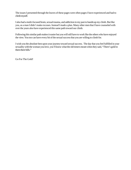The issues I presented through the leaves of these pages were often pages I have experienced and had to climb myself.

I also had a multi-focused brain, sexual trauma, and addiction in my past to handicap my climb. But like you, as a man I didn't make excuses. Instead I made a plan. Many other men that I have counseled with over the years also have experienced this same path toward our climb.

Following this similar path makes it easier but you will still have to work like the others who have enjoyed the view. You too can have every bit of the sexual success that you are willing to climb for.

I wish you the absolute best upon your journey toward sexual success. The day that you feel fulfilled in your sexuality with the woman you love, you'll know what the old timers meant when they said, "There's gold in them there hills."

Go For The Gold!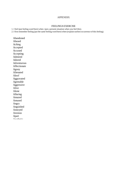#### APPENDIX

#### FEELINGS EXERCISE

1. I feel (put feeling word here) when (put a present situation when you feel this).

2. I first remember feeling (put the same feeling word here) when (explain earliest occurrence of this feeling).

Abandoned Abused Aching Accepted Accused Accepting Admired Adored Adventurous Affectionate Agony Alienated Aloof Aggravated Agreeable Aggressive Alive Alone Alluring Amazed Amused Angry Anguished Annoyed Anxious Apart  $A$ nothatic